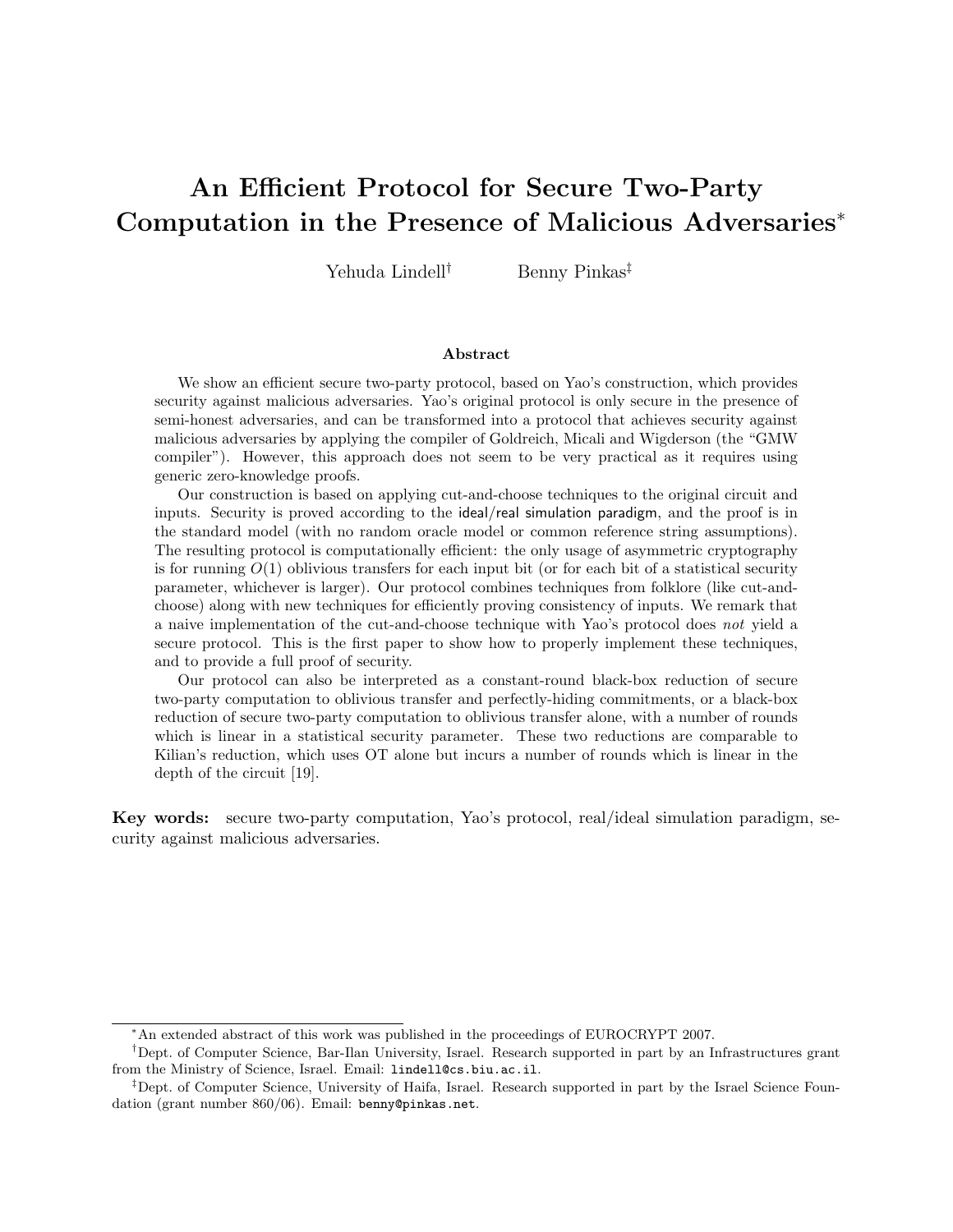# An Efficient Protocol for Secure Two-Party Computation in the Presence of Malicious Adversaries<sup>∗</sup>

Yehuda Lindell<sup>†</sup> Benny Pinkas<sup>‡</sup>

#### Abstract

We show an efficient secure two-party protocol, based on Yao's construction, which provides security against malicious adversaries. Yao's original protocol is only secure in the presence of semi-honest adversaries, and can be transformed into a protocol that achieves security against malicious adversaries by applying the compiler of Goldreich, Micali and Wigderson (the "GMW compiler"). However, this approach does not seem to be very practical as it requires using generic zero-knowledge proofs.

Our construction is based on applying cut-and-choose techniques to the original circuit and inputs. Security is proved according to the ideal/real simulation paradigm, and the proof is in the standard model (with no random oracle model or common reference string assumptions). The resulting protocol is computationally efficient: the only usage of asymmetric cryptography is for running  $O(1)$  oblivious transfers for each input bit (or for each bit of a statistical security parameter, whichever is larger). Our protocol combines techniques from folklore (like cut-andchoose) along with new techniques for efficiently proving consistency of inputs. We remark that a naive implementation of the cut-and-choose technique with Yao's protocol does not yield a secure protocol. This is the first paper to show how to properly implement these techniques, and to provide a full proof of security.

Our protocol can also be interpreted as a constant-round black-box reduction of secure two-party computation to oblivious transfer and perfectly-hiding commitments, or a black-box reduction of secure two-party computation to oblivious transfer alone, with a number of rounds which is linear in a statistical security parameter. These two reductions are comparable to Kilian's reduction, which uses OT alone but incurs a number of rounds which is linear in the depth of the circuit [19].

Key words: secure two-party computation, Yao's protocol, real/ideal simulation paradigm, security against malicious adversaries.

<sup>∗</sup>An extended abstract of this work was published in the proceedings of EUROCRYPT 2007.

<sup>†</sup>Dept. of Computer Science, Bar-Ilan University, Israel. Research supported in part by an Infrastructures grant from the Ministry of Science, Israel. Email: lindell@cs.biu.ac.il.

<sup>‡</sup>Dept. of Computer Science, University of Haifa, Israel. Research supported in part by the Israel Science Foundation (grant number 860/06). Email: benny@pinkas.net.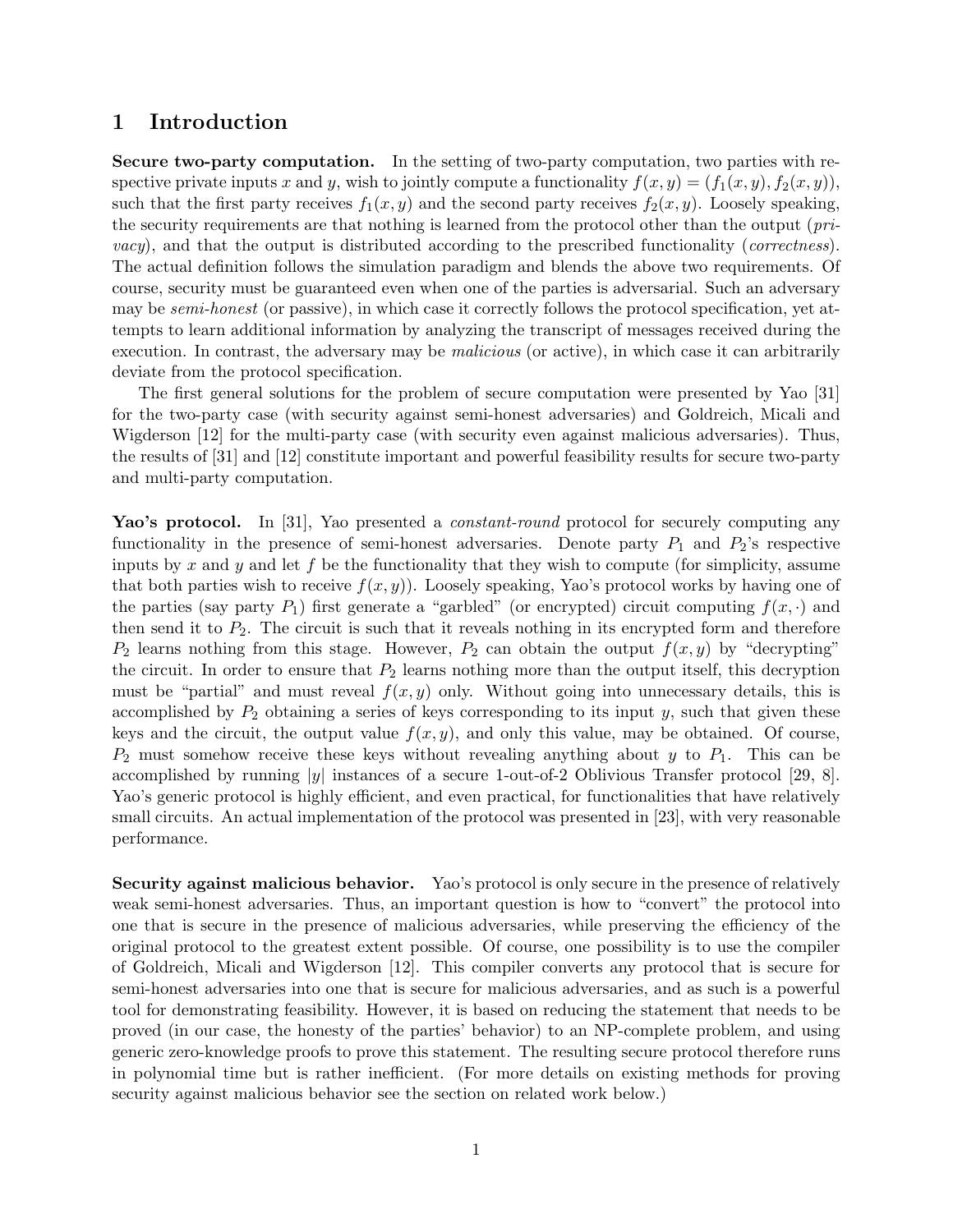### 1 Introduction

Secure two-party computation. In the setting of two-party computation, two parties with respective private inputs x and y, wish to jointly compute a functionality  $f(x, y) = (f_1(x, y), f_2(x, y))$ . such that the first party receives  $f_1(x, y)$  and the second party receives  $f_2(x, y)$ . Loosely speaking, the security requirements are that nothing is learned from the protocol other than the output (privacy), and that the output is distributed according to the prescribed functionality (correctness). The actual definition follows the simulation paradigm and blends the above two requirements. Of course, security must be guaranteed even when one of the parties is adversarial. Such an adversary may be semi-honest (or passive), in which case it correctly follows the protocol specification, yet attempts to learn additional information by analyzing the transcript of messages received during the execution. In contrast, the adversary may be *malicious* (or active), in which case it can arbitrarily deviate from the protocol specification.

The first general solutions for the problem of secure computation were presented by Yao [31] for the two-party case (with security against semi-honest adversaries) and Goldreich, Micali and Wigderson [12] for the multi-party case (with security even against malicious adversaries). Thus, the results of [31] and [12] constitute important and powerful feasibility results for secure two-party and multi-party computation.

Yao's protocol. In [31], Yao presented a *constant-round* protocol for securely computing any functionality in the presence of semi-honest adversaries. Denote party  $P_1$  and  $P_2$ 's respective inputs by x and y and let f be the functionality that they wish to compute (for simplicity, assume that both parties wish to receive  $f(x, y)$ ). Loosely speaking, Yao's protocol works by having one of the parties (say party  $P_1$ ) first generate a "garbled" (or encrypted) circuit computing  $f(x, \cdot)$  and then send it to  $P_2$ . The circuit is such that it reveals nothing in its encrypted form and therefore  $P_2$  learns nothing from this stage. However,  $P_2$  can obtain the output  $f(x, y)$  by "decrypting" the circuit. In order to ensure that  $P_2$  learns nothing more than the output itself, this decryption must be "partial" and must reveal  $f(x, y)$  only. Without going into unnecessary details, this is accomplished by  $P_2$  obtaining a series of keys corresponding to its input y, such that given these keys and the circuit, the output value  $f(x, y)$ , and only this value, may be obtained. Of course,  $P_2$  must somehow receive these keys without revealing anything about y to  $P_1$ . This can be accomplished by running  $|y|$  instances of a secure 1-out-of-2 Oblivious Transfer protocol [29, 8]. Yao's generic protocol is highly efficient, and even practical, for functionalities that have relatively small circuits. An actual implementation of the protocol was presented in [23], with very reasonable performance.

Security against malicious behavior. Yao's protocol is only secure in the presence of relatively weak semi-honest adversaries. Thus, an important question is how to "convert" the protocol into one that is secure in the presence of malicious adversaries, while preserving the efficiency of the original protocol to the greatest extent possible. Of course, one possibility is to use the compiler of Goldreich, Micali and Wigderson [12]. This compiler converts any protocol that is secure for semi-honest adversaries into one that is secure for malicious adversaries, and as such is a powerful tool for demonstrating feasibility. However, it is based on reducing the statement that needs to be proved (in our case, the honesty of the parties' behavior) to an NP-complete problem, and using generic zero-knowledge proofs to prove this statement. The resulting secure protocol therefore runs in polynomial time but is rather inefficient. (For more details on existing methods for proving security against malicious behavior see the section on related work below.)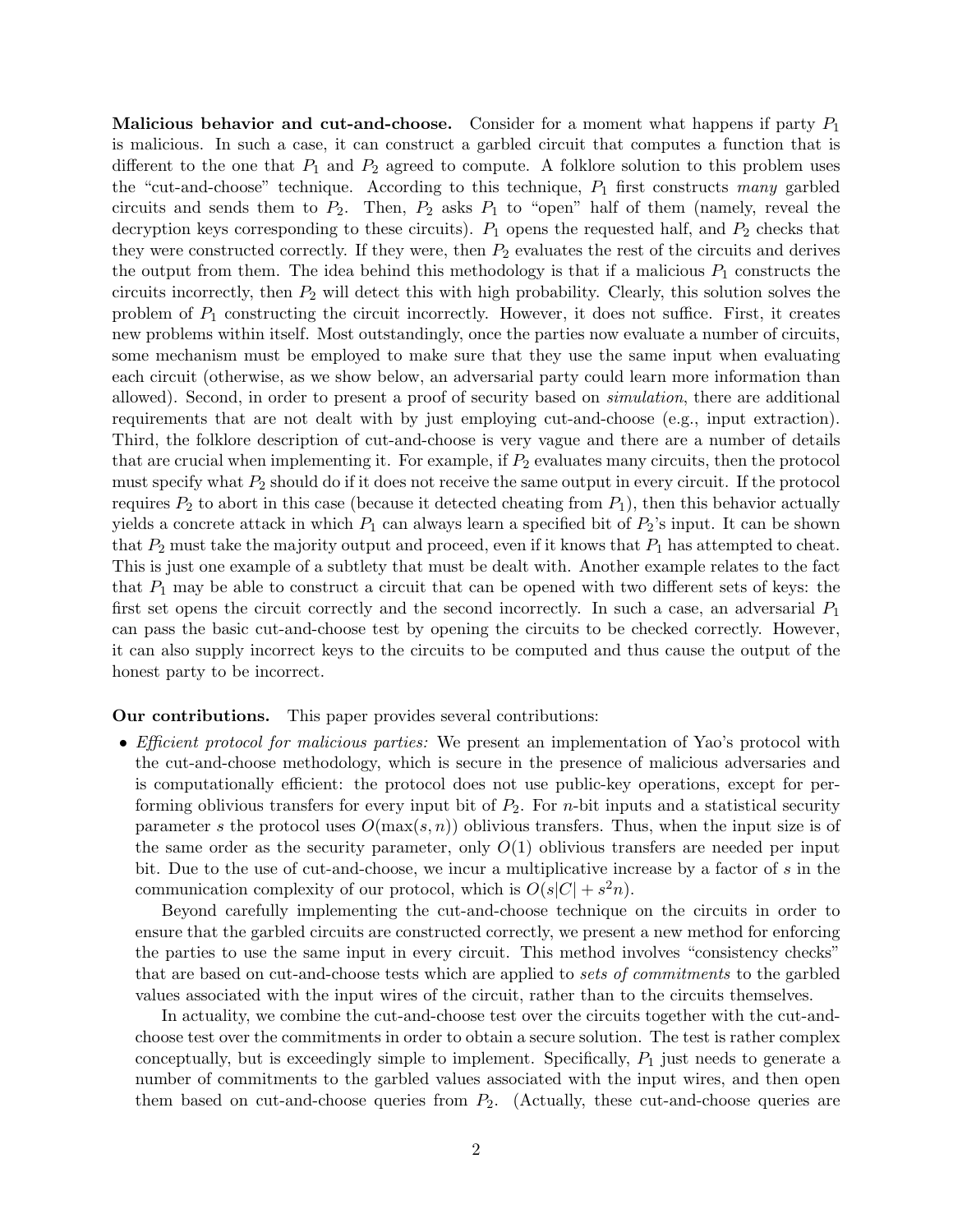**Malicious behavior and cut-and-choose.** Consider for a moment what happens if party  $P_1$ is malicious. In such a case, it can construct a garbled circuit that computes a function that is different to the one that  $P_1$  and  $P_2$  agreed to compute. A folklore solution to this problem uses the "cut-and-choose" technique. According to this technique,  $P_1$  first constructs many garbled circuits and sends them to  $P_2$ . Then,  $P_2$  asks  $P_1$  to "open" half of them (namely, reveal the decryption keys corresponding to these circuits).  $P_1$  opens the requested half, and  $P_2$  checks that they were constructed correctly. If they were, then  $P_2$  evaluates the rest of the circuits and derives the output from them. The idea behind this methodology is that if a malicious  $P_1$  constructs the circuits incorrectly, then  $P_2$  will detect this with high probability. Clearly, this solution solves the problem of  $P_1$  constructing the circuit incorrectly. However, it does not suffice. First, it creates new problems within itself. Most outstandingly, once the parties now evaluate a number of circuits, some mechanism must be employed to make sure that they use the same input when evaluating each circuit (otherwise, as we show below, an adversarial party could learn more information than allowed). Second, in order to present a proof of security based on simulation, there are additional requirements that are not dealt with by just employing cut-and-choose (e.g., input extraction). Third, the folklore description of cut-and-choose is very vague and there are a number of details that are crucial when implementing it. For example, if  $P_2$  evaluates many circuits, then the protocol must specify what  $P_2$  should do if it does not receive the same output in every circuit. If the protocol requires  $P_2$  to abort in this case (because it detected cheating from  $P_1$ ), then this behavior actually yields a concrete attack in which  $P_1$  can always learn a specified bit of  $P_2$ 's input. It can be shown that  $P_2$  must take the majority output and proceed, even if it knows that  $P_1$  has attempted to cheat. This is just one example of a subtlety that must be dealt with. Another example relates to the fact that  $P_1$  may be able to construct a circuit that can be opened with two different sets of keys: the first set opens the circuit correctly and the second incorrectly. In such a case, an adversarial  $P_1$ can pass the basic cut-and-choose test by opening the circuits to be checked correctly. However, it can also supply incorrect keys to the circuits to be computed and thus cause the output of the honest party to be incorrect.

#### Our contributions. This paper provides several contributions:

• *Efficient protocol for malicious parties:* We present an implementation of Yao's protocol with the cut-and-choose methodology, which is secure in the presence of malicious adversaries and is computationally efficient: the protocol does not use public-key operations, except for performing oblivious transfers for every input bit of  $P_2$ . For *n*-bit inputs and a statistical security parameter s the protocol uses  $O(\max(s, n))$  oblivious transfers. Thus, when the input size is of the same order as the security parameter, only  $O(1)$  oblivious transfers are needed per input bit. Due to the use of cut-and-choose, we incur a multiplicative increase by a factor of s in the communication complexity of our protocol, which is  $O(s|C| + s^2n)$ .

Beyond carefully implementing the cut-and-choose technique on the circuits in order to ensure that the garbled circuits are constructed correctly, we present a new method for enforcing the parties to use the same input in every circuit. This method involves "consistency checks" that are based on cut-and-choose tests which are applied to sets of commitments to the garbled values associated with the input wires of the circuit, rather than to the circuits themselves.

In actuality, we combine the cut-and-choose test over the circuits together with the cut-andchoose test over the commitments in order to obtain a secure solution. The test is rather complex conceptually, but is exceedingly simple to implement. Specifically,  $P_1$  just needs to generate a number of commitments to the garbled values associated with the input wires, and then open them based on cut-and-choose queries from  $P_2$ . (Actually, these cut-and-choose queries are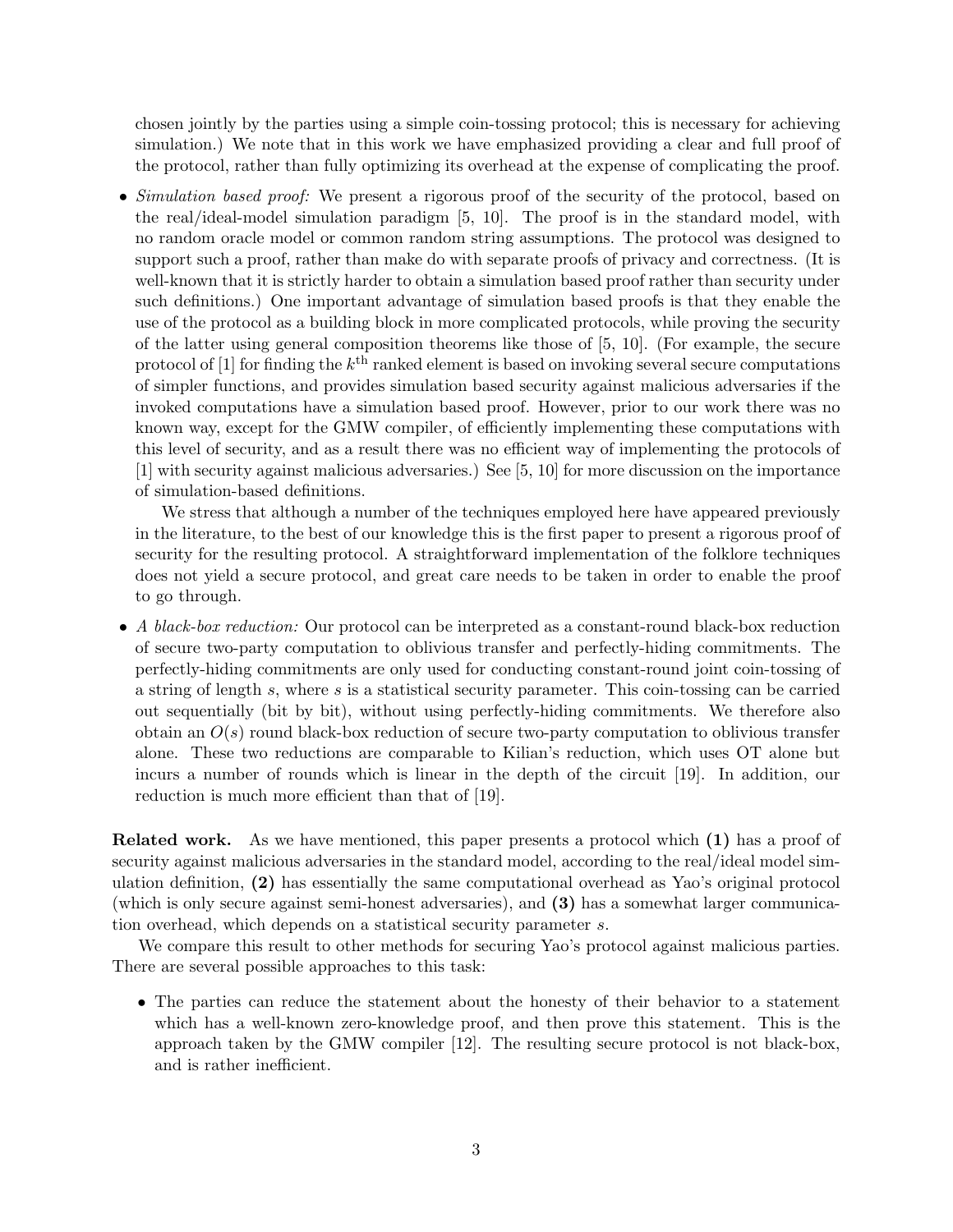chosen jointly by the parties using a simple coin-tossing protocol; this is necessary for achieving simulation.) We note that in this work we have emphasized providing a clear and full proof of the protocol, rather than fully optimizing its overhead at the expense of complicating the proof.

• Simulation based proof: We present a rigorous proof of the security of the protocol, based on the real/ideal-model simulation paradigm [5, 10]. The proof is in the standard model, with no random oracle model or common random string assumptions. The protocol was designed to support such a proof, rather than make do with separate proofs of privacy and correctness. (It is well-known that it is strictly harder to obtain a simulation based proof rather than security under such definitions.) One important advantage of simulation based proofs is that they enable the use of the protocol as a building block in more complicated protocols, while proving the security of the latter using general composition theorems like those of [5, 10]. (For example, the secure protocol of [1] for finding the  $k^{\text{th}}$  ranked element is based on invoking several secure computations of simpler functions, and provides simulation based security against malicious adversaries if the invoked computations have a simulation based proof. However, prior to our work there was no known way, except for the GMW compiler, of efficiently implementing these computations with this level of security, and as a result there was no efficient way of implementing the protocols of [1] with security against malicious adversaries.) See [5, 10] for more discussion on the importance of simulation-based definitions.

We stress that although a number of the techniques employed here have appeared previously in the literature, to the best of our knowledge this is the first paper to present a rigorous proof of security for the resulting protocol. A straightforward implementation of the folklore techniques does not yield a secure protocol, and great care needs to be taken in order to enable the proof to go through.

• A black-box reduction: Our protocol can be interpreted as a constant-round black-box reduction of secure two-party computation to oblivious transfer and perfectly-hiding commitments. The perfectly-hiding commitments are only used for conducting constant-round joint coin-tossing of a string of length s, where s is a statistical security parameter. This coin-tossing can be carried out sequentially (bit by bit), without using perfectly-hiding commitments. We therefore also obtain an  $O(s)$  round black-box reduction of secure two-party computation to oblivious transfer alone. These two reductions are comparable to Kilian's reduction, which uses OT alone but incurs a number of rounds which is linear in the depth of the circuit [19]. In addition, our reduction is much more efficient than that of [19].

Related work. As we have mentioned, this paper presents a protocol which (1) has a proof of security against malicious adversaries in the standard model, according to the real/ideal model simulation definition, (2) has essentially the same computational overhead as Yao's original protocol (which is only secure against semi-honest adversaries), and (3) has a somewhat larger communication overhead, which depends on a statistical security parameter s.

We compare this result to other methods for securing Yao's protocol against malicious parties. There are several possible approaches to this task:

• The parties can reduce the statement about the honesty of their behavior to a statement which has a well-known zero-knowledge proof, and then prove this statement. This is the approach taken by the GMW compiler [12]. The resulting secure protocol is not black-box, and is rather inefficient.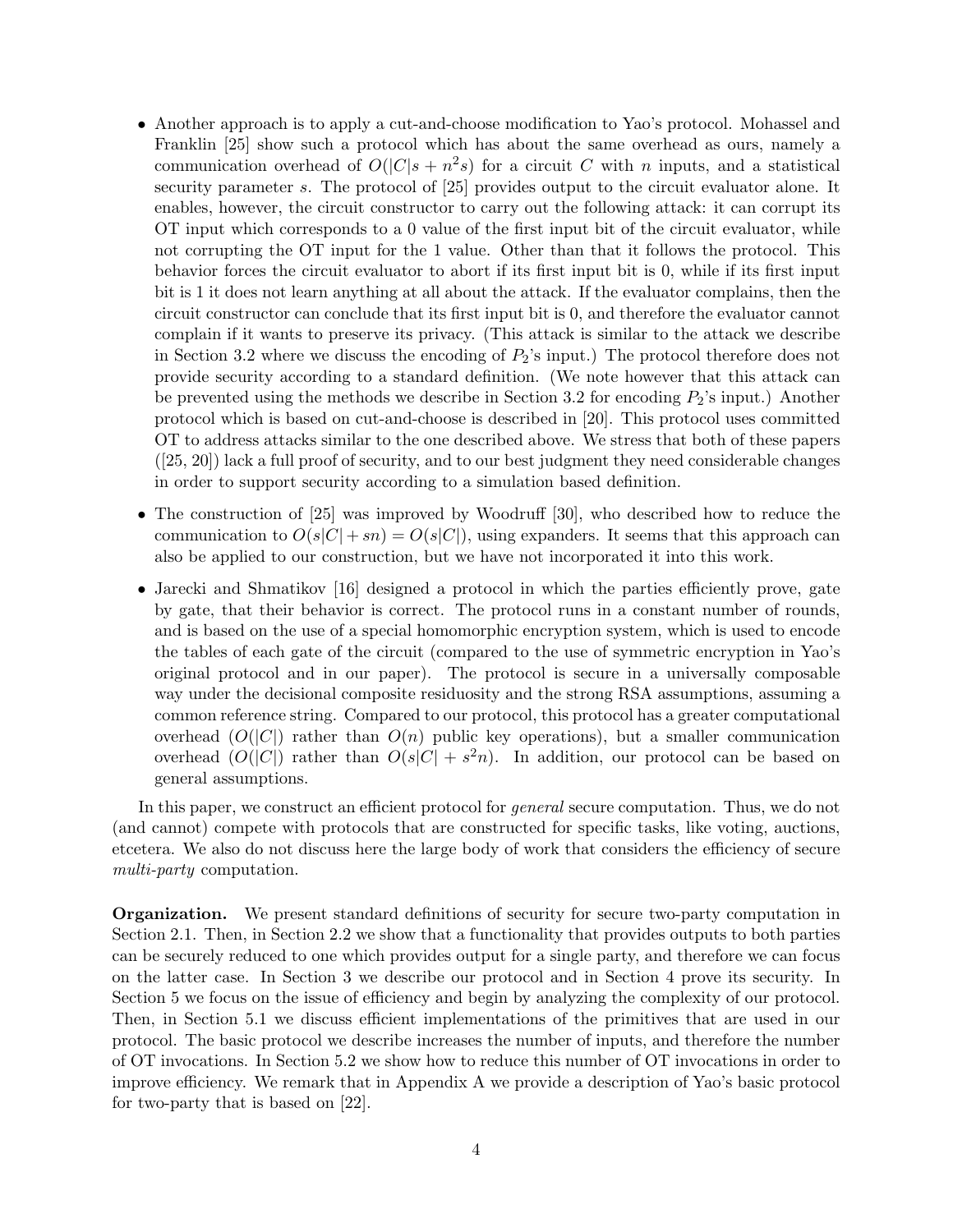- Another approach is to apply a cut-and-choose modification to Yao's protocol. Mohassel and Franklin [25] show such a protocol which has about the same overhead as ours, namely a communication overhead of  $O(|C|s + n^2s)$  for a circuit C with n inputs, and a statistical security parameter s. The protocol of [25] provides output to the circuit evaluator alone. It enables, however, the circuit constructor to carry out the following attack: it can corrupt its OT input which corresponds to a 0 value of the first input bit of the circuit evaluator, while not corrupting the OT input for the 1 value. Other than that it follows the protocol. This behavior forces the circuit evaluator to abort if its first input bit is 0, while if its first input bit is 1 it does not learn anything at all about the attack. If the evaluator complains, then the circuit constructor can conclude that its first input bit is 0, and therefore the evaluator cannot complain if it wants to preserve its privacy. (This attack is similar to the attack we describe in Section 3.2 where we discuss the encoding of  $P_2$ 's input.) The protocol therefore does not provide security according to a standard definition. (We note however that this attack can be prevented using the methods we describe in Section 3.2 for encoding  $P_2$ 's input.) Another protocol which is based on cut-and-choose is described in [20]. This protocol uses committed OT to address attacks similar to the one described above. We stress that both of these papers ([25, 20]) lack a full proof of security, and to our best judgment they need considerable changes in order to support security according to a simulation based definition.
- The construction of [25] was improved by Woodruff [30], who described how to reduce the communication to  $O(s|C| + sn) = O(s|C|)$ , using expanders. It seems that this approach can also be applied to our construction, but we have not incorporated it into this work.
- Jarecki and Shmatikov [16] designed a protocol in which the parties efficiently prove, gate by gate, that their behavior is correct. The protocol runs in a constant number of rounds, and is based on the use of a special homomorphic encryption system, which is used to encode the tables of each gate of the circuit (compared to the use of symmetric encryption in Yao's original protocol and in our paper). The protocol is secure in a universally composable way under the decisional composite residuosity and the strong RSA assumptions, assuming a common reference string. Compared to our protocol, this protocol has a greater computational overhead  $(O(|C|))$  rather than  $O(n)$  public key operations), but a smaller communication overhead  $(O(|C|))$  rather than  $O(s|C| + s^2n)$ . In addition, our protocol can be based on general assumptions.

In this paper, we construct an efficient protocol for *general* secure computation. Thus, we do not (and cannot) compete with protocols that are constructed for specific tasks, like voting, auctions, etcetera. We also do not discuss here the large body of work that considers the efficiency of secure multi-party computation.

Organization. We present standard definitions of security for secure two-party computation in Section 2.1. Then, in Section 2.2 we show that a functionality that provides outputs to both parties can be securely reduced to one which provides output for a single party, and therefore we can focus on the latter case. In Section 3 we describe our protocol and in Section 4 prove its security. In Section 5 we focus on the issue of efficiency and begin by analyzing the complexity of our protocol. Then, in Section 5.1 we discuss efficient implementations of the primitives that are used in our protocol. The basic protocol we describe increases the number of inputs, and therefore the number of OT invocations. In Section 5.2 we show how to reduce this number of OT invocations in order to improve efficiency. We remark that in Appendix A we provide a description of Yao's basic protocol for two-party that is based on [22].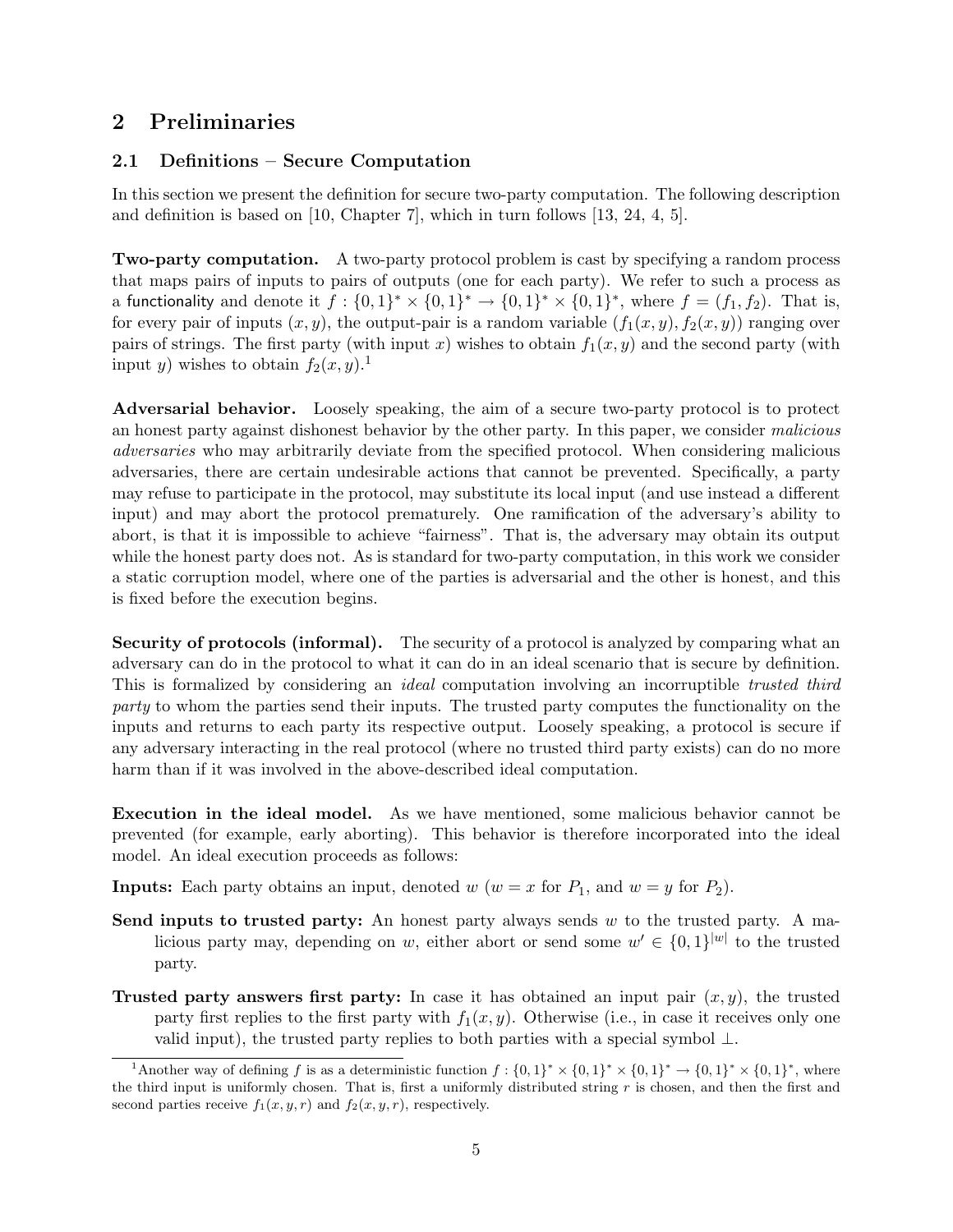# 2 Preliminaries

### 2.1 Definitions – Secure Computation

In this section we present the definition for secure two-party computation. The following description and definition is based on [10, Chapter 7], which in turn follows [13, 24, 4, 5].

Two-party computation. A two-party protocol problem is cast by specifying a random process that maps pairs of inputs to pairs of outputs (one for each party). We refer to such a process as a functionality and denote it  $f: \{0,1\}^* \times \{0,1\}^* \to \{0,1\}^* \times \{0,1\}^*$ , where  $f = (f_1, f_2)$ . That is, for every pair of inputs  $(x, y)$ , the output-pair is a random variable  $(f_1(x, y), f_2(x, y))$  ranging over pairs of strings. The first party (with input x) wishes to obtain  $f_1(x, y)$  and the second party (with input y) wishes to obtain  $f_2(x, y)$ .<sup>1</sup>

Adversarial behavior. Loosely speaking, the aim of a secure two-party protocol is to protect an honest party against dishonest behavior by the other party. In this paper, we consider malicious adversaries who may arbitrarily deviate from the specified protocol. When considering malicious adversaries, there are certain undesirable actions that cannot be prevented. Specifically, a party may refuse to participate in the protocol, may substitute its local input (and use instead a different input) and may abort the protocol prematurely. One ramification of the adversary's ability to abort, is that it is impossible to achieve "fairness". That is, the adversary may obtain its output while the honest party does not. As is standard for two-party computation, in this work we consider a static corruption model, where one of the parties is adversarial and the other is honest, and this is fixed before the execution begins.

Security of protocols (informal). The security of a protocol is analyzed by comparing what an adversary can do in the protocol to what it can do in an ideal scenario that is secure by definition. This is formalized by considering an *ideal* computation involving an incorruptible trusted third party to whom the parties send their inputs. The trusted party computes the functionality on the inputs and returns to each party its respective output. Loosely speaking, a protocol is secure if any adversary interacting in the real protocol (where no trusted third party exists) can do no more harm than if it was involved in the above-described ideal computation.

Execution in the ideal model. As we have mentioned, some malicious behavior cannot be prevented (for example, early aborting). This behavior is therefore incorporated into the ideal model. An ideal execution proceeds as follows:

**Inputs:** Each party obtains an input, denoted w ( $w = x$  for  $P_1$ , and  $w = y$  for  $P_2$ ).

- Send inputs to trusted party: An honest party always sends w to the trusted party. A malicious party may, depending on w, either abort or send some  $w' \in \{0,1\}^{|w|}$  to the trusted party.
- **Trusted party answers first party:** In case it has obtained an input pair  $(x, y)$ , the trusted party first replies to the first party with  $f_1(x, y)$ . Otherwise (i.e., in case it receives only one valid input), the trusted party replies to both parties with a special symbol ⊥.

<sup>&</sup>lt;sup>1</sup>Another way of defining f is as a deterministic function  $f: \{0,1\}^* \times \{0,1\}^* \times \{0,1\}^* \to \{0,1\}^* \times \{0,1\}^*$ , where the third input is uniformly chosen. That is, first a uniformly distributed string  $r$  is chosen, and then the first and second parties receive  $f_1(x, y, r)$  and  $f_2(x, y, r)$ , respectively.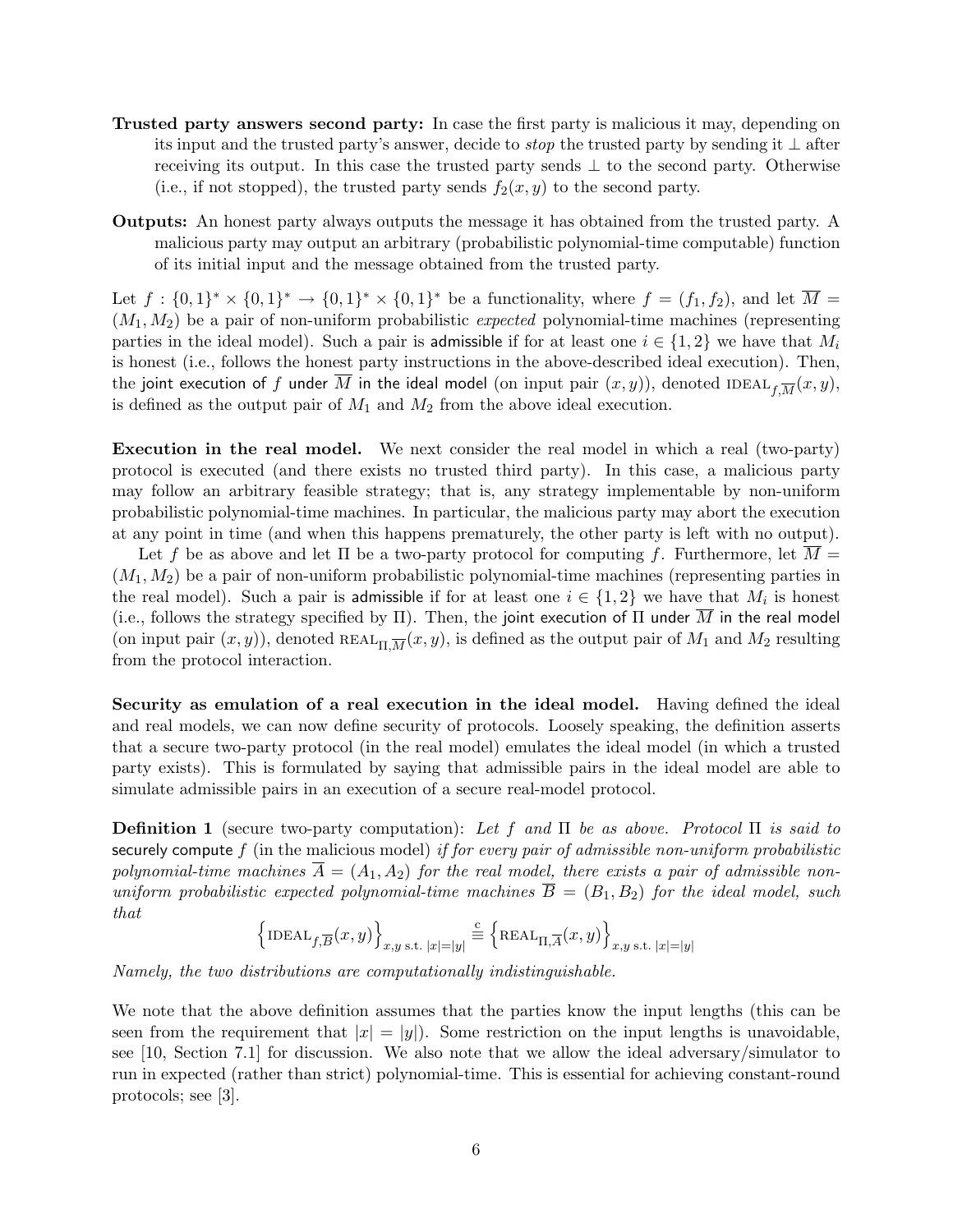- Trusted party answers second party: In case the first party is malicious it may, depending on its input and the trusted party's answer, decide to *stop* the trusted party by sending it  $\perp$  after receiving its output. In this case the trusted party sends ⊥ to the second party. Otherwise (i.e., if not stopped), the trusted party sends  $f_2(x, y)$  to the second party.
- Outputs: An honest party always outputs the message it has obtained from the trusted party. A malicious party may output an arbitrary (probabilistic polynomial-time computable) function of its initial input and the message obtained from the trusted party.

Let  $f: \{0,1\}^* \times \{0,1\}^* \to \{0,1\}^* \times \{0,1\}^*$  be a functionality, where  $f = (f_1, f_2)$ , and let  $\overline{M} =$  $(M_1, M_2)$  be a pair of non-uniform probabilistic *expected* polynomial-time machines (representing parties in the ideal model). Such a pair is admissible if for at least one  $i \in \{1,2\}$  we have that  $M_i$ is honest (i.e., follows the honest party instructions in the above-described ideal execution). Then, the joint execution of f under  $\overline{M}$  in the ideal model (on input pair  $(x, y)$ ), denoted IDEAL $_{f,\overline{M}}(x, y)$ , is defined as the output pair of  $M_1$  and  $M_2$  from the above ideal execution.

Execution in the real model. We next consider the real model in which a real (two-party) protocol is executed (and there exists no trusted third party). In this case, a malicious party may follow an arbitrary feasible strategy; that is, any strategy implementable by non-uniform probabilistic polynomial-time machines. In particular, the malicious party may abort the execution at any point in time (and when this happens prematurely, the other party is left with no output).

Let f be as above and let  $\Pi$  be a two-party protocol for computing f. Furthermore, let  $\overline{M}$  =  $(M_1, M_2)$  be a pair of non-uniform probabilistic polynomial-time machines (representing parties in the real model). Such a pair is admissible if for at least one  $i \in \{1,2\}$  we have that  $M_i$  is honest (i.e., follows the strategy specified by  $\Pi$ ). Then, the joint execution of  $\Pi$  under  $\overline{M}$  in the real model (on input pair  $(x, y)$ ), denoted  $\text{REAL}_{\Pi, \overline{M}}(x, y)$ , is defined as the output pair of  $M_1$  and  $M_2$  resulting from the protocol interaction.

Security as emulation of a real execution in the ideal model. Having defined the ideal and real models, we can now define security of protocols. Loosely speaking, the definition asserts that a secure two-party protocol (in the real model) emulates the ideal model (in which a trusted party exists). This is formulated by saying that admissible pairs in the ideal model are able to simulate admissible pairs in an execution of a secure real-model protocol.

**Definition 1** (secure two-party computation): Let f and  $\Pi$  be as above. Protocol  $\Pi$  is said to securely compute f (in the malicious model) if for every pair of admissible non-uniform probabilistic polynomial-time machines  $\overline{A} = (A_1, A_2)$  for the real model, there exists a pair of admissible nonuniform probabilistic expected polynomial-time machines  $\overline{B} = (B_1, B_2)$  for the ideal model, such that

$$
\left\{ {\rm IDEAL}_{f,\overline{B}}(x,y)\right\}_{x,y\text{ s.t. }|x|=|y|} \stackrel{\rm c}{=} \left\{ {\rm REAL}_{\Pi,\overline{A}}(x,y)\right\}_{x,y\text{ s.t. }|x|=|y|}
$$

Namely, the two distributions are computationally indistinguishable.

We note that the above definition assumes that the parties know the input lengths (this can be seen from the requirement that  $|x| = |y|$ . Some restriction on the input lengths is unavoidable, see [10, Section 7.1] for discussion. We also note that we allow the ideal adversary/simulator to run in expected (rather than strict) polynomial-time. This is essential for achieving constant-round protocols; see [3].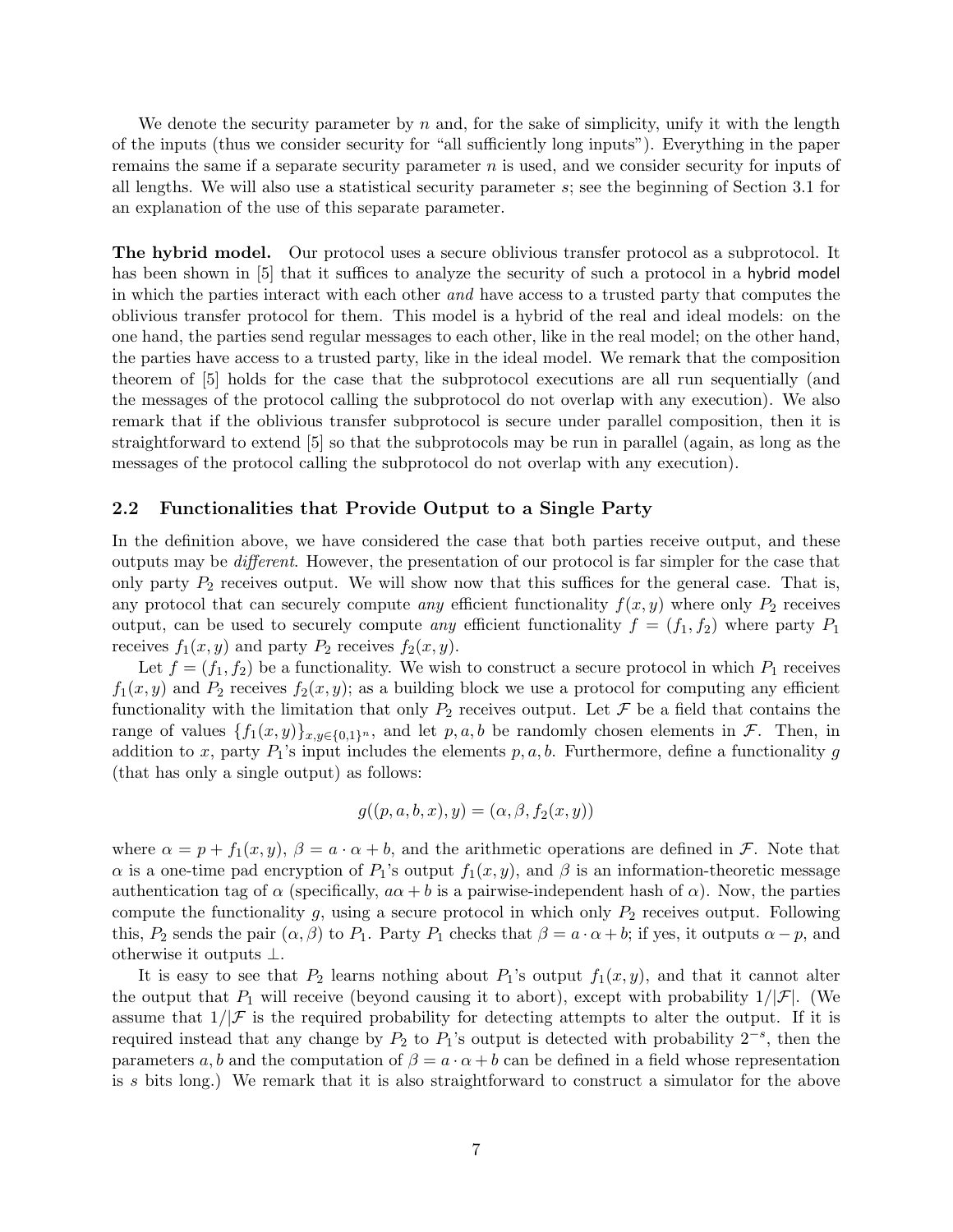We denote the security parameter by  $n$  and, for the sake of simplicity, unify it with the length of the inputs (thus we consider security for "all sufficiently long inputs"). Everything in the paper remains the same if a separate security parameter  $n$  is used, and we consider security for inputs of all lengths. We will also use a statistical security parameter s; see the beginning of Section 3.1 for an explanation of the use of this separate parameter.

The hybrid model. Our protocol uses a secure oblivious transfer protocol as a subprotocol. It has been shown in [5] that it suffices to analyze the security of such a protocol in a hybrid model in which the parties interact with each other and have access to a trusted party that computes the oblivious transfer protocol for them. This model is a hybrid of the real and ideal models: on the one hand, the parties send regular messages to each other, like in the real model; on the other hand, the parties have access to a trusted party, like in the ideal model. We remark that the composition theorem of [5] holds for the case that the subprotocol executions are all run sequentially (and the messages of the protocol calling the subprotocol do not overlap with any execution). We also remark that if the oblivious transfer subprotocol is secure under parallel composition, then it is straightforward to extend [5] so that the subprotocols may be run in parallel (again, as long as the messages of the protocol calling the subprotocol do not overlap with any execution).

#### 2.2 Functionalities that Provide Output to a Single Party

In the definition above, we have considered the case that both parties receive output, and these outputs may be different. However, the presentation of our protocol is far simpler for the case that only party  $P_2$  receives output. We will show now that this suffices for the general case. That is, any protocol that can securely compute *any* efficient functionality  $f(x, y)$  where only  $P_2$  receives output, can be used to securely compute any efficient functionality  $f = (f_1, f_2)$  where party  $P_1$ receives  $f_1(x, y)$  and party  $P_2$  receives  $f_2(x, y)$ .

Let  $f = (f_1, f_2)$  be a functionality. We wish to construct a secure protocol in which  $P_1$  receives  $f_1(x, y)$  and  $P_2$  receives  $f_2(x, y)$ ; as a building block we use a protocol for computing any efficient functionality with the limitation that only  $P_2$  receives output. Let  $\mathcal F$  be a field that contains the range of values  $\{f_1(x,y)\}_{x,y\in\{0,1\}^n}$ , and let p, a, b be randomly chosen elements in F. Then, in addition to x, party  $P_1$ 's input includes the elements  $p, a, b$ . Furthermore, define a functionality g (that has only a single output) as follows:

$$
g((p, a, b, x), y) = (\alpha, \beta, f_2(x, y))
$$

where  $\alpha = p + f_1(x, y)$ ,  $\beta = a \cdot \alpha + b$ , and the arithmetic operations are defined in F. Note that  $\alpha$  is a one-time pad encryption of  $P_1$ 's output  $f_1(x, y)$ , and  $\beta$  is an information-theoretic message authentication tag of  $\alpha$  (specifically,  $a\alpha + b$  is a pairwise-independent hash of  $\alpha$ ). Now, the parties compute the functionality g, using a secure protocol in which only  $P_2$  receives output. Following this,  $P_2$  sends the pair  $(\alpha, \beta)$  to  $P_1$ . Party  $P_1$  checks that  $\beta = a \cdot \alpha + b$ ; if yes, it outputs  $\alpha - p$ , and otherwise it outputs ⊥.

It is easy to see that  $P_2$  learns nothing about  $P_1$ 's output  $f_1(x, y)$ , and that it cannot alter the output that  $P_1$  will receive (beyond causing it to abort), except with probability  $1/|\mathcal{F}|$ . (We assume that  $1/\mathcal{F}$  is the required probability for detecting attempts to alter the output. If it is required instead that any change by  $P_2$  to  $P_1$ 's output is detected with probability  $2^{-s}$ , then the parameters a, b and the computation of  $\beta = a \cdot \alpha + b$  can be defined in a field whose representation is s bits long.) We remark that it is also straightforward to construct a simulator for the above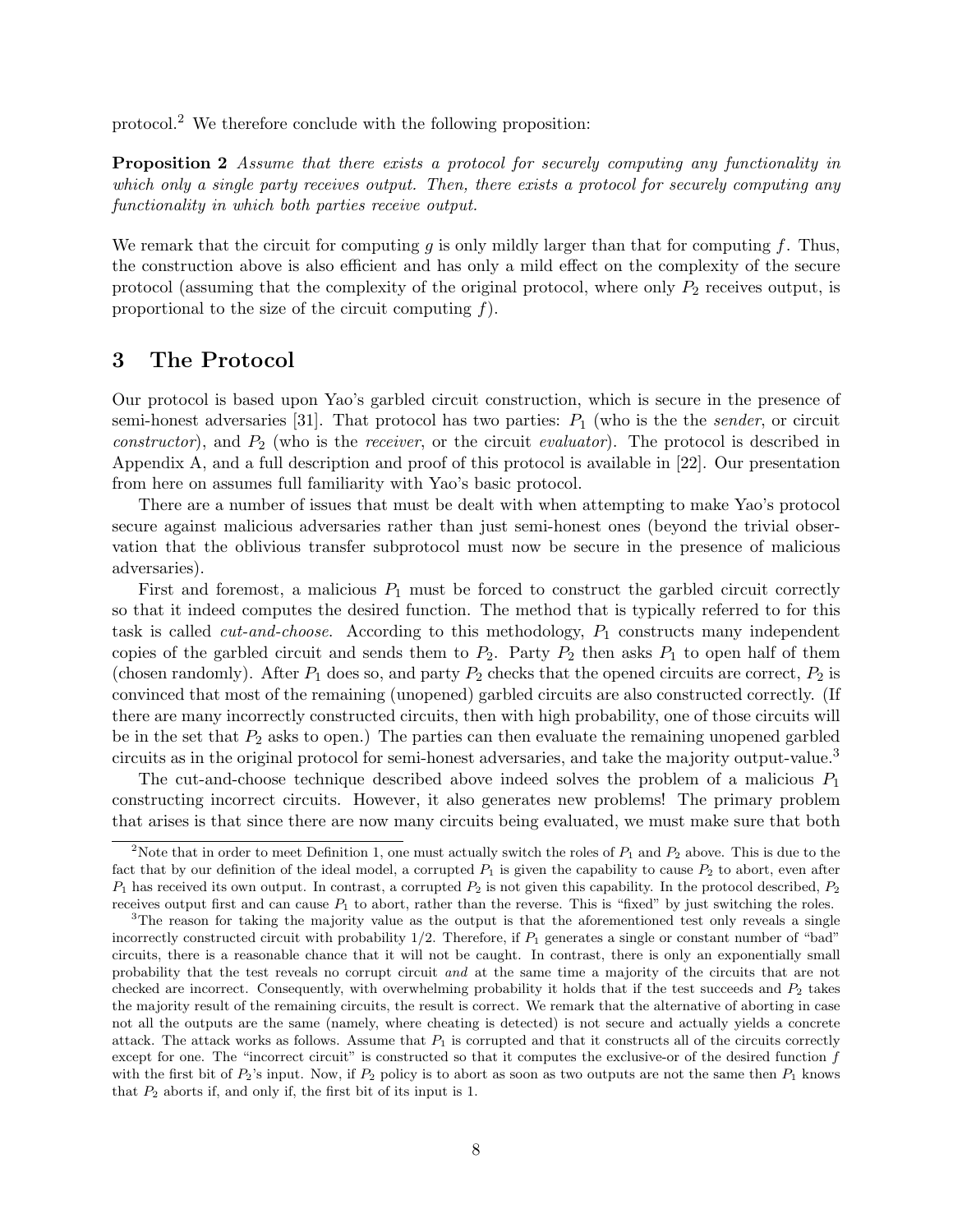protocol.<sup>2</sup> We therefore conclude with the following proposition:

**Proposition 2** Assume that there exists a protocol for securely computing any functionality in which only a single party receives output. Then, there exists a protocol for securely computing any functionality in which both parties receive output.

We remark that the circuit for computing q is only mildly larger than that for computing f. Thus, the construction above is also efficient and has only a mild effect on the complexity of the secure protocol (assuming that the complexity of the original protocol, where only  $P_2$  receives output, is proportional to the size of the circuit computing  $f$ ).

### 3 The Protocol

Our protocol is based upon Yao's garbled circuit construction, which is secure in the presence of semi-honest adversaries [31]. That protocol has two parties:  $P_1$  (who is the the *sender*, or circuit *constructor*), and  $P_2$  (who is the *receiver*, or the circuit *evaluator*). The protocol is described in Appendix A, and a full description and proof of this protocol is available in [22]. Our presentation from here on assumes full familiarity with Yao's basic protocol.

There are a number of issues that must be dealt with when attempting to make Yao's protocol secure against malicious adversaries rather than just semi-honest ones (beyond the trivial observation that the oblivious transfer subprotocol must now be secure in the presence of malicious adversaries).

First and foremost, a malicious  $P_1$  must be forced to construct the garbled circuit correctly so that it indeed computes the desired function. The method that is typically referred to for this task is called *cut-and-choose*. According to this methodology,  $P_1$  constructs many independent copies of the garbled circuit and sends them to  $P_2$ . Party  $P_2$  then asks  $P_1$  to open half of them (chosen randomly). After  $P_1$  does so, and party  $P_2$  checks that the opened circuits are correct,  $P_2$  is convinced that most of the remaining (unopened) garbled circuits are also constructed correctly. (If there are many incorrectly constructed circuits, then with high probability, one of those circuits will be in the set that  $P_2$  asks to open.) The parties can then evaluate the remaining unopened garbled circuits as in the original protocol for semi-honest adversaries, and take the majority output-value.<sup>3</sup>

The cut-and-choose technique described above indeed solves the problem of a malicious  $P_1$ constructing incorrect circuits. However, it also generates new problems! The primary problem that arises is that since there are now many circuits being evaluated, we must make sure that both

<sup>&</sup>lt;sup>2</sup>Note that in order to meet Definition 1, one must actually switch the roles of  $P_1$  and  $P_2$  above. This is due to the fact that by our definition of the ideal model, a corrupted  $P_1$  is given the capability to cause  $P_2$  to abort, even after  $P_1$  has received its own output. In contrast, a corrupted  $P_2$  is not given this capability. In the protocol described,  $P_2$ receives output first and can cause  $P_1$  to abort, rather than the reverse. This is "fixed" by just switching the roles.

<sup>&</sup>lt;sup>3</sup>The reason for taking the majority value as the output is that the aforementioned test only reveals a single incorrectly constructed circuit with probability  $1/2$ . Therefore, if  $P_1$  generates a single or constant number of "bad" circuits, there is a reasonable chance that it will not be caught. In contrast, there is only an exponentially small probability that the test reveals no corrupt circuit and at the same time a majority of the circuits that are not checked are incorrect. Consequently, with overwhelming probability it holds that if the test succeeds and  $P_2$  takes the majority result of the remaining circuits, the result is correct. We remark that the alternative of aborting in case not all the outputs are the same (namely, where cheating is detected) is not secure and actually yields a concrete attack. The attack works as follows. Assume that  $P_1$  is corrupted and that it constructs all of the circuits correctly except for one. The "incorrect circuit" is constructed so that it computes the exclusive-or of the desired function f with the first bit of  $P_2$ 's input. Now, if  $P_2$  policy is to abort as soon as two outputs are not the same then  $P_1$  knows that  $P_2$  aborts if, and only if, the first bit of its input is 1.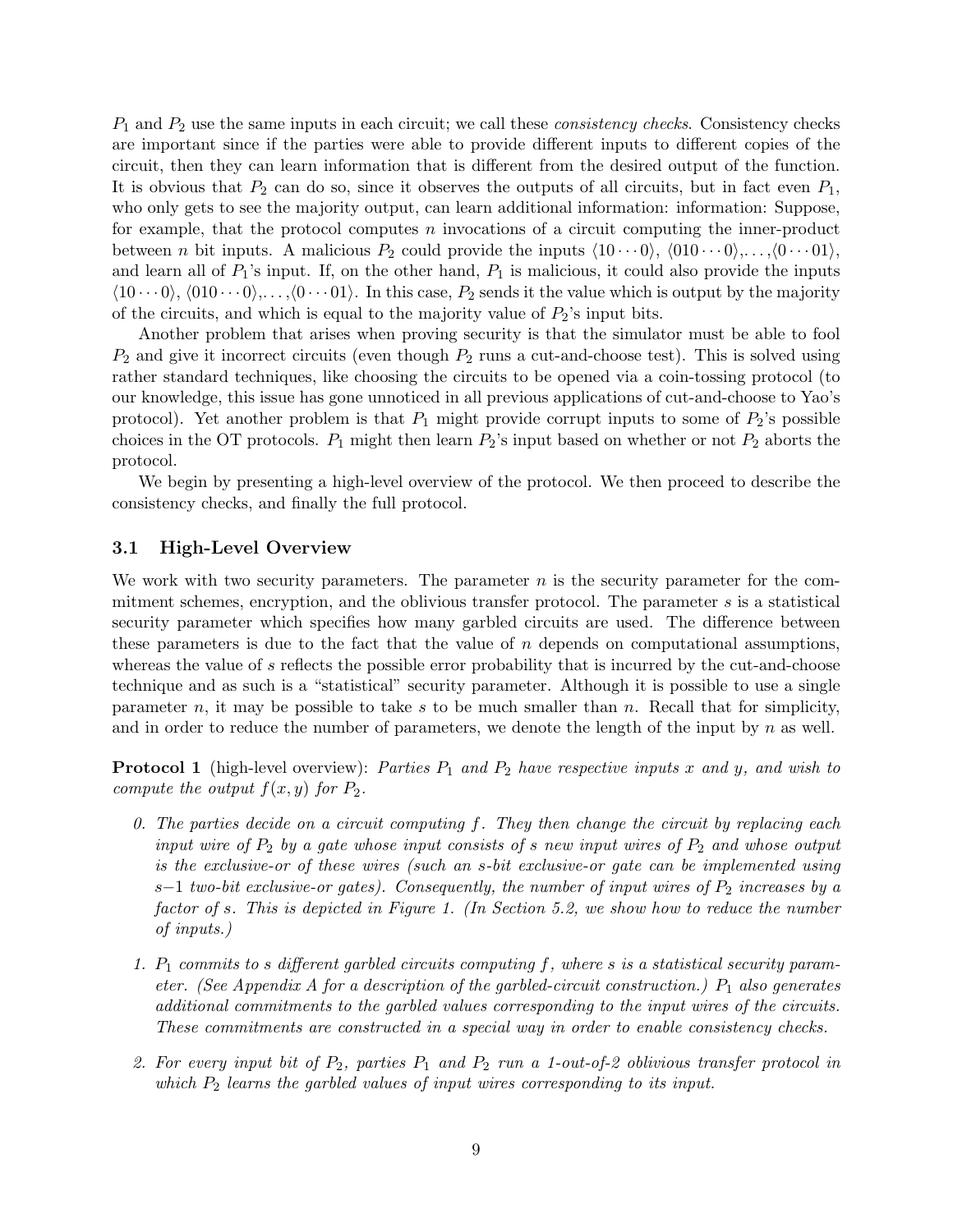$P_1$  and  $P_2$  use the same inputs in each circuit; we call these *consistency checks*. Consistency checks are important since if the parties were able to provide different inputs to different copies of the circuit, then they can learn information that is different from the desired output of the function. It is obvious that  $P_2$  can do so, since it observes the outputs of all circuits, but in fact even  $P_1$ , who only gets to see the majority output, can learn additional information: information: Suppose, for example, that the protocol computes n invocations of a circuit computing the inner-product between *n* bit inputs. A malicious  $P_2$  could provide the inputs  $\langle 10 \cdots 0 \rangle$ ,  $\langle 010 \cdots 0 \rangle$ ,..., $\langle 0 \cdots 01 \rangle$ , and learn all of  $P_1$ 's input. If, on the other hand,  $P_1$  is malicious, it could also provide the inputs  $\langle 10 \cdots 0 \rangle$ ,  $\langle 010 \cdots 0 \rangle$ , ..., $\langle 0 \cdots 01 \rangle$ . In this case,  $P_2$  sends it the value which is output by the majority of the circuits, and which is equal to the majority value of  $P_2$ 's input bits.

Another problem that arises when proving security is that the simulator must be able to fool  $P_2$  and give it incorrect circuits (even though  $P_2$  runs a cut-and-choose test). This is solved using rather standard techniques, like choosing the circuits to be opened via a coin-tossing protocol (to our knowledge, this issue has gone unnoticed in all previous applications of cut-and-choose to Yao's protocol). Yet another problem is that  $P_1$  might provide corrupt inputs to some of  $P_2$ 's possible choices in the OT protocols.  $P_1$  might then learn  $P_2$ 's input based on whether or not  $P_2$  aborts the protocol.

We begin by presenting a high-level overview of the protocol. We then proceed to describe the consistency checks, and finally the full protocol.

#### 3.1 High-Level Overview

We work with two security parameters. The parameter  $n$  is the security parameter for the commitment schemes, encryption, and the oblivious transfer protocol. The parameter  $s$  is a statistical security parameter which specifies how many garbled circuits are used. The difference between these parameters is due to the fact that the value of  $n$  depends on computational assumptions, whereas the value of s reflects the possible error probability that is incurred by the cut-and-choose technique and as such is a "statistical" security parameter. Although it is possible to use a single parameter n, it may be possible to take s to be much smaller than n. Recall that for simplicity, and in order to reduce the number of parameters, we denote the length of the input by  $n$  as well.

**Protocol 1** (high-level overview): Parties  $P_1$  and  $P_2$  have respective inputs x and y, and wish to compute the output  $f(x, y)$  for  $P_2$ .

- 0. The parties decide on a circuit computing  $f$ . They then change the circuit by replacing each input wire of  $P_2$  by a gate whose input consists of s new input wires of  $P_2$  and whose output is the exclusive-or of these wires (such an s-bit exclusive-or gate can be implemented using s−1 two-bit exclusive-or gates). Consequently, the number of input wires of  $P_2$  increases by a factor of s. This is depicted in Figure 1. (In Section 5.2, we show how to reduce the number of inputs.)
- 1.  $P_1$  commits to s different garbled circuits computing f, where s is a statistical security parameter. (See Appendix A for a description of the garbled-circuit construction.)  $P_1$  also generates additional commitments to the garbled values corresponding to the input wires of the circuits. These commitments are constructed in a special way in order to enable consistency checks.
- 2. For every input bit of  $P_2$ , parties  $P_1$  and  $P_2$  run a 1-out-of-2 oblivious transfer protocol in which  $P_2$  learns the garbled values of input wires corresponding to its input.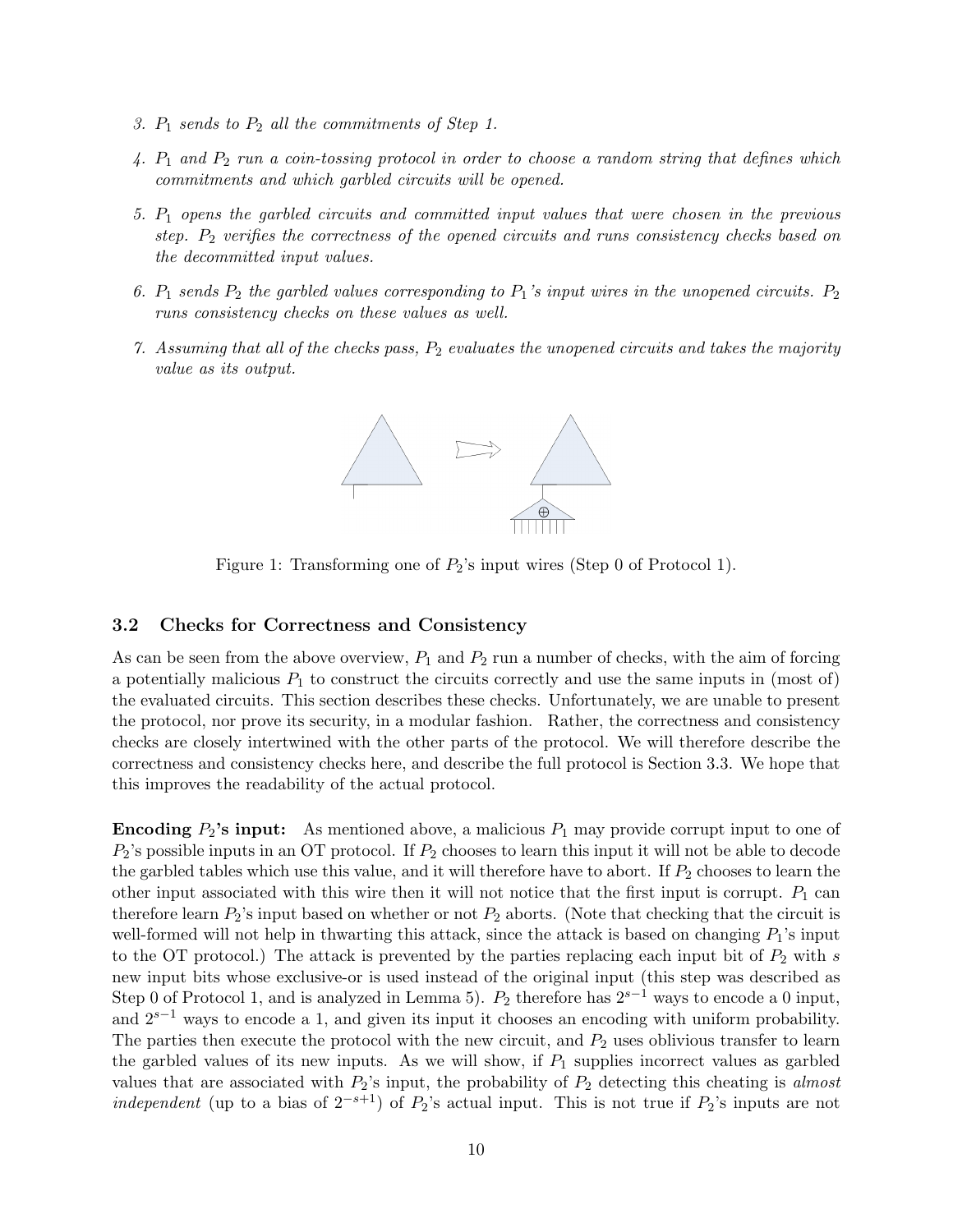- 3.  $P_1$  sends to  $P_2$  all the commitments of Step 1.
- 4.  $P_1$  and  $P_2$  run a coin-tossing protocol in order to choose a random string that defines which commitments and which garbled circuits will be opened.
- 5. P<sup>1</sup> opens the garbled circuits and committed input values that were chosen in the previous step.  $P_2$  verifies the correctness of the opened circuits and runs consistency checks based on the decommitted input values.
- 6.  $P_1$  sends  $P_2$  the garbled values corresponding to  $P_1$ 's input wires in the unopened circuits.  $P_2$ runs consistency checks on these values as well.
- 7. Assuming that all of the checks pass,  $P_2$  evaluates the unopened circuits and takes the majority value as its output.



Figure 1: Transforming one of  $P_2$ 's input wires (Step 0 of Protocol 1).

#### 3.2 Checks for Correctness and Consistency

As can be seen from the above overview,  $P_1$  and  $P_2$  run a number of checks, with the aim of forcing a potentially malicious  $P_1$  to construct the circuits correctly and use the same inputs in (most of) the evaluated circuits. This section describes these checks. Unfortunately, we are unable to present the protocol, nor prove its security, in a modular fashion. Rather, the correctness and consistency checks are closely intertwined with the other parts of the protocol. We will therefore describe the correctness and consistency checks here, and describe the full protocol is Section 3.3. We hope that this improves the readability of the actual protocol.

**Encoding P<sub>2</sub>'s input:** As mentioned above, a malicious  $P_1$  may provide corrupt input to one of  $P_2$ 's possible inputs in an OT protocol. If  $P_2$  chooses to learn this input it will not be able to decode the garbled tables which use this value, and it will therefore have to abort. If  $P_2$  chooses to learn the other input associated with this wire then it will not notice that the first input is corrupt.  $P_1$  can therefore learn  $P_2$ 's input based on whether or not  $P_2$  aborts. (Note that checking that the circuit is well-formed will not help in thwarting this attack, since the attack is based on changing  $P_1$ 's input to the OT protocol.) The attack is prevented by the parties replacing each input bit of  $P_2$  with s new input bits whose exclusive-or is used instead of the original input (this step was described as Step 0 of Protocol 1, and is analyzed in Lemma 5).  $P_2$  therefore has  $2^{s-1}$  ways to encode a 0 input, and  $2^{s-1}$  ways to encode a 1, and given its input it chooses an encoding with uniform probability. The parties then execute the protocol with the new circuit, and  $P_2$  uses oblivious transfer to learn the garbled values of its new inputs. As we will show, if  $P_1$  supplies incorrect values as garbled values that are associated with  $P_2$ 's input, the probability of  $P_2$  detecting this cheating is almost *independent* (up to a bias of  $2^{-s+1}$ ) of  $P_2$ 's actual input. This is not true if  $P_2$ 's inputs are not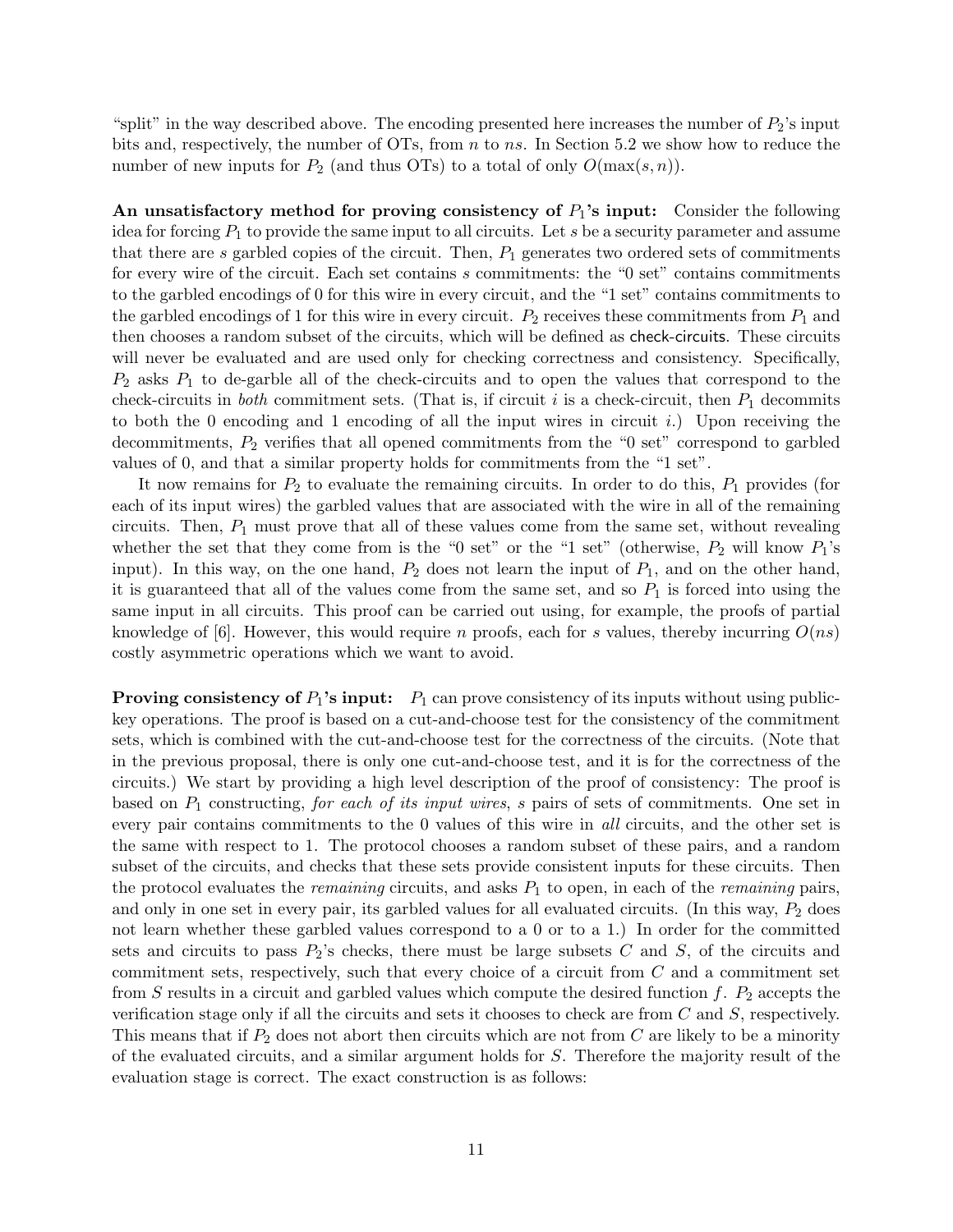"split" in the way described above. The encoding presented here increases the number of  $P_2$ 's input bits and, respectively, the number of  $\overline{OTs}$ , from n to ns. In Section 5.2 we show how to reduce the number of new inputs for  $P_2$  (and thus OTs) to a total of only  $O(\max(s, n))$ .

An unsatisfactory method for proving consistency of  $P_1$ 's input: Consider the following idea for forcing  $P_1$  to provide the same input to all circuits. Let s be a security parameter and assume that there are s garbled copies of the circuit. Then,  $P_1$  generates two ordered sets of commitments for every wire of the circuit. Each set contains s commitments: the "0 set" contains commitments to the garbled encodings of 0 for this wire in every circuit, and the "1 set" contains commitments to the garbled encodings of 1 for this wire in every circuit.  $P_2$  receives these commitments from  $P_1$  and then chooses a random subset of the circuits, which will be defined as check-circuits. These circuits will never be evaluated and are used only for checking correctness and consistency. Specifically,  $P_2$  asks  $P_1$  to de-garble all of the check-circuits and to open the values that correspond to the check-circuits in *both* commitment sets. (That is, if circuit  $i$  is a check-circuit, then  $P_1$  decommits to both the 0 encoding and 1 encoding of all the input wires in circuit i.) Upon receiving the decommitments,  $P_2$  verifies that all opened commitments from the "0 set" correspond to garbled values of 0, and that a similar property holds for commitments from the "1 set".

It now remains for  $P_2$  to evaluate the remaining circuits. In order to do this,  $P_1$  provides (for each of its input wires) the garbled values that are associated with the wire in all of the remaining circuits. Then,  $P_1$  must prove that all of these values come from the same set, without revealing whether the set that they come from is the "0 set" or the "1 set" (otherwise,  $P_2$  will know  $P_1$ 's input). In this way, on the one hand,  $P_2$  does not learn the input of  $P_1$ , and on the other hand, it is guaranteed that all of the values come from the same set, and so  $P_1$  is forced into using the same input in all circuits. This proof can be carried out using, for example, the proofs of partial knowledge of [6]. However, this would require n proofs, each for s values, thereby incurring  $O(ns)$ costly asymmetric operations which we want to avoid.

**Proving consistency of**  $P_1$ **'s input:**  $P_1$  can prove consistency of its inputs without using publickey operations. The proof is based on a cut-and-choose test for the consistency of the commitment sets, which is combined with the cut-and-choose test for the correctness of the circuits. (Note that in the previous proposal, there is only one cut-and-choose test, and it is for the correctness of the circuits.) We start by providing a high level description of the proof of consistency: The proof is based on  $P_1$  constructing, for each of its input wires, s pairs of sets of commitments. One set in every pair contains commitments to the 0 values of this wire in *all* circuits, and the other set is the same with respect to 1. The protocol chooses a random subset of these pairs, and a random subset of the circuits, and checks that these sets provide consistent inputs for these circuits. Then the protocol evaluates the *remaining* circuits, and asks  $P_1$  to open, in each of the *remaining* pairs, and only in one set in every pair, its garbled values for all evaluated circuits. (In this way,  $P_2$  does not learn whether these garbled values correspond to a 0 or to a 1.) In order for the committed sets and circuits to pass  $P_2$ 's checks, there must be large subsets C and S, of the circuits and commitment sets, respectively, such that every choice of a circuit from C and a commitment set from S results in a circuit and garbled values which compute the desired function f.  $P_2$  accepts the verification stage only if all the circuits and sets it chooses to check are from C and S, respectively. This means that if  $P_2$  does not abort then circuits which are not from C are likely to be a minority of the evaluated circuits, and a similar argument holds for S. Therefore the majority result of the evaluation stage is correct. The exact construction is as follows: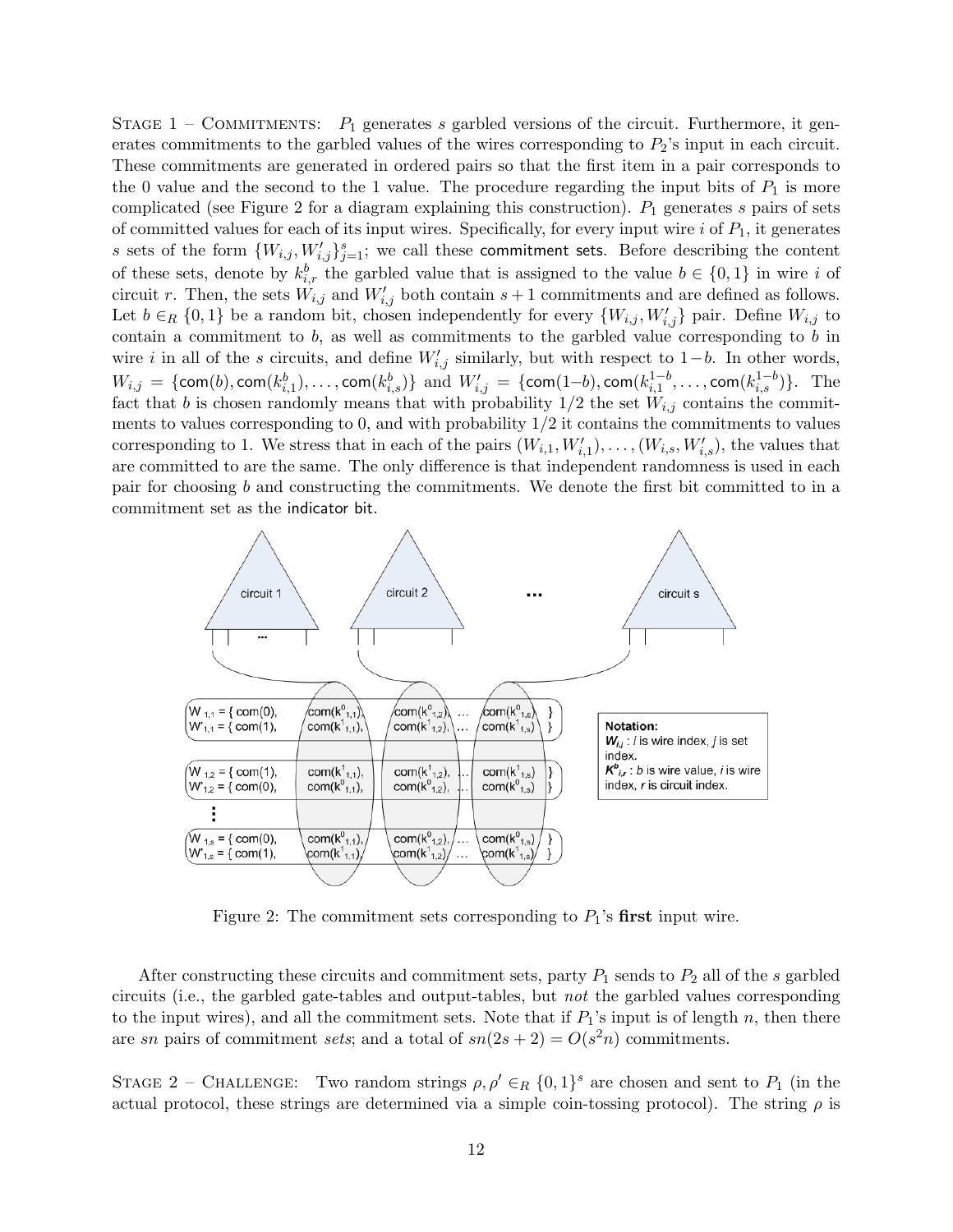STAGE 1 – COMMITMENTS:  $P_1$  generates s garbled versions of the circuit. Furthermore, it generates commitments to the garbled values of the wires corresponding to  $P_2$ 's input in each circuit. These commitments are generated in ordered pairs so that the first item in a pair corresponds to the 0 value and the second to the 1 value. The procedure regarding the input bits of  $P_1$  is more complicated (see Figure 2 for a diagram explaining this construction).  $P_1$  generates s pairs of sets of committed values for each of its input wires. Specifically, for every input wire  $i$  of  $P_1$ , it generates s sets of the form  $\{W_{i,j}, W'_{i,j}\}_{j=1}^s$ ; we call these commitment sets. Before describing the content of these sets, denote by  $k_{i,r}^b$  the garbled value that is assigned to the value  $b \in \{0,1\}$  in wire i of circuit r. Then, the sets  $\hat{W}_{i,j}$  and  $W'_{i,j}$  both contain  $s+1$  commitments and are defined as follows. Let  $b \in_R \{0,1\}$  be a random bit, chosen independently for every  $\{W_{i,j}, W'_{i,j}\}$  pair. Define  $W_{i,j}$  to contain a commitment to  $b$ , as well as commitments to the garbled value corresponding to  $b$  in wire i in all of the s circuits, and define  $W'_{i,j}$  similarly, but with respect to 1–b. In other words,  $W_{i,j} = \{\mathsf{com}(b), \mathsf{com}(k_{i,1}^b), \ldots, \mathsf{com}(k_{i,s}^b)\} \text{ and } W'_{i,j} = \{\mathsf{com}(1-b), \mathsf{com}(k_{i,1}^{1-b}, \ldots, \mathsf{com}(k_{i,s}^{1-b})\}.$  The fact that b is chosen randomly means that with probability  $1/2$  the set  $W_{i,j}$  contains the commitments to values corresponding to 0, and with probability  $1/2$  it contains the commitments to values corresponding to 1. We stress that in each of the pairs  $(W_{i,1}, W'_{i,1}), \ldots, (W_{i,s}, W'_{i,s})$ , the values that are committed to are the same. The only difference is that independent randomness is used in each pair for choosing b and constructing the commitments. We denote the first bit committed to in a commitment set as the indicator bit.



Figure 2: The commitment sets corresponding to  $P_1$ 's first input wire.

After constructing these circuits and commitment sets, party  $P_1$  sends to  $P_2$  all of the s garbled circuits (i.e., the garbled gate-tables and output-tables, but not the garbled values corresponding to the input wires), and all the commitment sets. Note that if  $P_1$ 's input is of length n, then there are sn pairs of commitment sets; and a total of  $sn(2s+2) = O(s^2n)$  commitments.

STAGE 2 – CHALLENGE: Two random strings  $\rho, \rho' \in_R \{0,1\}^s$  are chosen and sent to  $P_1$  (in the actual protocol, these strings are determined via a simple coin-tossing protocol). The string  $\rho$  is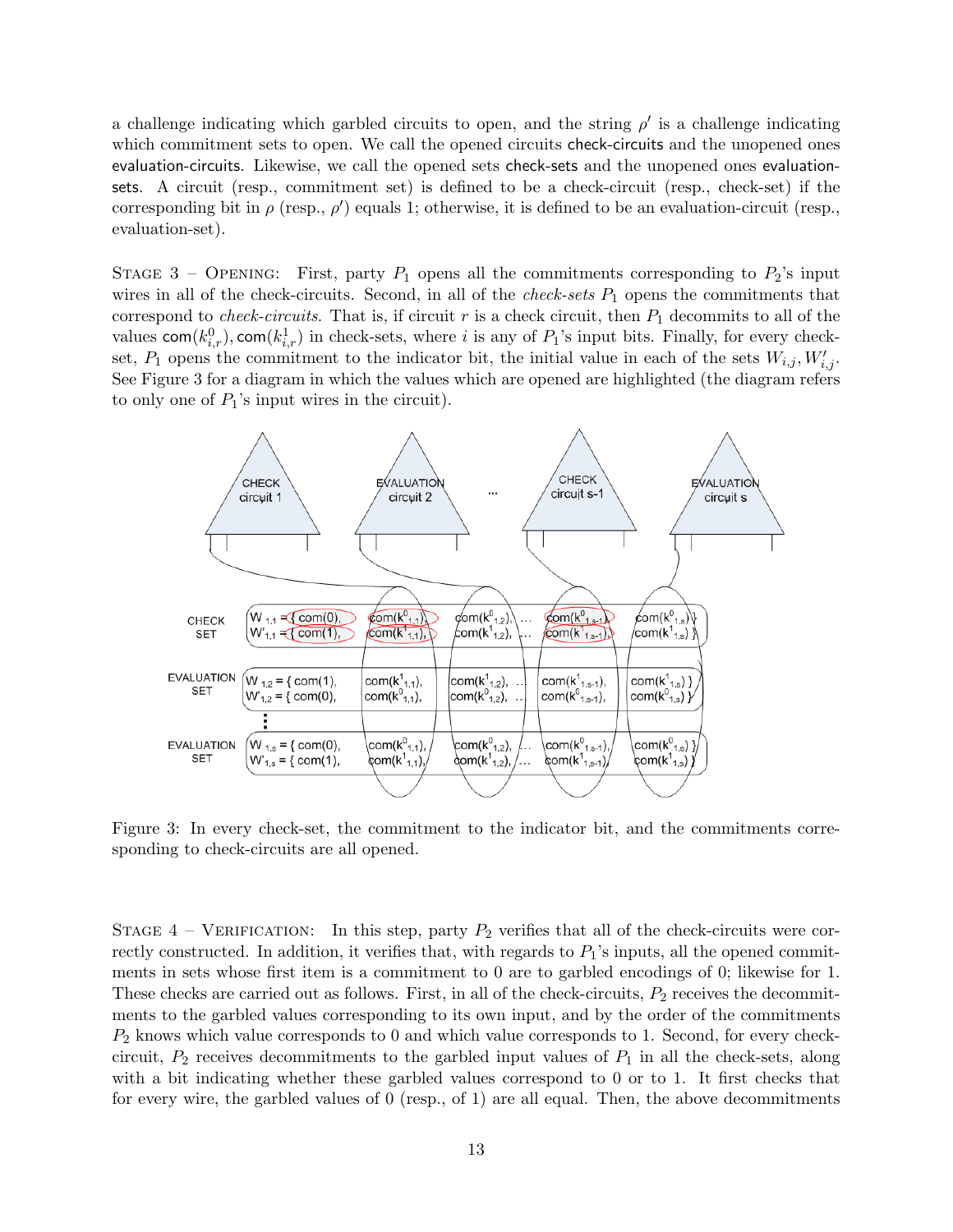a challenge indicating which garbled circuits to open, and the string  $\rho'$  is a challenge indicating which commitment sets to open. We call the opened circuits check-circuits and the unopened ones evaluation-circuits. Likewise, we call the opened sets check-sets and the unopened ones evaluationsets. A circuit (resp., commitment set) is defined to be a check-circuit (resp., check-set) if the corresponding bit in  $\rho$  (resp.,  $\rho'$ ) equals 1; otherwise, it is defined to be an evaluation-circuit (resp., evaluation-set).

STAGE 3 – OPENING: First, party  $P_1$  opens all the commitments corresponding to  $P_2$ 's input wires in all of the check-circuits. Second, in all of the *check-sets*  $P_1$  opens the commitments that correspond to *check-circuits*. That is, if circuit  $r$  is a check circuit, then  $P_1$  decommits to all of the values  $\textsf{com}(k_{i,r}^0)$ ,  $\textsf{com}(k_{i,r}^1)$  in check-sets, where i is any of  $P_1$ 's input bits. Finally, for every checkset,  $P_1$  opens the commitment to the indicator bit, the initial value in each of the sets  $W_{i,j}$ ,  $W'_{i,j}$ . See Figure 3 for a diagram in which the values which are opened are highlighted (the diagram refers to only one of  $P_1$ 's input wires in the circuit).



Figure 3: In every check-set, the commitment to the indicator bit, and the commitments corresponding to check-circuits are all opened.

STAGE  $4$  – VERIFICATION: In this step, party  $P_2$  verifies that all of the check-circuits were correctly constructed. In addition, it verifies that, with regards to  $P_1$ 's inputs, all the opened commitments in sets whose first item is a commitment to 0 are to garbled encodings of 0; likewise for 1. These checks are carried out as follows. First, in all of the check-circuits,  $P_2$  receives the decommitments to the garbled values corresponding to its own input, and by the order of the commitments  $P_2$  knows which value corresponds to 0 and which value corresponds to 1. Second, for every checkcircuit,  $P_2$  receives decommitments to the garbled input values of  $P_1$  in all the check-sets, along with a bit indicating whether these garbled values correspond to 0 or to 1. It first checks that for every wire, the garbled values of 0 (resp., of 1) are all equal. Then, the above decommitments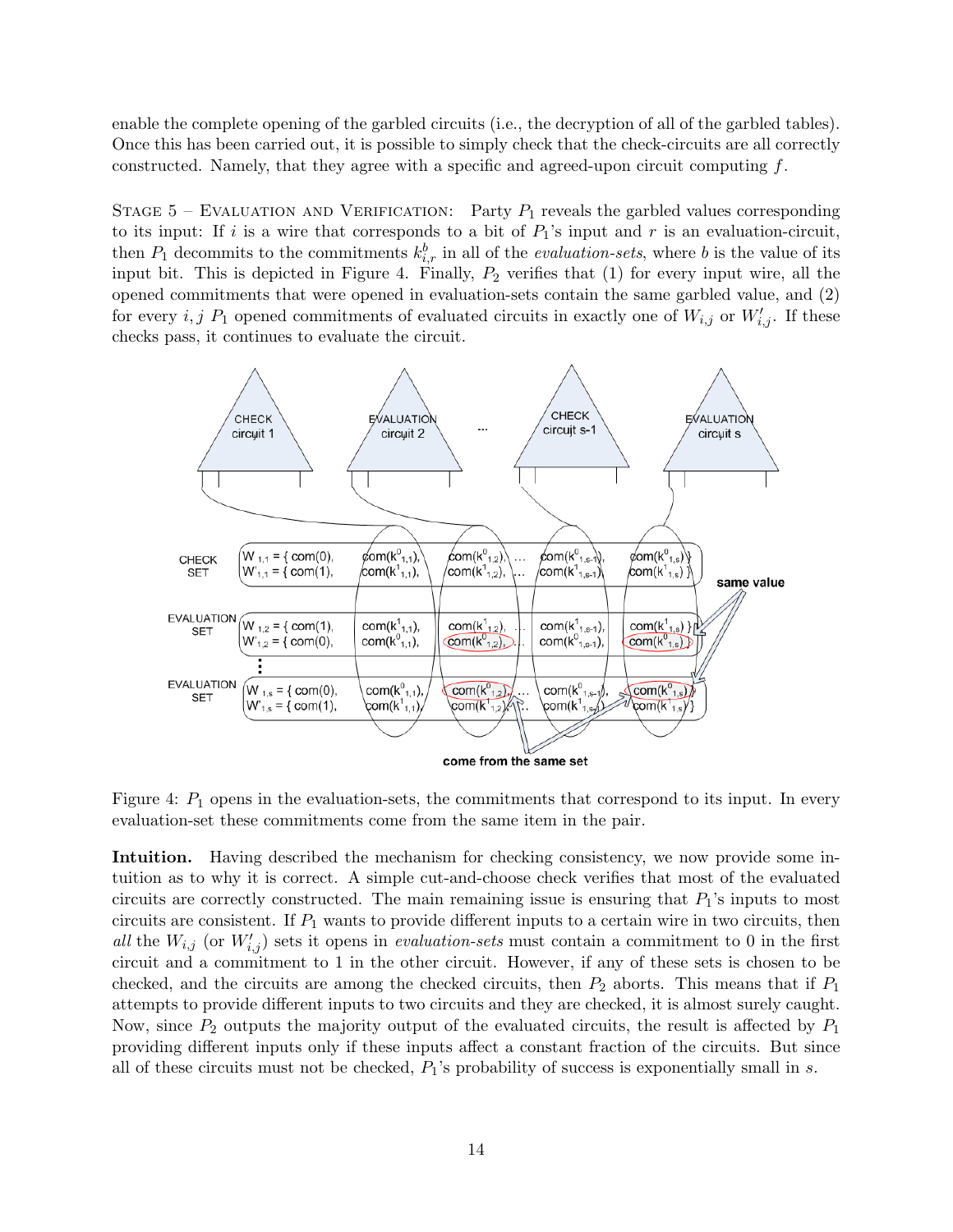enable the complete opening of the garbled circuits (i.e., the decryption of all of the garbled tables). Once this has been carried out, it is possible to simply check that the check-circuits are all correctly constructed. Namely, that they agree with a specific and agreed-upon circuit computing  $f$ .

STAGE 5 – EVALUATION AND VERIFICATION: Party  $P_1$  reveals the garbled values corresponding to its input: If i is a wire that corresponds to a bit of  $P_1$ 's input and r is an evaluation-circuit, then  $P_1$  decommits to the commitments  $k_{i,r}^b$  in all of the *evaluation-sets*, where b is the value of its input bit. This is depicted in Figure 4. Finally,  $P_2$  verifies that (1) for every input wire, all the opened commitments that were opened in evaluation-sets contain the same garbled value, and (2) for every *i*, *j*  $P_1$  opened commitments of evaluated circuits in exactly one of  $W_{i,j}$  or  $W'_{i,j}$ . If these checks pass, it continues to evaluate the circuit.



Figure 4:  $P_1$  opens in the evaluation-sets, the commitments that correspond to its input. In every evaluation-set these commitments come from the same item in the pair.

Intuition. Having described the mechanism for checking consistency, we now provide some intuition as to why it is correct. A simple cut-and-choose check verifies that most of the evaluated circuits are correctly constructed. The main remaining issue is ensuring that  $P_1$ 's inputs to most circuits are consistent. If  $P_1$  wants to provide different inputs to a certain wire in two circuits, then all the  $W_{i,j}$  (or  $W'_{i,j}$ ) sets it opens in *evaluation-sets* must contain a commitment to 0 in the first circuit and a commitment to 1 in the other circuit. However, if any of these sets is chosen to be checked, and the circuits are among the checked circuits, then  $P_2$  aborts. This means that if  $P_1$ attempts to provide different inputs to two circuits and they are checked, it is almost surely caught. Now, since  $P_2$  outputs the majority output of the evaluated circuits, the result is affected by  $P_1$ providing different inputs only if these inputs affect a constant fraction of the circuits. But since all of these circuits must not be checked,  $P_1$ 's probability of success is exponentially small in s.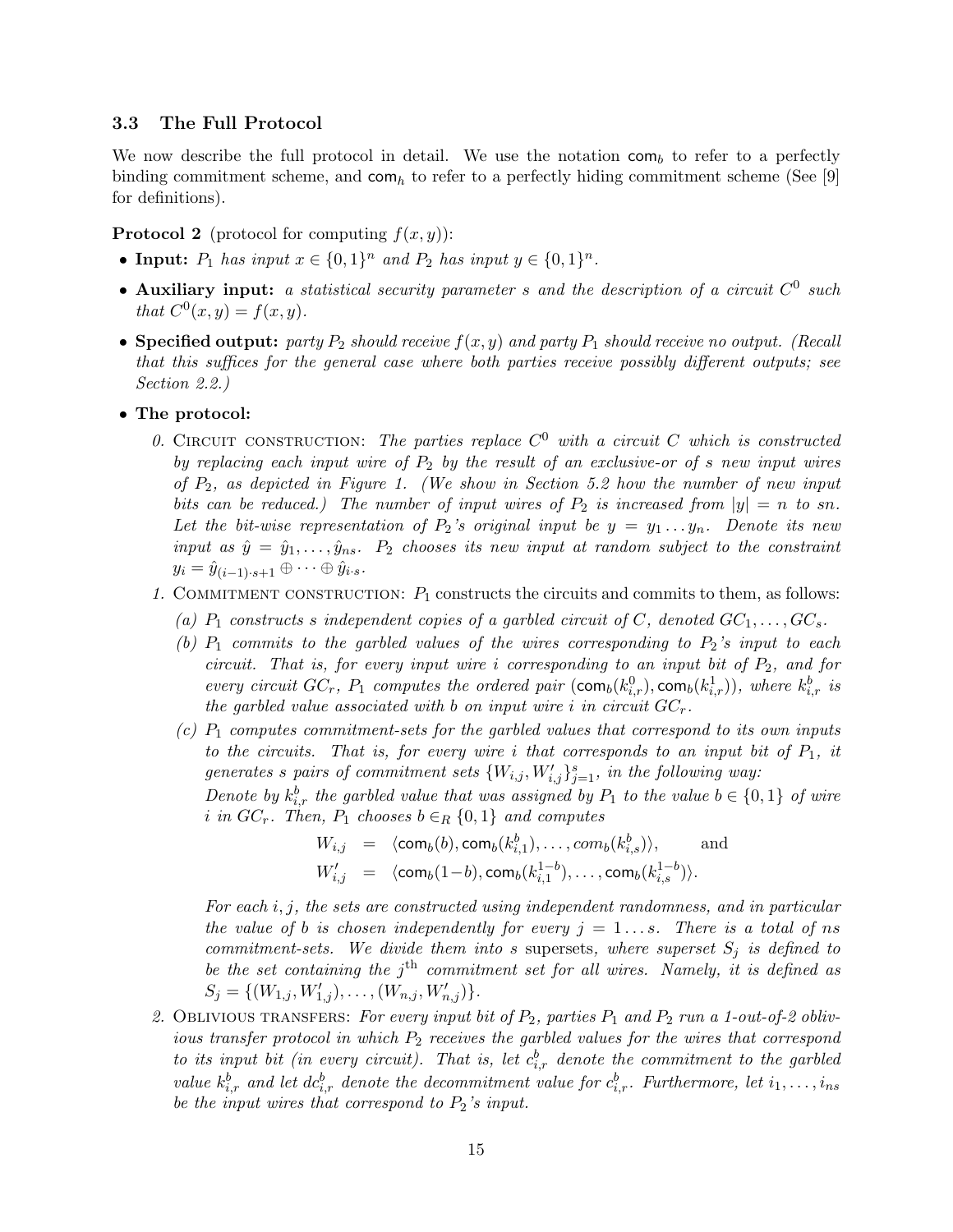#### 3.3 The Full Protocol

We now describe the full protocol in detail. We use the notation  $com_b$  to refer to a perfectly binding commitment scheme, and  $\text{com}_h$  to refer to a perfectly hiding commitment scheme (See [9] for definitions).

**Protocol 2** (protocol for computing  $f(x, y)$ ):

- Input:  $P_1$  has input  $x \in \{0,1\}^n$  and  $P_2$  has input  $y \in \{0,1\}^n$ .
- Auxiliary input: a statistical security parameter s and the description of a circuit  $C^0$  such that  $C^0(x, y) = f(x, y)$ .
- Specified output: party  $P_2$  should receive  $f(x, y)$  and party  $P_1$  should receive no output. (Recall that this suffices for the general case where both parties receive possibly different outputs; see Section 2.2.)
- The protocol:
	- 0. CIRCUIT CONSTRUCTION: The parties replace  $C^0$  with a circuit C which is constructed by replacing each input wire of  $P_2$  by the result of an exclusive-or of s new input wires of  $P_2$ , as depicted in Figure 1. (We show in Section 5.2 how the number of new input bits can be reduced.) The number of input wires of  $P_2$  is increased from  $|y| = n$  to sn. Let the bit-wise representation of  $P_2$ 's original input be  $y = y_1 \ldots y_n$ . Denote its new input as  $\hat{y} = \hat{y}_1, \dots, \hat{y}_{ns}$ .  $P_2$  chooses its new input at random subject to the constraint  $y_i = \hat{y}_{(i-1)\cdot s+1} \oplus \cdots \oplus \hat{y}_{i\cdot s}.$
	- 1. COMMITMENT CONSTRUCTION:  $P_1$  constructs the circuits and commits to them, as follows:
		- (a)  $P_1$  constructs s independent copies of a garbled circuit of C, denoted  $GC_1, \ldots, GC_s$ .
		- (b)  $P_1$  commits to the garbled values of the wires corresponding to  $P_2$ 's input to each circuit. That is, for every input wire i corresponding to an input bit of  $P_2$ , and for every circuit  $GC_r$ ,  $P_1$  computes the ordered pair  $(\text{com}_b(k_{i,r}^0), \text{com}_b(k_{i,r}^1))$ , where  $k_{i,r}^b$  is the garbled value associated with b on input wire i in circuit  $GC_r$ .
		- $(c)$  P<sub>1</sub> computes commitment-sets for the garbled values that correspond to its own inputs to the circuits. That is, for every wire i that corresponds to an input bit of  $P_1$ , it generates s pairs of commitment sets  $\{W_{i,j}, W'_{i,j}\}_{j=1}^s$ , in the following way: Denote by  $k_{i,r}^b$  the garbled value that was assigned by  $P_1$  to the value  $b \in \{0,1\}$  of wire

i in  $GC_r$ . Then,  $P_1$  chooses  $b \in_R \{0,1\}$  and computes

$$
W_{i,j} = \langle \text{com}_b(b), \text{com}_b(k_{i,1}^b), \dots, \text{com}_b(k_{i,s}^b) \rangle, \quad \text{and}
$$
  

$$
W'_{i,j} = \langle \text{com}_b(1-b), \text{com}_b(k_{i,1}^{1-b}), \dots, \text{com}_b(k_{i,s}^{1-b}) \rangle.
$$

For each  $i, j$ , the sets are constructed using independent randomness, and in particular the value of b is chosen independently for every  $j = 1...s$ . There is a total of ns commitment-sets. We divide them into s supersets, where superset  $S_i$  is defined to be the set containing the  $j<sup>th</sup>$  commitment set for all wires. Namely, it is defined as  $S_j = \{ (W_{1,j}, W'_{1,j}), \ldots, (W_{n,j}, W'_{n,j}) \}.$ 

2. OBLIVIOUS TRANSFERS: For every input bit of  $P_2$ , parties  $P_1$  and  $P_2$  run a 1-out-of-2 oblivious transfer protocol in which  $P_2$  receives the garbled values for the wires that correspond to its input bit (in every circuit). That is, let  $c_{i,r}^b$  denote the commitment to the garbled value  $k_{i,r}^b$  and let  $dc_{i,r}^b$  denote the decommitment value for  $c_{i,r}^b$ . Furthermore, let  $i_1, \ldots, i_{ns}$ be the input wires that correspond to  $P_2$ 's input.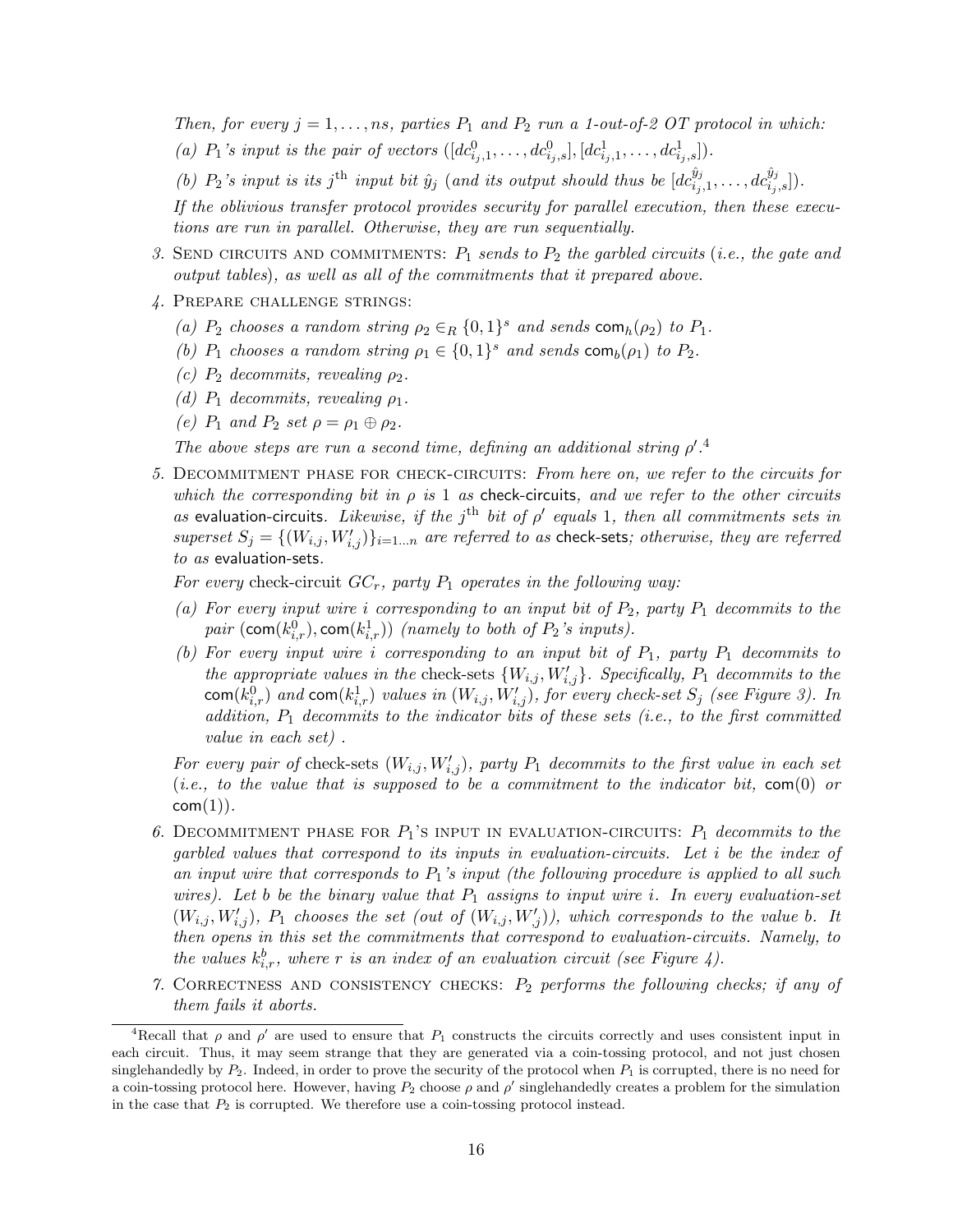Then, for every  $j = 1, \ldots, ns$ , parties  $P_1$  and  $P_2$  run a 1-out-of-2 OT protocol in which:

(a)  $P_1$ 's input is the pair of vectors  $([dc^0_{i_j,1},...,dc^0_{i_j,s}],[dc^1_{i_j,1},...,dc^1_{i_j,s}]).$ 

(b)  $P_2$ 's input is its j<sup>th</sup> input bit  $\hat{y}_j$  (and its output should thus be  $[dc_{i_j,1}^{\hat{y}_j}, \ldots, dc_{i_j,s}^{\hat{y}_j}].$ 

If the oblivious transfer protocol provides security for parallel execution, then these executions are run in parallel. Otherwise, they are run sequentially.

- 3. SEND CIRCUITS AND COMMITMENTS:  $P_1$  sends to  $P_2$  the garbled circuits (i.e., the gate and output tables), as well as all of the commitments that it prepared above.
- 4. Prepare challenge strings:
	- (a)  $P_2$  chooses a random string  $\rho_2 \in_R \{0,1\}^s$  and sends com $_h(\rho_2)$  to  $P_1$ .
	- (b)  $P_1$  chooses a random string  $\rho_1 \in \{0,1\}^s$  and sends  $com_b(\rho_1)$  to  $P_2$ .
	- (c)  $P_2$  decommits, revealing  $\rho_2$ .
	- (d)  $P_1$  decommits, revealing  $\rho_1$ .
	- (e)  $P_1$  and  $P_2$  set  $\rho = \rho_1 \oplus \rho_2$ .

The above steps are run a second time, defining an additional string  $\rho'$ .<sup>4</sup>

5. Decommitment phase for check-circuits: From here on, we refer to the circuits for which the corresponding bit in  $\rho$  is 1 as check-circuits, and we refer to the other circuits as evaluation-circuits. Likewise, if the j<sup>th</sup> bit of  $\rho'$  equals 1, then all commitments sets in superset  $S_j = \{(W_{i,j}, W'_{i,j})\}_{i=1...n}$  are referred to as check-sets; otherwise, they are referred  $to$   $as$  evaluation-sets.

For every check-circuit  $GC_r$ , party  $P_1$  operates in the following way:

- (a) For every input wire i corresponding to an input bit of  $P_2$ , party  $P_1$  decommits to the pair  $(\textsf{com}(k_{i,r}^0), \textsf{com}(k_{i,r}^1))$  (namely to both of  $P_2$ 's inputs).
- (b) For every input wire i corresponding to an input bit of  $P_1$ , party  $P_1$  decommits to the appropriate values in the check-sets  $\{W_{i,j}, W'_{i,j}\}$ . Specifically,  $P_1$  decommits to the com $(k_{i,r}^0)$  and com $(k_{i,r}^1)$  values in  $(W_{i,j}, W'_{i,j})$ , for every check-set  $S_j$  (see Figure 3). In addition,  $P_1$  decommits to the indicator bits of these sets (i.e., to the first committed value in each set) .

For every pair of check-sets  $(W_{i,j}, W'_{i,j})$ , party  $P_1$  decommits to the first value in each set (*i.e.*, to the value that is supposed to be a commitment to the indicator bit,  $com(0)$  or  $com(1)$ ).

- 6. DECOMMITMENT PHASE FOR  $P_1$ 's INPUT IN EVALUATION-CIRCUITS:  $P_1$  decommits to the garbled values that correspond to its inputs in evaluation-circuits. Let i be the index of an input wire that corresponds to  $P_1$ 's input (the following procedure is applied to all such wires). Let b be the binary value that  $P_1$  assigns to input wire i. In every evaluation-set  $(W_{i,j}, W'_{i,j})$ ,  $P_1$  chooses the set (out of  $(W_{i,j}, W'_{i,j})$ ), which corresponds to the value b. It then opens in this set the commitments that correspond to evaluation-circuits. Namely, to the values  $k_{i,r}^b$ , where r is an index of an evaluation circuit (see Figure 4).
- 7. CORRECTNESS AND CONSISTENCY CHECKS:  $P_2$  performs the following checks; if any of them fails it aborts.

<sup>&</sup>lt;sup>4</sup>Recall that  $\rho$  and  $\rho'$  are used to ensure that  $P_1$  constructs the circuits correctly and uses consistent input in each circuit. Thus, it may seem strange that they are generated via a coin-tossing protocol, and not just chosen singlehandedly by  $P_2$ . Indeed, in order to prove the security of the protocol when  $P_1$  is corrupted, there is no need for a coin-tossing protocol here. However, having  $P_2$  choose  $\rho$  and  $\rho'$  singlehandedly creates a problem for the simulation in the case that  $P_2$  is corrupted. We therefore use a coin-tossing protocol instead.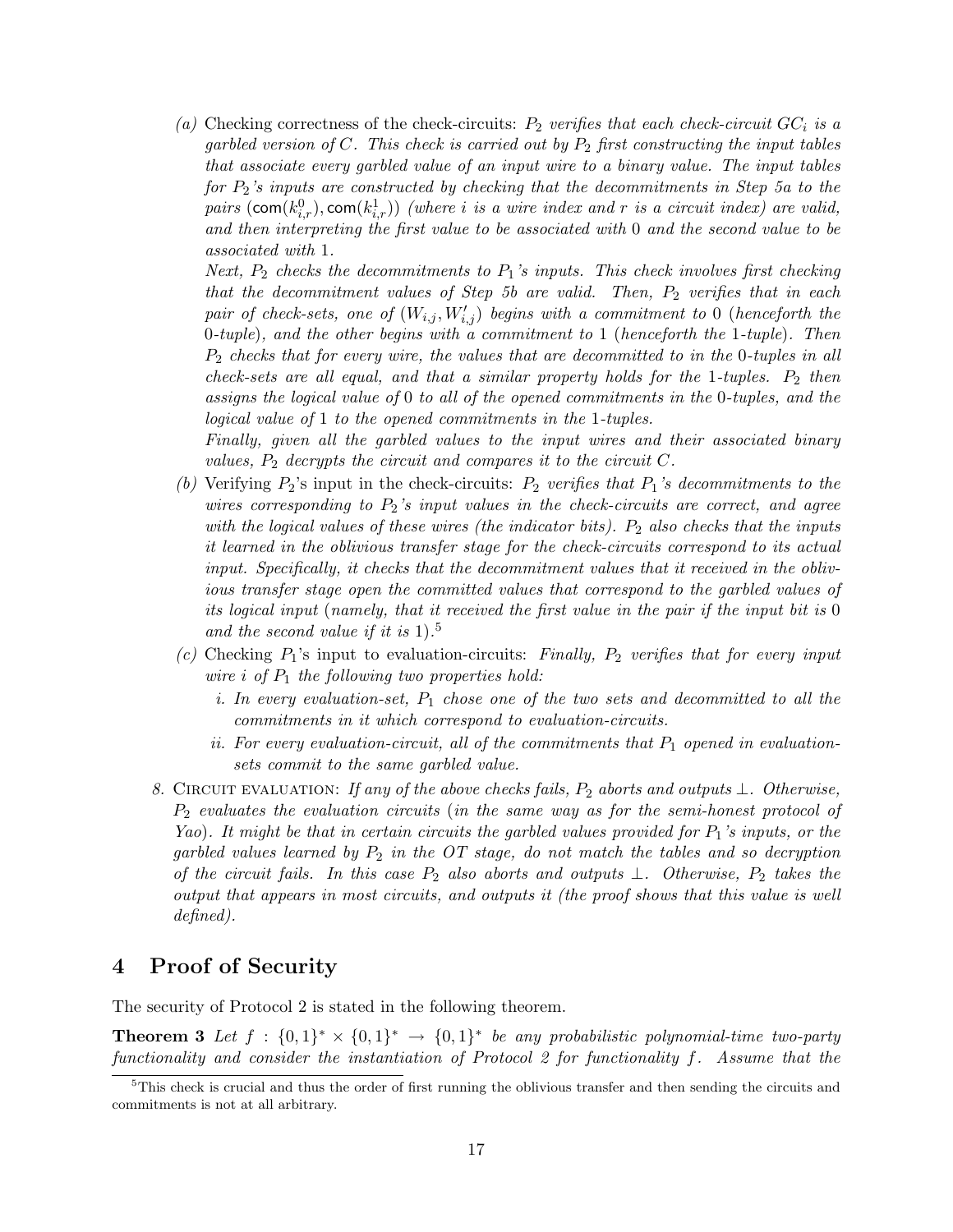(a) Checking correctness of the check-circuits:  $P_2$  verifies that each check-circuit  $GC_i$  is a garbled version of C. This check is carried out by  $P_2$  first constructing the input tables that associate every garbled value of an input wire to a binary value. The input tables for  $P_2$ 's inputs are constructed by checking that the decommitments in Step 5a to the pairs  $(\textsf{com}(k_{i,r}^0), \textsf{com}(k_{i,r}^1))$  (where i is a wire index and r is a circuit index) are valid, and then interpreting the first value to be associated with 0 and the second value to be associated with 1.

Next,  $P_2$  checks the decommitments to  $P_1$ 's inputs. This check involves first checking that the decommitment values of Step 5b are valid. Then,  $P_2$  verifies that in each pair of check-sets, one of  $(W_{i,j}, W'_{i,j})$  begins with a commitment to 0 (henceforth the  $0$ -tuple), and the other begins with a commitment to 1 (henceforth the 1-tuple). Then  $P_2$  checks that for every wire, the values that are decommitted to in the 0-tuples in all check-sets are all equal, and that a similar property holds for the 1-tuples.  $P_2$  then assigns the logical value of 0 to all of the opened commitments in the 0-tuples, and the logical value of 1 to the opened commitments in the 1-tuples.

Finally, given all the garbled values to the input wires and their associated binary values,  $P_2$  decrypts the circuit and compares it to the circuit  $C$ .

- (b) Verifying  $P_2$ 's input in the check-circuits:  $P_2$  verifies that  $P_1$ 's decommitments to the wires corresponding to  $P_2$ 's input values in the check-circuits are correct, and agree with the logical values of these wires (the indicator bits).  $P_2$  also checks that the inputs it learned in the oblivious transfer stage for the check-circuits correspond to its actual input. Specifically, it checks that the decommitment values that it received in the oblivious transfer stage open the committed values that correspond to the garbled values of its logical input (namely, that it received the first value in the pair if the input bit is 0 and the second value if it is  $1$ ).<sup>5</sup>
- (c) Checking  $P_1$ 's input to evaluation-circuits: Finally,  $P_2$  verifies that for every input wire i of  $P_1$  the following two properties hold:
	- i. In every evaluation-set,  $P_1$  chose one of the two sets and decommitted to all the commitments in it which correspond to evaluation-circuits.
	- ii. For every evaluation-circuit, all of the commitments that  $P_1$  opened in evaluationsets commit to the same garbled value.
- 8. CIRCUIT EVALUATION: If any of the above checks fails,  $P_2$  aborts and outputs  $\perp$ . Otherwise,  $P_2$  evaluates the evaluation circuits (in the same way as for the semi-honest protocol of Yao). It might be that in certain circuits the garbled values provided for  $P_1$ 's inputs, or the garbled values learned by  $P_2$  in the OT stage, do not match the tables and so decryption of the circuit fails. In this case  $P_2$  also aborts and outputs  $\perp$ . Otherwise,  $P_2$  takes the output that appears in most circuits, and outputs it (the proof shows that this value is well defined).

### 4 Proof of Security

The security of Protocol 2 is stated in the following theorem.

**Theorem 3** Let  $f : \{0,1\}^* \times \{0,1\}^* \rightarrow \{0,1\}^*$  be any probabilistic polynomial-time two-party functionality and consider the instantiation of Protocol 2 for functionality f. Assume that the

<sup>5</sup>This check is crucial and thus the order of first running the oblivious transfer and then sending the circuits and commitments is not at all arbitrary.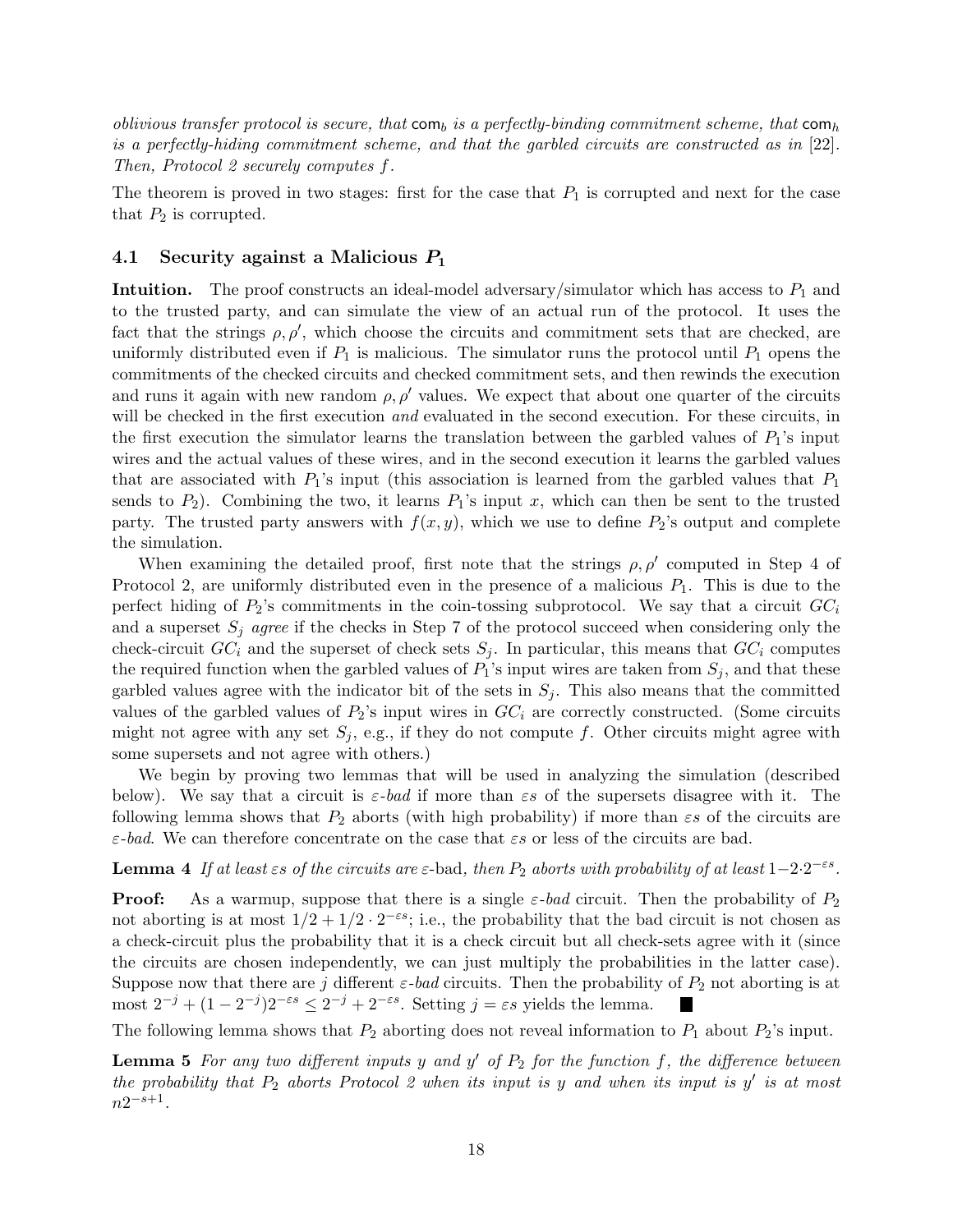oblivious transfer protocol is secure, that  $com_b$  is a perfectly-binding commitment scheme, that  $com_b$ is a perfectly-hiding commitment scheme, and that the garbled circuits are constructed as in [22]. Then, Protocol 2 securely computes f.

The theorem is proved in two stages: first for the case that  $P_1$  is corrupted and next for the case that  $P_2$  is corrupted.

#### 4.1 Security against a Malicious  $P_1$

**Intuition.** The proof constructs an ideal-model adversary/simulator which has access to  $P_1$  and to the trusted party, and can simulate the view of an actual run of the protocol. It uses the fact that the strings  $\rho, \rho'$ , which choose the circuits and commitment sets that are checked, are uniformly distributed even if  $P_1$  is malicious. The simulator runs the protocol until  $P_1$  opens the commitments of the checked circuits and checked commitment sets, and then rewinds the execution and runs it again with new random  $\rho$ ,  $\rho'$  values. We expect that about one quarter of the circuits will be checked in the first execution *and* evaluated in the second execution. For these circuits, in the first execution the simulator learns the translation between the garbled values of  $P_1$ 's input wires and the actual values of these wires, and in the second execution it learns the garbled values that are associated with  $P_1$ 's input (this association is learned from the garbled values that  $P_1$ sends to  $P_2$ ). Combining the two, it learns  $P_1$ 's input x, which can then be sent to the trusted party. The trusted party answers with  $f(x, y)$ , which we use to define  $P_2$ 's output and complete the simulation.

When examining the detailed proof, first note that the strings  $\rho, \rho'$  computed in Step 4 of Protocol 2, are uniformly distributed even in the presence of a malicious  $P_1$ . This is due to the perfect hiding of  $P_2$ 's commitments in the coin-tossing subprotocol. We say that a circuit  $GC_i$ and a superset  $S_j$  agree if the checks in Step 7 of the protocol succeed when considering only the check-circuit  $GC_i$  and the superset of check sets  $S_j$ . In particular, this means that  $GC_i$  computes the required function when the garbled values of  $P_1$ 's input wires are taken from  $S_j$ , and that these garbled values agree with the indicator bit of the sets in  $S_i$ . This also means that the committed values of the garbled values of  $P_2$ 's input wires in  $GC_i$  are correctly constructed. (Some circuits might not agree with any set  $S_j$ , e.g., if they do not compute f. Other circuits might agree with some supersets and not agree with others.)

We begin by proving two lemmas that will be used in analyzing the simulation (described below). We say that a circuit is  $\varepsilon$ -bad if more than  $\varepsilon s$  of the supersets disagree with it. The following lemma shows that  $P_2$  aborts (with high probability) if more than  $\epsilon s$  of the circuits are  $\varepsilon$ -bad. We can therefore concentrate on the case that  $\varepsilon s$  or less of the circuits are bad.

### **Lemma 4** If at least  $\epsilon s$  of the circuits are  $\epsilon$ -bad, then  $P_2$  aborts with probability of at least  $1-2 \cdot 2^{-\epsilon s}$ .

**Proof:** As a warmup, suppose that there is a single  $\varepsilon$ -bad circuit. Then the probability of  $P_2$ not aborting is at most  $1/2 + 1/2 \cdot 2^{-\epsilon s}$ ; i.e., the probability that the bad circuit is not chosen as a check-circuit plus the probability that it is a check circuit but all check-sets agree with it (since the circuits are chosen independently, we can just multiply the probabilities in the latter case). Suppose now that there are j different  $\varepsilon$ -bad circuits. Then the probability of  $P_2$  not aborting is at most  $2^{-j} + (1 - 2^{-j})2^{-\varepsilon s} \leq 2^{-j} + 2^{-\varepsilon s}$ . Setting  $j = \varepsilon s$  yields the lemma. 

The following lemma shows that  $P_2$  aborting does not reveal information to  $P_1$  about  $P_2$ 's input.

**Lemma 5** For any two different inputs y and y' of  $P_2$  for the function f, the difference between the probability that  $P_2$  aborts Protocol 2 when its input is y and when its input is y' is at most  $n2^{-s+1}$ .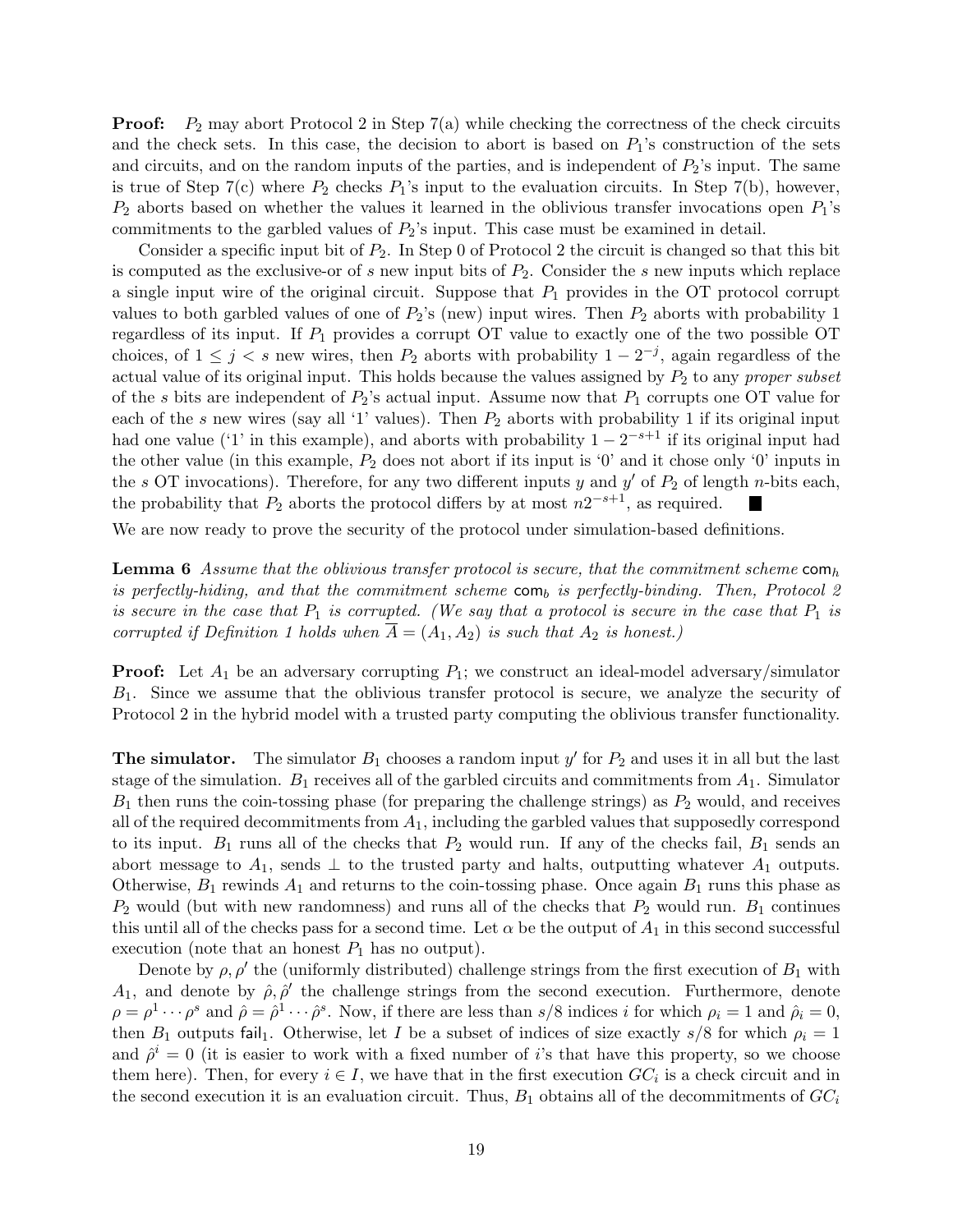**Proof:**  $P_2$  may abort Protocol 2 in Step 7(a) while checking the correctness of the check circuits and the check sets. In this case, the decision to abort is based on  $P_1$ 's construction of the sets and circuits, and on the random inputs of the parties, and is independent of  $P_2$ 's input. The same is true of Step 7(c) where  $P_2$  checks  $P_1$ 's input to the evaluation circuits. In Step 7(b), however,  $P_2$  aborts based on whether the values it learned in the oblivious transfer invocations open  $P_1$ 's commitments to the garbled values of  $P_2$ 's input. This case must be examined in detail.

Consider a specific input bit of  $P_2$ . In Step 0 of Protocol 2 the circuit is changed so that this bit is computed as the exclusive-or of s new input bits of  $P_2$ . Consider the s new inputs which replace a single input wire of the original circuit. Suppose that  $P_1$  provides in the OT protocol corrupt values to both garbled values of one of  $P_2$ 's (new) input wires. Then  $P_2$  aborts with probability 1 regardless of its input. If  $P_1$  provides a corrupt OT value to exactly one of the two possible OT choices, of  $1 \leq j \leq s$  new wires, then  $P_2$  aborts with probability  $1 - 2^{-j}$ , again regardless of the actual value of its original input. This holds because the values assigned by  $P_2$  to any proper subset of the s bits are independent of  $P_2$ 's actual input. Assume now that  $P_1$  corrupts one OT value for each of the s new wires (say all '1' values). Then  $P_2$  aborts with probability 1 if its original input had one value ('1' in this example), and aborts with probability  $1 - 2^{-s+1}$  if its original input had the other value (in this example,  $P_2$  does not abort if its input is '0' and it chose only '0' inputs in the s OT invocations). Therefore, for any two different inputs y and y' of  $P_2$  of length n-bits each, the probability that  $P_2$  aborts the protocol differs by at most  $n2^{-s+1}$ , as required.

We are now ready to prove the security of the protocol under simulation-based definitions.

**Lemma 6** Assume that the oblivious transfer protocol is secure, that the commitment scheme com<sub>h</sub> is perfectly-hiding, and that the commitment scheme  $com_b$  is perfectly-binding. Then, Protocol 2 is secure in the case that  $P_1$  is corrupted. (We say that a protocol is secure in the case that  $P_1$  is corrupted if Definition 1 holds when  $\overline{A} = (A_1, A_2)$  is such that  $A_2$  is honest.)

**Proof:** Let  $A_1$  be an adversary corrupting  $P_1$ ; we construct an ideal-model adversary/simulator  $B_1$ . Since we assume that the oblivious transfer protocol is secure, we analyze the security of Protocol 2 in the hybrid model with a trusted party computing the oblivious transfer functionality.

**The simulator.** The simulator  $B_1$  chooses a random input y' for  $P_2$  and uses it in all but the last stage of the simulation.  $B_1$  receives all of the garbled circuits and commitments from  $A_1$ . Simulator  $B_1$  then runs the coin-tossing phase (for preparing the challenge strings) as  $P_2$  would, and receives all of the required decommitments from  $A_1$ , including the garbled values that supposedly correspond to its input.  $B_1$  runs all of the checks that  $P_2$  would run. If any of the checks fail,  $B_1$  sends an abort message to  $A_1$ , sends  $\perp$  to the trusted party and halts, outputting whatever  $A_1$  outputs. Otherwise,  $B_1$  rewinds  $A_1$  and returns to the coin-tossing phase. Once again  $B_1$  runs this phase as  $P_2$  would (but with new randomness) and runs all of the checks that  $P_2$  would run.  $B_1$  continues this until all of the checks pass for a second time. Let  $\alpha$  be the output of  $A_1$  in this second successful execution (note that an honest  $P_1$  has no output).

Denote by  $\rho$ ,  $\rho'$  the (uniformly distributed) challenge strings from the first execution of  $B_1$  with  $A_1$ , and denote by  $\hat{\rho}, \hat{\rho}'$  the challenge strings from the second execution. Furthermore, denote  $\rho = \rho^1 \cdots \rho^s$  and  $\hat{\rho} = \hat{\rho}^1 \cdots \hat{\rho}^s$ . Now, if there are less than  $s/8$  indices i for which  $\rho_i = 1$  and  $\hat{\rho}_i = 0$ , then  $B_1$  outputs fail<sub>1</sub>. Otherwise, let I be a subset of indices of size exactly s/8 for which  $\rho_i = 1$ and  $\hat{\rho}^i = 0$  (it is easier to work with a fixed number of *i*'s that have this property, so we choose them here). Then, for every  $i \in I$ , we have that in the first execution  $GC_i$  is a check circuit and in the second execution it is an evaluation circuit. Thus,  $B_1$  obtains all of the decommitments of  $GC_i$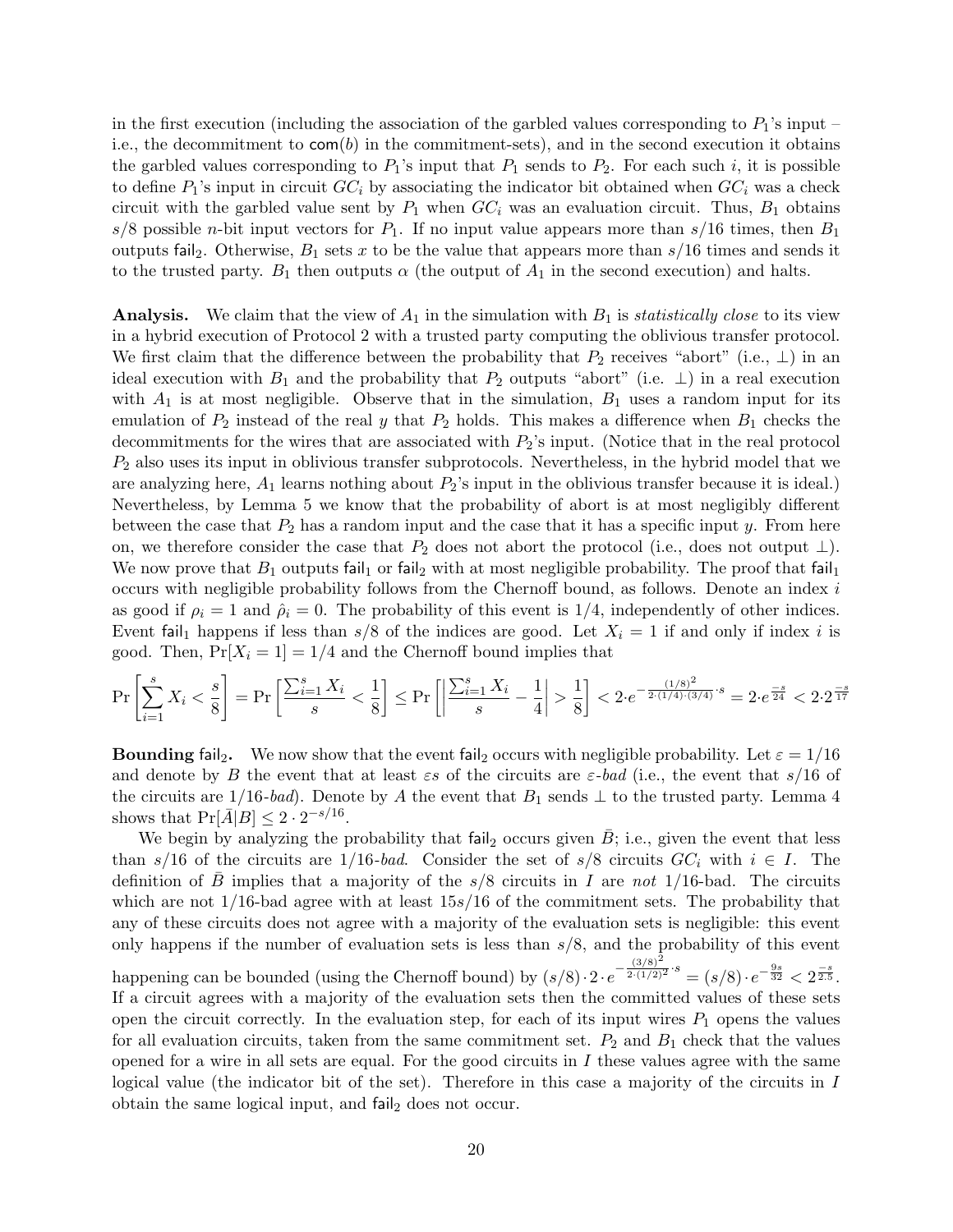in the first execution (including the association of the garbled values corresponding to  $P_1$ 's input – i.e., the decommitment to  $com(b)$  in the commitment-sets), and in the second execution it obtains the garbled values corresponding to  $P_1$ 's input that  $P_1$  sends to  $P_2$ . For each such i, it is possible to define  $P_1$ 's input in circuit  $GC_i$  by associating the indicator bit obtained when  $GC_i$  was a check circuit with the garbled value sent by  $P_1$  when  $GC_i$  was an evaluation circuit. Thus,  $B_1$  obtains  $s/8$  possible *n*-bit input vectors for  $P_1$ . If no input value appears more than  $s/16$  times, then  $B_1$ outputs fail<sub>2</sub>. Otherwise,  $B_1$  sets x to be the value that appears more than  $s/16$  times and sends it to the trusted party.  $B_1$  then outputs  $\alpha$  (the output of  $A_1$  in the second execution) and halts.

**Analysis.** We claim that the view of  $A_1$  in the simulation with  $B_1$  is *statistically close* to its view in a hybrid execution of Protocol 2 with a trusted party computing the oblivious transfer protocol. We first claim that the difference between the probability that  $P_2$  receives "abort" (i.e.,  $\perp$ ) in an ideal execution with  $B_1$  and the probability that  $P_2$  outputs "abort" (i.e.  $\perp$ ) in a real execution with  $A_1$  is at most negligible. Observe that in the simulation,  $B_1$  uses a random input for its emulation of  $P_2$  instead of the real y that  $P_2$  holds. This makes a difference when  $B_1$  checks the decommitments for the wires that are associated with  $P_2$ 's input. (Notice that in the real protocol  $P_2$  also uses its input in oblivious transfer subprotocols. Nevertheless, in the hybrid model that we are analyzing here,  $A_1$  learns nothing about  $P_2$ 's input in the oblivious transfer because it is ideal.) Nevertheless, by Lemma 5 we know that the probability of abort is at most negligibly different between the case that  $P_2$  has a random input and the case that it has a specific input y. From here on, we therefore consider the case that  $P_2$  does not abort the protocol (i.e., does not output  $\perp$ ). We now prove that  $B_1$  outputs fail<sub>1</sub> or fail<sub>2</sub> with at most negligible probability. The proof that fail<sub>1</sub> occurs with negligible probability follows from the Chernoff bound, as follows. Denote an index i as good if  $\rho_i = 1$  and  $\hat{\rho}_i = 0$ . The probability of this event is 1/4, independently of other indices. Event fail<sub>1</sub> happens if less than  $s/8$  of the indices are good. Let  $X_i = 1$  if and only if index i is good. Then,  $Pr[X_i = 1] = 1/4$  and the Chernoff bound implies that

$$
\Pr\left[\sum_{i=1}^{s} X_i < \frac{s}{8}\right] = \Pr\left[\frac{\sum_{i=1}^{s} X_i}{s} < \frac{1}{8}\right] \le \Pr\left[\left|\frac{\sum_{i=1}^{s} X_i}{s} - \frac{1}{4}\right| > \frac{1}{8}\right] < 2 \cdot e^{-\frac{(1/8)^2}{2 \cdot (1/4) \cdot (3/4)} \cdot s} = 2 \cdot e^{\frac{-s}{24}} < 2 \cdot 2^{\frac{-s}{17}}
$$

**Bounding fail**<sub>2</sub>. We now show that the event fail<sub>2</sub> occurs with negligible probability. Let  $\varepsilon = 1/16$ and denote by B the event that at least  $\epsilon s$  of the circuits are  $\epsilon$ -bad (i.e., the event that  $s/16$  of the circuits are  $1/16$ -bad). Denote by A the event that  $B_1$  sends  $\perp$  to the trusted party. Lemma 4 shows that  $Pr[\bar{A}|B] \leq 2 \cdot 2^{-s/16}$ .

We begin by analyzing the probability that fail<sub>2</sub> occurs given  $\bar{B}$ ; i.e., given the event that less than s/16 of the circuits are 1/16-bad. Consider the set of s/8 circuits  $GC_i$  with  $i \in I$ . The definition of B implies that a majority of the  $s/8$  circuits in I are not 1/16-bad. The circuits which are not  $1/16$ -bad agree with at least  $15s/16$  of the commitment sets. The probability that any of these circuits does not agree with a majority of the evaluation sets is negligible: this event only happens if the number of evaluation sets is less than  $s/8$ , and the probability of this event happening can be bounded (using the Chernoff bound) by  $(s/8) \cdot 2 \cdot e^{-\frac{(3/8)^2}{2 \cdot (1/2)}}$  $\frac{13/8}{2\cdot(1/2)^2}$ 's =  $(s/8)\cdot e^{-\frac{9s}{32}} < 2^{\frac{-s}{2.5}}$ . If a circuit agrees with a majority of the evaluation sets then the committed values of these sets open the circuit correctly. In the evaluation step, for each of its input wires  $P_1$  opens the values for all evaluation circuits, taken from the same commitment set.  $P_2$  and  $B_1$  check that the values opened for a wire in all sets are equal. For the good circuits in  $I$  these values agree with the same logical value (the indicator bit of the set). Therefore in this case a majority of the circuits in  $I$ obtain the same logical input, and  $\text{fail}_2$  does not occur.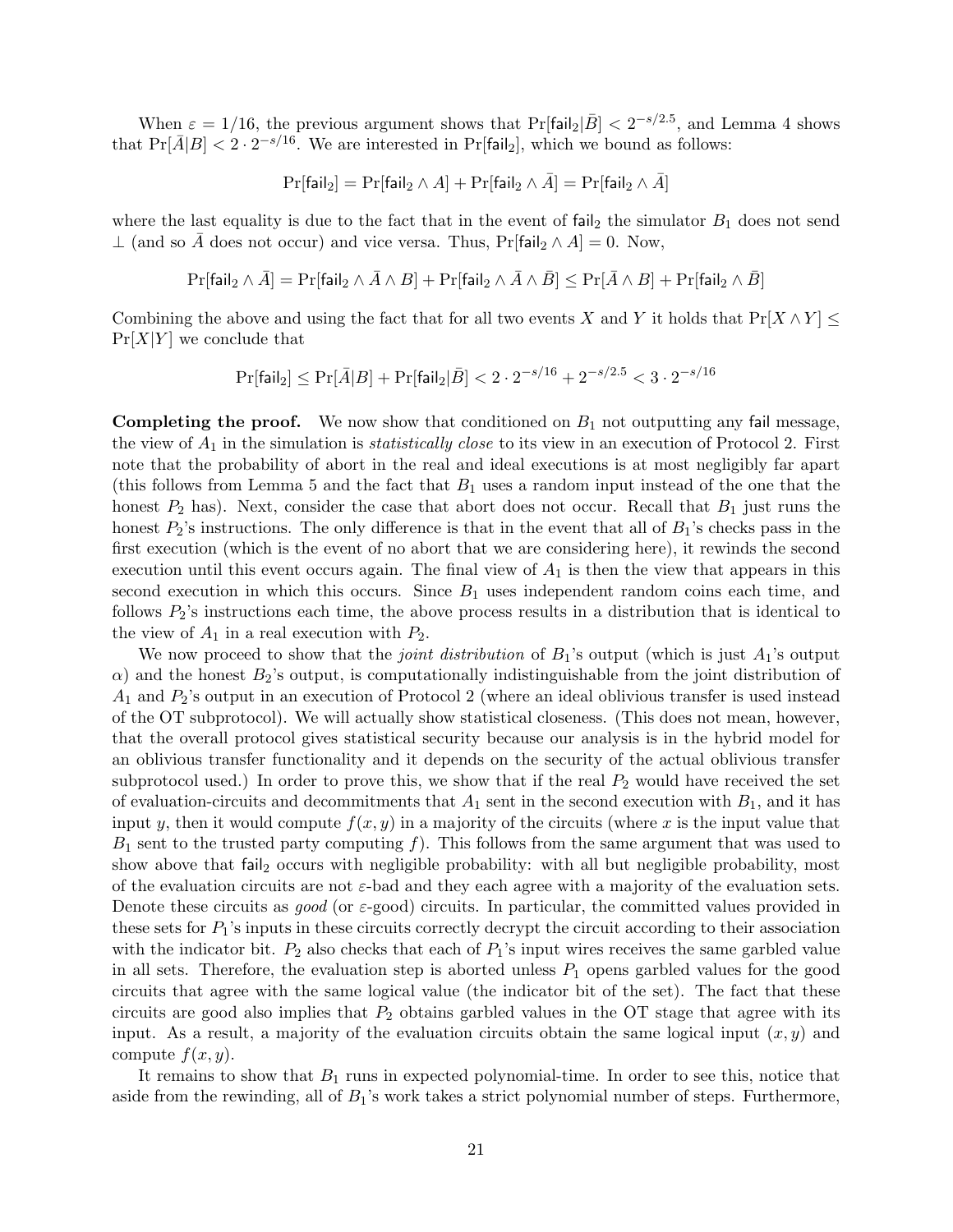When  $\varepsilon = 1/16$ , the previous argument shows that  $\Pr[\text{fail}_2 | \bar{B}] < 2^{-s/2.5}$ , and Lemma 4 shows that  $Pr[\bar{A}|B] < 2 \cdot 2^{-s/16}$ . We are interested in  $Pr[\text{fail}_2]$ , which we bound as follows:

$$
\Pr[\mathsf{fail}_2] = \Pr[\mathsf{fail}_2 \wedge A] + \Pr[\mathsf{fail}_2 \wedge \bar{A}] = \Pr[\mathsf{fail}_2 \wedge \bar{A}]
$$

where the last equality is due to the fact that in the event of fail<sub>2</sub> the simulator  $B_1$  does not send  $\perp$  (and so  $\overline{A}$  does not occur) and vice versa. Thus, Pr[fail<sub>2</sub>  $\wedge A$ ] = 0. Now,

$$
\Pr[\mathsf{fail}_2 \wedge \bar{A}] = \Pr[\mathsf{fail}_2 \wedge \bar{A} \wedge B] + \Pr[\mathsf{fail}_2 \wedge \bar{A} \wedge \bar{B}] \leq \Pr[\bar{A} \wedge B] + \Pr[\mathsf{fail}_2 \wedge \bar{B}]
$$

Combining the above and using the fact that for all two events X and Y it holds that  $Pr[X \wedge Y]$  $Pr[X|Y]$  we conclude that

$$
\Pr[\mathsf{fail}_2] \le \Pr[\bar{A}|B] + \Pr[\mathsf{fail}_2|\bar{B}] < 2 \cdot 2^{-s/16} + 2^{-s/2.5} < 3 \cdot 2^{-s/16}
$$

**Completing the proof.** We now show that conditioned on  $B_1$  not outputting any fail message, the view of  $A_1$  in the simulation is *statistically close* to its view in an execution of Protocol 2. First note that the probability of abort in the real and ideal executions is at most negligibly far apart (this follows from Lemma 5 and the fact that  $B_1$  uses a random input instead of the one that the honest  $P_2$  has). Next, consider the case that abort does not occur. Recall that  $B_1$  just runs the honest  $P_2$ 's instructions. The only difference is that in the event that all of  $B_1$ 's checks pass in the first execution (which is the event of no abort that we are considering here), it rewinds the second execution until this event occurs again. The final view of  $A_1$  is then the view that appears in this second execution in which this occurs. Since  $B_1$  uses independent random coins each time, and follows  $P_2$ 's instructions each time, the above process results in a distribution that is identical to the view of  $A_1$  in a real execution with  $P_2$ .

We now proceed to show that the *joint distribution* of  $B_1$ 's output (which is just  $A_1$ 's output  $\alpha$ ) and the honest  $B_2$ 's output, is computationally indistinguishable from the joint distribution of  $A_1$  and  $P_2$ 's output in an execution of Protocol 2 (where an ideal oblivious transfer is used instead of the OT subprotocol). We will actually show statistical closeness. (This does not mean, however, that the overall protocol gives statistical security because our analysis is in the hybrid model for an oblivious transfer functionality and it depends on the security of the actual oblivious transfer subprotocol used.) In order to prove this, we show that if the real  $P_2$  would have received the set of evaluation-circuits and decommitments that  $A_1$  sent in the second execution with  $B_1$ , and it has input y, then it would compute  $f(x, y)$  in a majority of the circuits (where x is the input value that  $B_1$  sent to the trusted party computing f). This follows from the same argument that was used to show above that fail<sub>2</sub> occurs with negligible probability: with all but negligible probability, most of the evaluation circuits are not  $\varepsilon$ -bad and they each agree with a majority of the evaluation sets. Denote these circuits as good (or  $\varepsilon$ -good) circuits. In particular, the committed values provided in these sets for  $P_1$ 's inputs in these circuits correctly decrypt the circuit according to their association with the indicator bit.  $P_2$  also checks that each of  $P_1$ 's input wires receives the same garbled value in all sets. Therefore, the evaluation step is aborted unless  $P_1$  opens garbled values for the good circuits that agree with the same logical value (the indicator bit of the set). The fact that these circuits are good also implies that  $P_2$  obtains garbled values in the OT stage that agree with its input. As a result, a majority of the evaluation circuits obtain the same logical input  $(x, y)$  and compute  $f(x, y)$ .

It remains to show that  $B_1$  runs in expected polynomial-time. In order to see this, notice that aside from the rewinding, all of  $B_1$ 's work takes a strict polynomial number of steps. Furthermore,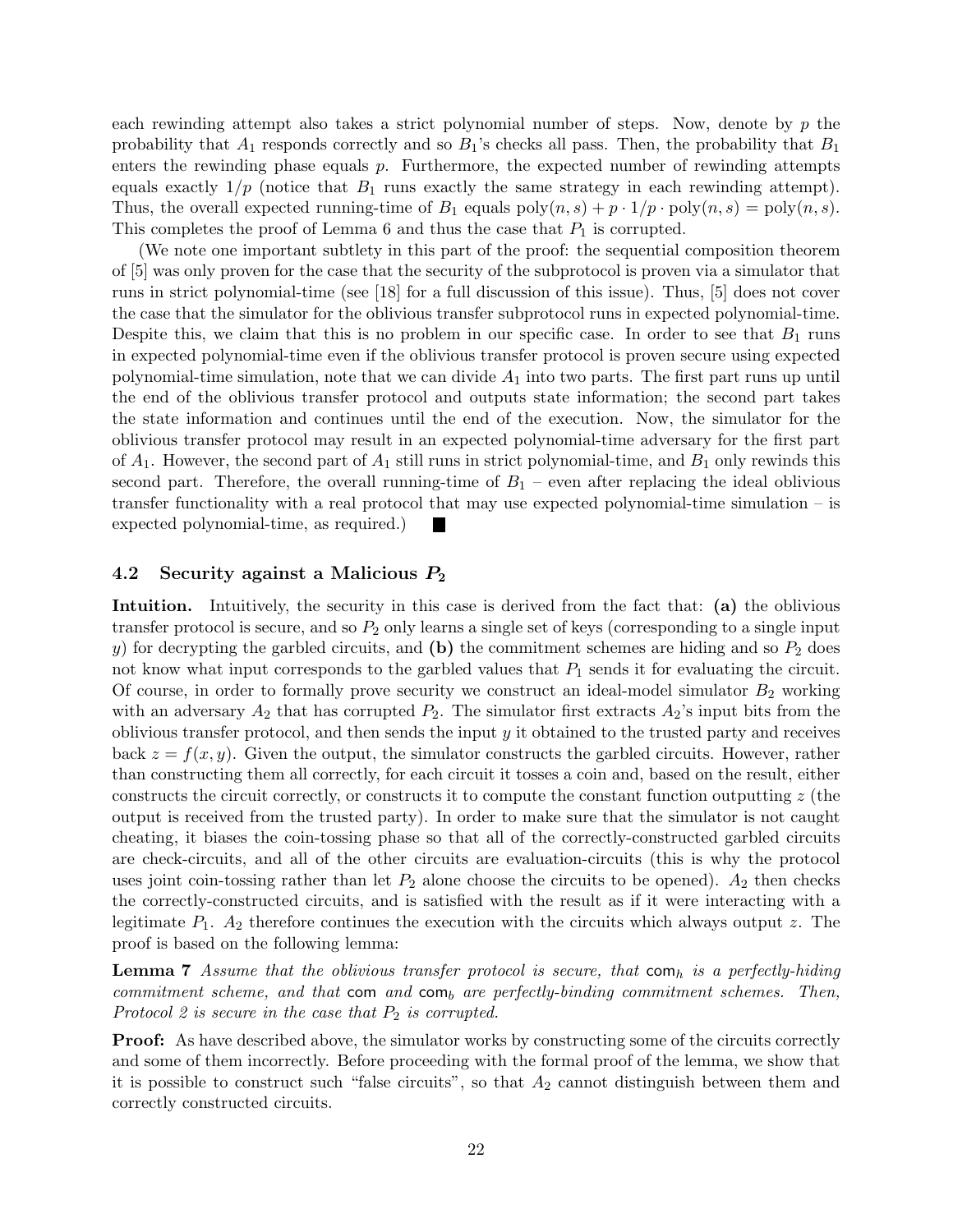each rewinding attempt also takes a strict polynomial number of steps. Now, denote by  $p$  the probability that  $A_1$  responds correctly and so  $B_1$ 's checks all pass. Then, the probability that  $B_1$ enters the rewinding phase equals  $p$ . Furthermore, the expected number of rewinding attempts equals exactly  $1/p$  (notice that  $B_1$  runs exactly the same strategy in each rewinding attempt). Thus, the overall expected running-time of  $B_1$  equals  $\text{poly}(n, s) + p \cdot 1/p \cdot \text{poly}(n, s) = \text{poly}(n, s).$ This completes the proof of Lemma 6 and thus the case that  $P_1$  is corrupted.

(We note one important subtlety in this part of the proof: the sequential composition theorem of [5] was only proven for the case that the security of the subprotocol is proven via a simulator that runs in strict polynomial-time (see [18] for a full discussion of this issue). Thus, [5] does not cover the case that the simulator for the oblivious transfer subprotocol runs in expected polynomial-time. Despite this, we claim that this is no problem in our specific case. In order to see that  $B_1$  runs in expected polynomial-time even if the oblivious transfer protocol is proven secure using expected polynomial-time simulation, note that we can divide  $A_1$  into two parts. The first part runs up until the end of the oblivious transfer protocol and outputs state information; the second part takes the state information and continues until the end of the execution. Now, the simulator for the oblivious transfer protocol may result in an expected polynomial-time adversary for the first part of  $A_1$ . However, the second part of  $A_1$  still runs in strict polynomial-time, and  $B_1$  only rewinds this second part. Therefore, the overall running-time of  $B_1$  – even after replacing the ideal oblivious transfer functionality with a real protocol that may use expected polynomial-time simulation – is expected polynomial-time, as required.)

#### 4.2 Security against a Malicious  $P_2$

Intuition. Intuitively, the security in this case is derived from the fact that: (a) the oblivious transfer protocol is secure, and so  $P_2$  only learns a single set of keys (corresponding to a single input y) for decrypting the garbled circuits, and (b) the commitment schemes are hiding and so  $P_2$  does not know what input corresponds to the garbled values that  $P_1$  sends it for evaluating the circuit. Of course, in order to formally prove security we construct an ideal-model simulator  $B_2$  working with an adversary  $A_2$  that has corrupted  $P_2$ . The simulator first extracts  $A_2$ 's input bits from the oblivious transfer protocol, and then sends the input  $y$  it obtained to the trusted party and receives back  $z = f(x, y)$ . Given the output, the simulator constructs the garbled circuits. However, rather than constructing them all correctly, for each circuit it tosses a coin and, based on the result, either constructs the circuit correctly, or constructs it to compute the constant function outputting z (the output is received from the trusted party). In order to make sure that the simulator is not caught cheating, it biases the coin-tossing phase so that all of the correctly-constructed garbled circuits are check-circuits, and all of the other circuits are evaluation-circuits (this is why the protocol uses joint coin-tossing rather than let  $P_2$  alone choose the circuits to be opened).  $A_2$  then checks the correctly-constructed circuits, and is satisfied with the result as if it were interacting with a legitimate  $P_1$ .  $A_2$  therefore continues the execution with the circuits which always output z. The proof is based on the following lemma:

**Lemma 7** Assume that the oblivious transfer protocol is secure, that  $\text{com}_h$  is a perfectly-hiding commitment scheme, and that  $com$  and  $com$  are perfectly-binding commitment schemes. Then, Protocol 2 is secure in the case that  $P_2$  is corrupted.

**Proof:** As have described above, the simulator works by constructing some of the circuits correctly and some of them incorrectly. Before proceeding with the formal proof of the lemma, we show that it is possible to construct such "false circuits", so that  $A_2$  cannot distinguish between them and correctly constructed circuits.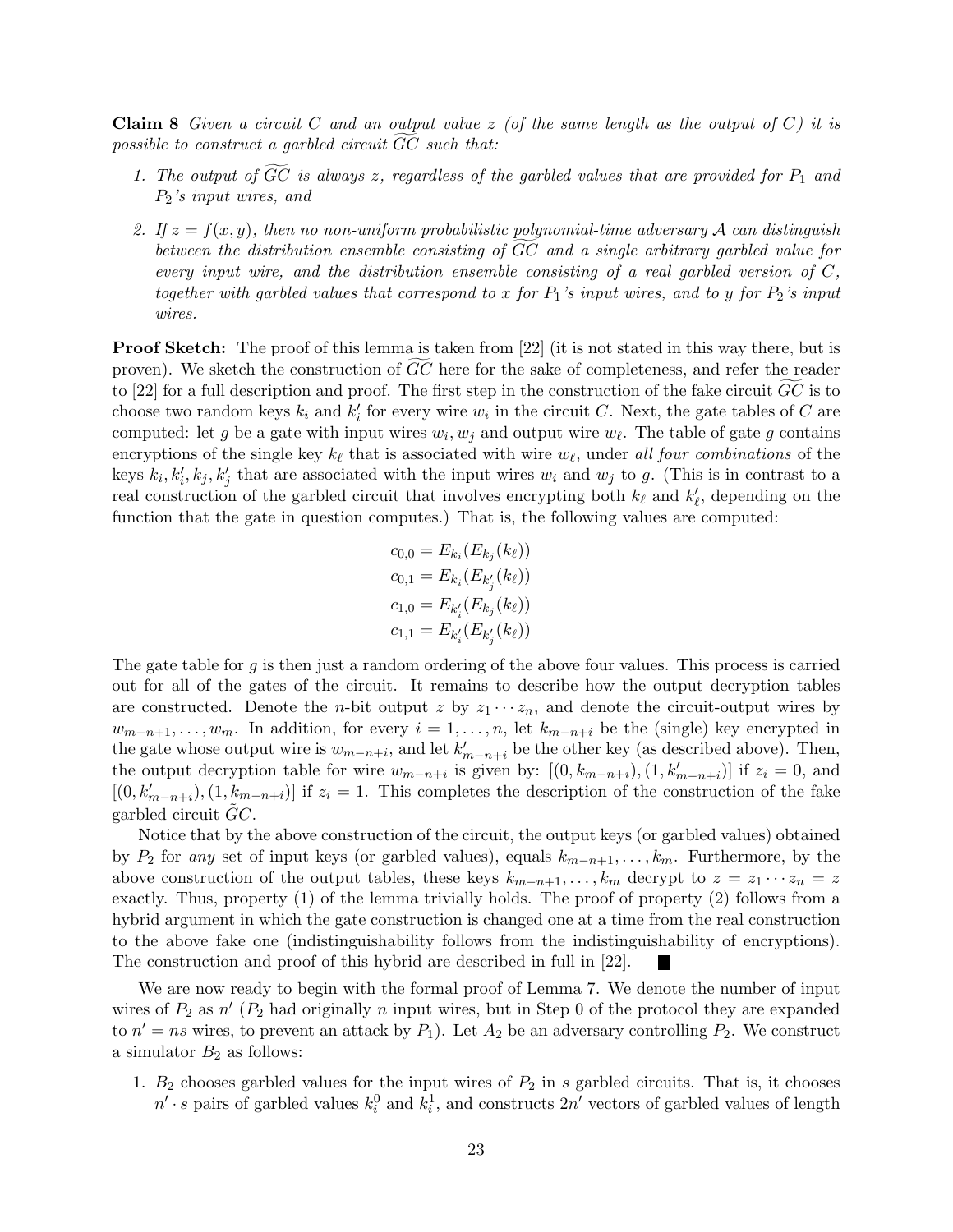**Claim 8** Given a circuit C and an output value z (of the same length as the output of C) it is possible to construct a garbled circuit  $GC$  such that:

- 1. The output of  $\widetilde{GC}$  is always z, regardless of the garbled values that are provided for  $P_1$  and P2's input wires, and
- 2. If  $z = f(x, y)$ , then no non-uniform probabilistic polynomial-time adversary A can distinguish between the distribution ensemble consisting of  $GC$  and a single arbitrary garbled value for every input wire, and the distribution ensemble consisting of a real garbled version of  $C$ , together with garbled values that correspond to x for  $P_1$ 's input wires, and to y for  $P_2$ 's input wires.

**Proof Sketch:** The proof of this lemma is taken from [22] (it is not stated in this way there, but is proven). We sketch the construction of  $GC$  here for the sake of completeness, and refer the reader to [22] for a full description and proof. The first step in the construction of the fake circuit  $GC$  is to choose two random keys  $k_i$  and  $k'_i$  for every wire  $w_i$  in the circuit C. Next, the gate tables of C are computed: let g be a gate with input wires  $w_i, w_j$  and output wire  $w_{\ell}$ . The table of gate g contains encryptions of the single key  $k_{\ell}$  that is associated with wire  $w_{\ell}$ , under all four combinations of the keys  $k_i, k'_i, k_j, k'_j$  that are associated with the input wires  $w_i$  and  $w_j$  to g. (This is in contrast to a real construction of the garbled circuit that involves encrypting both  $k_{\ell}$  and  $k'_{\ell}$ , depending on the function that the gate in question computes.) That is, the following values are computed:

$$
c_{0,0} = E_{k_i}(E_{k_j}(k_\ell))
$$
  
\n
$$
c_{0,1} = E_{k_i}(E_{k'_j}(k_\ell))
$$
  
\n
$$
c_{1,0} = E_{k'_i}(E_{k_j}(k_\ell))
$$
  
\n
$$
c_{1,1} = E_{k'_i}(E_{k'_j}(k_\ell))
$$

The gate table for g is then just a random ordering of the above four values. This process is carried out for all of the gates of the circuit. It remains to describe how the output decryption tables are constructed. Denote the *n*-bit output z by  $z_1 \cdots z_n$ , and denote the circuit-output wires by  $w_{m-n+1}, \ldots, w_m$ . In addition, for every  $i = 1, \ldots, n$ , let  $k_{m-n+i}$  be the (single) key encrypted in the gate whose output wire is  $w_{m-n+i}$ , and let  $k'_{m-n+i}$  be the other key (as described above). Then, the output decryption table for wire  $w_{m-n+i}$  is given by:  $[(0, k_{m-n+i}), (1, k'_{m-n+i})]$  if  $z_i = 0$ , and  $[(0, k'_{m-n+i}), (1, k_{m-n+i})]$  if  $z_i = 1$ . This completes the description of the construction of the fake garbled circuit  $GC$ .

Notice that by the above construction of the circuit, the output keys (or garbled values) obtained by P<sub>2</sub> for any set of input keys (or garbled values), equals  $k_{m-n+1}, \ldots, k_m$ . Furthermore, by the above construction of the output tables, these keys  $k_{m-n+1}, \ldots, k_m$  decrypt to  $z = z_1 \cdots z_n = z$ exactly. Thus, property (1) of the lemma trivially holds. The proof of property (2) follows from a hybrid argument in which the gate construction is changed one at a time from the real construction to the above fake one (indistinguishability follows from the indistinguishability of encryptions). The construction and proof of this hybrid are described in full in [22].

We are now ready to begin with the formal proof of Lemma 7. We denote the number of input wires of  $P_2$  as  $n'$  ( $P_2$  had originally n input wires, but in Step 0 of the protocol they are expanded to  $n' = ns$  wires, to prevent an attack by  $P_1$ ). Let  $A_2$  be an adversary controlling  $P_2$ . We construct a simulator  $B_2$  as follows:

1.  $B_2$  chooses garbled values for the input wires of  $P_2$  in s garbled circuits. That is, it chooses  $n' \cdot s$  pairs of garbled values  $k_i^0$  and  $k_i^1$ , and constructs  $2n'$  vectors of garbled values of length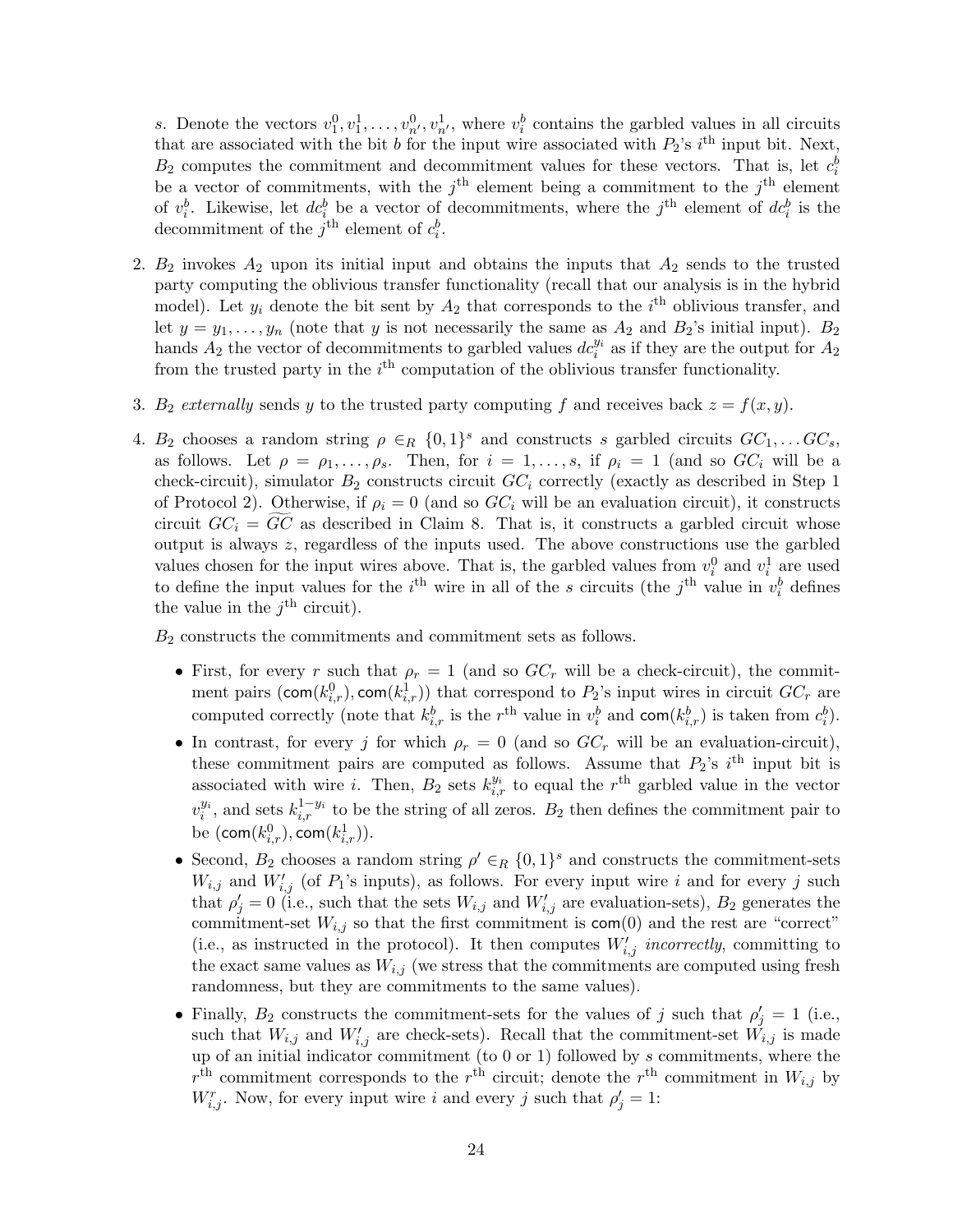s. Denote the vectors  $v_1^0, v_1^1, \ldots, v_{n'}^0, v_{n'}^1$ , where  $v_i^b$  contains the garbled values in all circuits that are associated with the bit b for the input wire associated with  $P_2$ 's i<sup>th</sup> input bit. Next,  $B_2$  computes the commitment and decommitment values for these vectors. That is, let  $c_i^b$ be a vector of commitments, with the  $j<sup>th</sup>$  element being a commitment to the  $j<sup>th</sup>$  element of  $v_i^b$ . Likewise, let  $dc_i^b$  be a vector of decommitments, where the j<sup>th</sup> element of  $dc_i^b$  is the decommitment of the  $j^{\text{th}}$  element of  $c_i^b$ .

- 2.  $B_2$  invokes  $A_2$  upon its initial input and obtains the inputs that  $A_2$  sends to the trusted party computing the oblivious transfer functionality (recall that our analysis is in the hybrid model). Let  $y_i$  denote the bit sent by  $A_2$  that corresponds to the  $i<sup>th</sup>$  oblivious transfer, and let  $y = y_1, \ldots, y_n$  (note that y is not necessarily the same as  $A_2$  and  $B_2$ 's initial input).  $B_2$ hands  $A_2$  the vector of decommitments to garbled values  $dc_i^{y_i}$  as if they are the output for  $A_2$ from the trusted party in the  $i<sup>th</sup>$  computation of the oblivious transfer functionality.
- 3. B<sub>2</sub> externally sends y to the trusted party computing f and receives back  $z = f(x, y)$ .
- 4.  $B_2$  chooses a random string  $\rho \in_R \{0,1\}^s$  and constructs s garbled circuits  $GC_1, \ldots GC_s$ , as follows. Let  $\rho = \rho_1, \ldots, \rho_s$ . Then, for  $i = 1, \ldots, s$ , if  $\rho_i = 1$  (and so  $GC_i$  will be a check-circuit), simulator  $B_2$  constructs circuit  $GC_i$  correctly (exactly as described in Step 1 of Protocol 2). Otherwise, if  $\rho_i = 0$  (and so  $GC_i$  will be an evaluation circuit), it constructs circuit  $GC_i = GC$  as described in Claim 8. That is, it constructs a garbled circuit whose output is always z, regardless of the inputs used. The above constructions use the garbled values chosen for the input wires above. That is, the garbled values from  $v_i^0$  and  $v_i^1$  are used to define the input values for the  $i^{\text{th}}$  wire in all of the s circuits (the  $j^{\text{th}}$  value in  $v_i^b$  defines the value in the  $j^{\text{th}}$  circuit).

 $B_2$  constructs the commitments and commitment sets as follows.

- First, for every r such that  $\rho_r = 1$  (and so  $GC_r$  will be a check-circuit), the commitment pairs  $(\textsf{com}(k_{i,r}^0), \textsf{com}(k_{i,r}^1))$  that correspond to  $P_2$ 's input wires in circuit  $GC_r$  are computed correctly (note that  $k_{i,r}^b$  is the r<sup>th</sup> value in  $v_i^b$  and  $\text{com}(k_{i,r}^b)$  is taken from  $c_i^b$ ).
- In contrast, for every j for which  $\rho_r = 0$  (and so  $GC_r$  will be an evaluation-circuit), these commitment pairs are computed as follows. Assume that  $P_2$ 's i<sup>th</sup> input bit is associated with wire *i*. Then,  $B_2$  sets  $k_{i,r}^{y_i}$  to equal the r<sup>th</sup> garbled value in the vector  $v_i^{y_i}$ , and sets  $k_{i,r}^{1-y_i}$  to be the string of all zeros.  $B_2$  then defines the commitment pair to be  $(\mathsf{com}(k_{i,r}^0), \mathsf{com}(k_{i,r}^1)).$
- Second,  $B_2$  chooses a random string  $\rho' \in_R \{0,1\}^s$  and constructs the commitment-sets  $W_{i,j}$  and  $W'_{i,j}$  (of  $P_1$ 's inputs), as follows. For every input wire i and for every j such that  $\rho'_j = 0$  (i.e., such that the sets  $W_{i,j}$  and  $W'_{i,j}$  are evaluation-sets),  $B_2$  generates the commitment-set  $W_{i,j}$  so that the first commitment is  $com(0)$  and the rest are "correct" (i.e., as instructed in the protocol). It then computes  $W'_{i,j}$  incorrectly, committing to the exact same values as  $W_{i,j}$  (we stress that the commitments are computed using fresh randomness, but they are commitments to the same values).
- Finally,  $B_2$  constructs the commitment-sets for the values of j such that  $\rho'_j = 1$  (i.e., such that  $W_{i,j}$  and  $W'_{i,j}$  are check-sets). Recall that the commitment-set  $\check{W_{i,j}}$  is made up of an initial indicator commitment (to  $0$  or  $1$ ) followed by  $s$  commitments, where the  $r<sup>th</sup>$  commitment corresponds to the  $r<sup>th</sup>$  circuit; denote the  $r<sup>th</sup>$  commitment in  $W_{i,j}$  by  $W_{i,j}^r$ . Now, for every input wire i and every j such that  $\rho'_j = 1$ :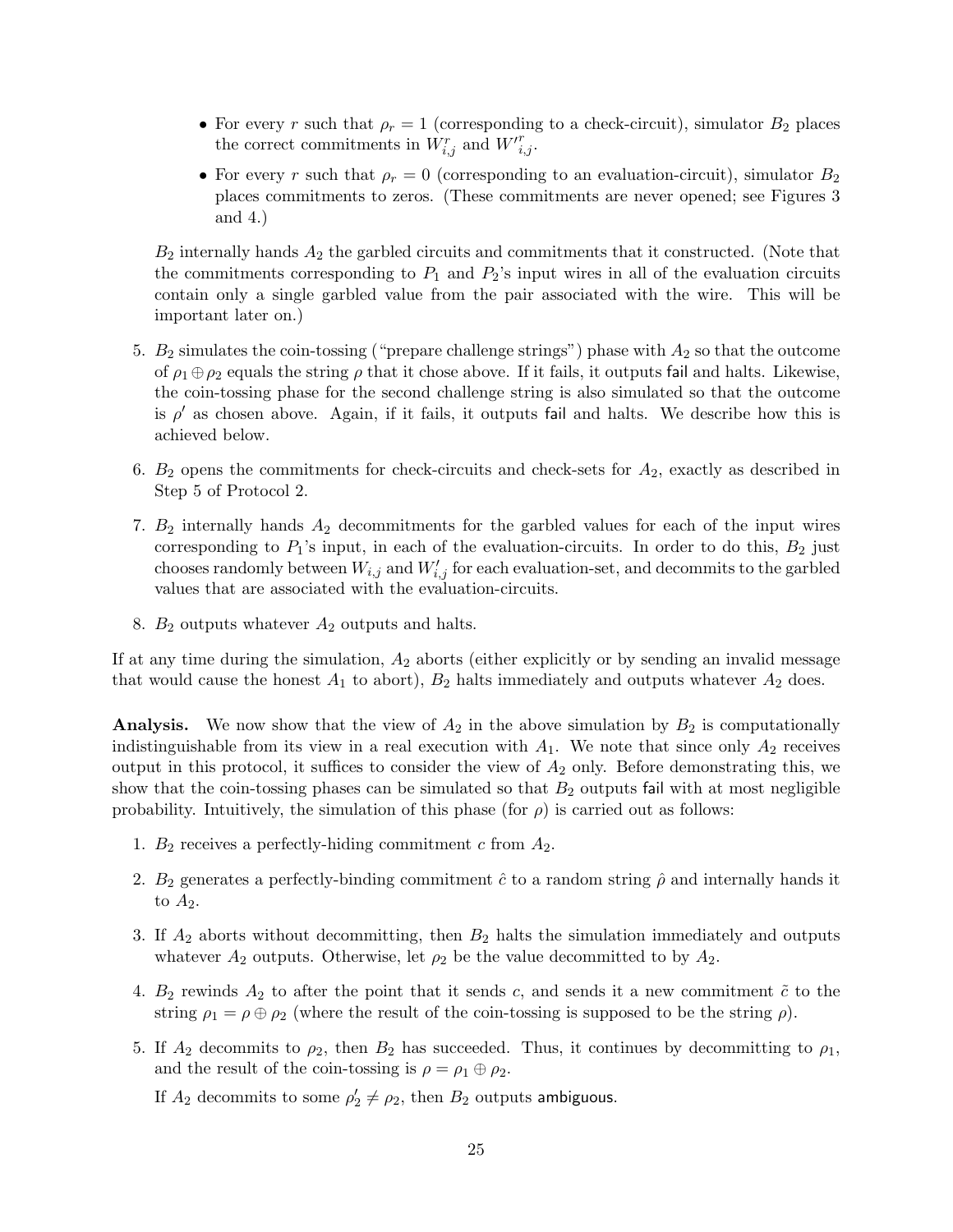- For every r such that  $\rho_r = 1$  (corresponding to a check-circuit), simulator  $B_2$  places the correct commitments in  $\hat{W}_{i,j}^r$  and  $\hat{W}_{i,j}^r$ .
- For every r such that  $\rho_r = 0$  (corresponding to an evaluation-circuit), simulator  $B_2$ places commitments to zeros. (These commitments are never opened; see Figures 3 and 4.)

 $B_2$  internally hands  $A_2$  the garbled circuits and commitments that it constructed. (Note that the commitments corresponding to  $P_1$  and  $P_2$ 's input wires in all of the evaluation circuits contain only a single garbled value from the pair associated with the wire. This will be important later on.)

- 5.  $B_2$  simulates the coin-tossing ("prepare challenge strings") phase with  $A_2$  so that the outcome of  $\rho_1 \oplus \rho_2$  equals the string  $\rho$  that it chose above. If it fails, it outputs fail and halts. Likewise, the coin-tossing phase for the second challenge string is also simulated so that the outcome is  $\rho'$  as chosen above. Again, if it fails, it outputs fail and halts. We describe how this is achieved below.
- 6.  $B_2$  opens the commitments for check-circuits and check-sets for  $A_2$ , exactly as described in Step 5 of Protocol 2.
- 7.  $B_2$  internally hands  $A_2$  decommitments for the garbled values for each of the input wires corresponding to  $P_1$ 's input, in each of the evaluation-circuits. In order to do this,  $B_2$  just chooses randomly between  $W_{i,j}$  and  $W'_{i,j}$  for each evaluation-set, and decommits to the garbled values that are associated with the evaluation-circuits.
- 8.  $B_2$  outputs whatever  $A_2$  outputs and halts.

If at any time during the simulation,  $A_2$  aborts (either explicitly or by sending an invalid message that would cause the honest  $A_1$  to abort),  $B_2$  halts immediately and outputs whatever  $A_2$  does.

**Analysis.** We now show that the view of  $A_2$  in the above simulation by  $B_2$  is computationally indistinguishable from its view in a real execution with  $A_1$ . We note that since only  $A_2$  receives output in this protocol, it suffices to consider the view of  $A_2$  only. Before demonstrating this, we show that the coin-tossing phases can be simulated so that  $B_2$  outputs fail with at most negligible probability. Intuitively, the simulation of this phase (for  $\rho$ ) is carried out as follows:

- 1.  $B_2$  receives a perfectly-hiding commitment c from  $A_2$ .
- 2.  $B_2$  generates a perfectly-binding commitment  $\hat{c}$  to a random string  $\hat{\rho}$  and internally hands it to  $A_2$ .
- 3. If  $A_2$  aborts without decommitting, then  $B_2$  halts the simulation immediately and outputs whatever  $A_2$  outputs. Otherwise, let  $\rho_2$  be the value decommitted to by  $A_2$ .
- 4.  $B_2$  rewinds  $A_2$  to after the point that it sends c, and sends it a new commitment  $\tilde{c}$  to the string  $\rho_1 = \rho \oplus \rho_2$  (where the result of the coin-tossing is supposed to be the string  $\rho$ ).
- 5. If  $A_2$  decommits to  $\rho_2$ , then  $B_2$  has succeeded. Thus, it continues by decommitting to  $\rho_1$ , and the result of the coin-tossing is  $\rho = \rho_1 \oplus \rho_2$ .

If  $A_2$  decommits to some  $\rho'_2 \neq \rho_2$ , then  $B_2$  outputs ambiguous.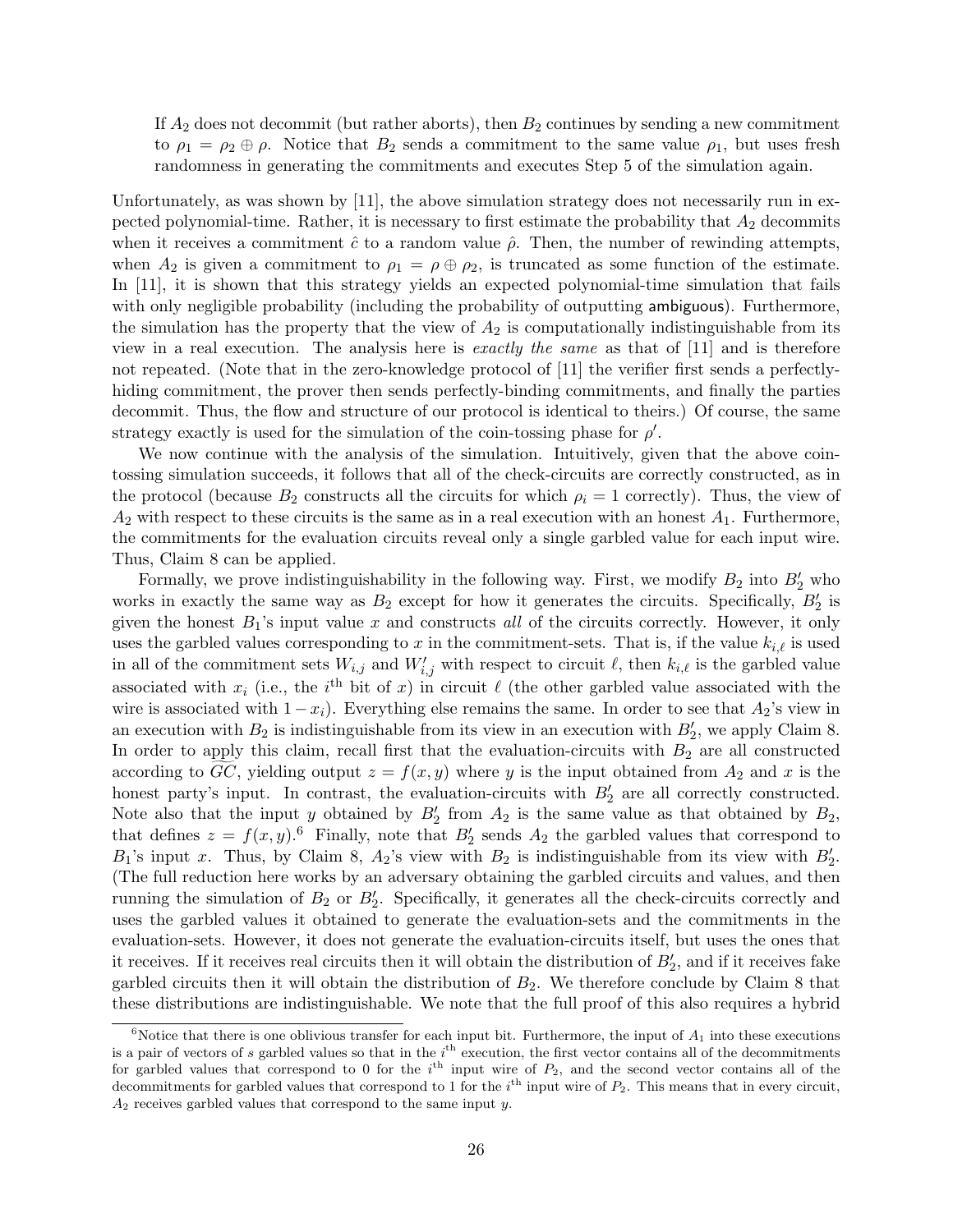If  $A_2$  does not decommit (but rather aborts), then  $B_2$  continues by sending a new commitment to  $\rho_1 = \rho_2 \oplus \rho$ . Notice that  $B_2$  sends a commitment to the same value  $\rho_1$ , but uses fresh randomness in generating the commitments and executes Step 5 of the simulation again.

Unfortunately, as was shown by [11], the above simulation strategy does not necessarily run in expected polynomial-time. Rather, it is necessary to first estimate the probability that  $A_2$  decommits when it receives a commitment  $\hat{c}$  to a random value  $\hat{\rho}$ . Then, the number of rewinding attempts, when  $A_2$  is given a commitment to  $\rho_1 = \rho \oplus \rho_2$ , is truncated as some function of the estimate. In [11], it is shown that this strategy yields an expected polynomial-time simulation that fails with only negligible probability (including the probability of outputting ambiguous). Furthermore, the simulation has the property that the view of  $A_2$  is computationally indistinguishable from its view in a real execution. The analysis here is exactly the same as that of  $[11]$  and is therefore not repeated. (Note that in the zero-knowledge protocol of [11] the verifier first sends a perfectlyhiding commitment, the prover then sends perfectly-binding commitments, and finally the parties decommit. Thus, the flow and structure of our protocol is identical to theirs.) Of course, the same strategy exactly is used for the simulation of the coin-tossing phase for  $\rho'$ .

We now continue with the analysis of the simulation. Intuitively, given that the above cointossing simulation succeeds, it follows that all of the check-circuits are correctly constructed, as in the protocol (because  $B_2$  constructs all the circuits for which  $\rho_i = 1$  correctly). Thus, the view of  $A_2$  with respect to these circuits is the same as in a real execution with an honest  $A_1$ . Furthermore, the commitments for the evaluation circuits reveal only a single garbled value for each input wire. Thus, Claim 8 can be applied.

Formally, we prove indistinguishability in the following way. First, we modify  $B_2$  into  $B_2'$  who works in exactly the same way as  $B_2$  except for how it generates the circuits. Specifically,  $B_2'$  is given the honest  $B_1$ 's input value x and constructs all of the circuits correctly. However, it only uses the garbled values corresponding to x in the commitment-sets. That is, if the value  $k_{i,\ell}$  is used in all of the commitment sets  $W_{i,j}$  and  $W'_{i,j}$  with respect to circuit  $\ell$ , then  $k_{i,\ell}$  is the garbled value associated with  $x_i$  (i.e., the i<sup>th</sup> bit of x) in circuit  $\ell$  (the other garbled value associated with the wire is associated with  $1 - x_i$ ). Everything else remains the same. In order to see that  $A_2$ 's view in an execution with  $B_2$  is indistinguishable from its view in an execution with  $B_2'$ , we apply Claim 8. In order to apply this claim, recall first that the evaluation-circuits with  $B_2$  are all constructed according to GC, yielding output  $z = f(x, y)$  where y is the input obtained from  $A_2$  and x is the honest party's input. In contrast, the evaluation-circuits with  $B'_2$  are all correctly constructed. Note also that the input y obtained by  $B'_2$  from  $A_2$  is the same value as that obtained by  $B_2$ , that defines  $z = f(x, y)$ .<sup>6</sup> Finally, note that  $B'_2$  sends  $A_2$  the garbled values that correspond to  $B_1$ 's input x. Thus, by Claim 8,  $A_2$ 's view with  $B_2$  is indistinguishable from its view with  $B_2'$ . (The full reduction here works by an adversary obtaining the garbled circuits and values, and then running the simulation of  $B_2$  or  $B_2'$ . Specifically, it generates all the check-circuits correctly and uses the garbled values it obtained to generate the evaluation-sets and the commitments in the evaluation-sets. However, it does not generate the evaluation-circuits itself, but uses the ones that it receives. If it receives real circuits then it will obtain the distribution of  $B'_{2}$ , and if it receives fake garbled circuits then it will obtain the distribution of  $B_2$ . We therefore conclude by Claim 8 that these distributions are indistinguishable. We note that the full proof of this also requires a hybrid

<sup>&</sup>lt;sup>6</sup>Notice that there is one oblivious transfer for each input bit. Furthermore, the input of  $A_1$  into these executions is a pair of vectors of s garbled values so that in the  $i<sup>th</sup>$  execution, the first vector contains all of the decommitments for garbled values that correspond to 0 for the  $i<sup>th</sup>$  input wire of  $P_2$ , and the second vector contains all of the decommitments for garbled values that correspond to 1 for the  $i^{\text{th}}$  input wire of  $P_2$ . This means that in every circuit,  $A_2$  receives garbled values that correspond to the same input y.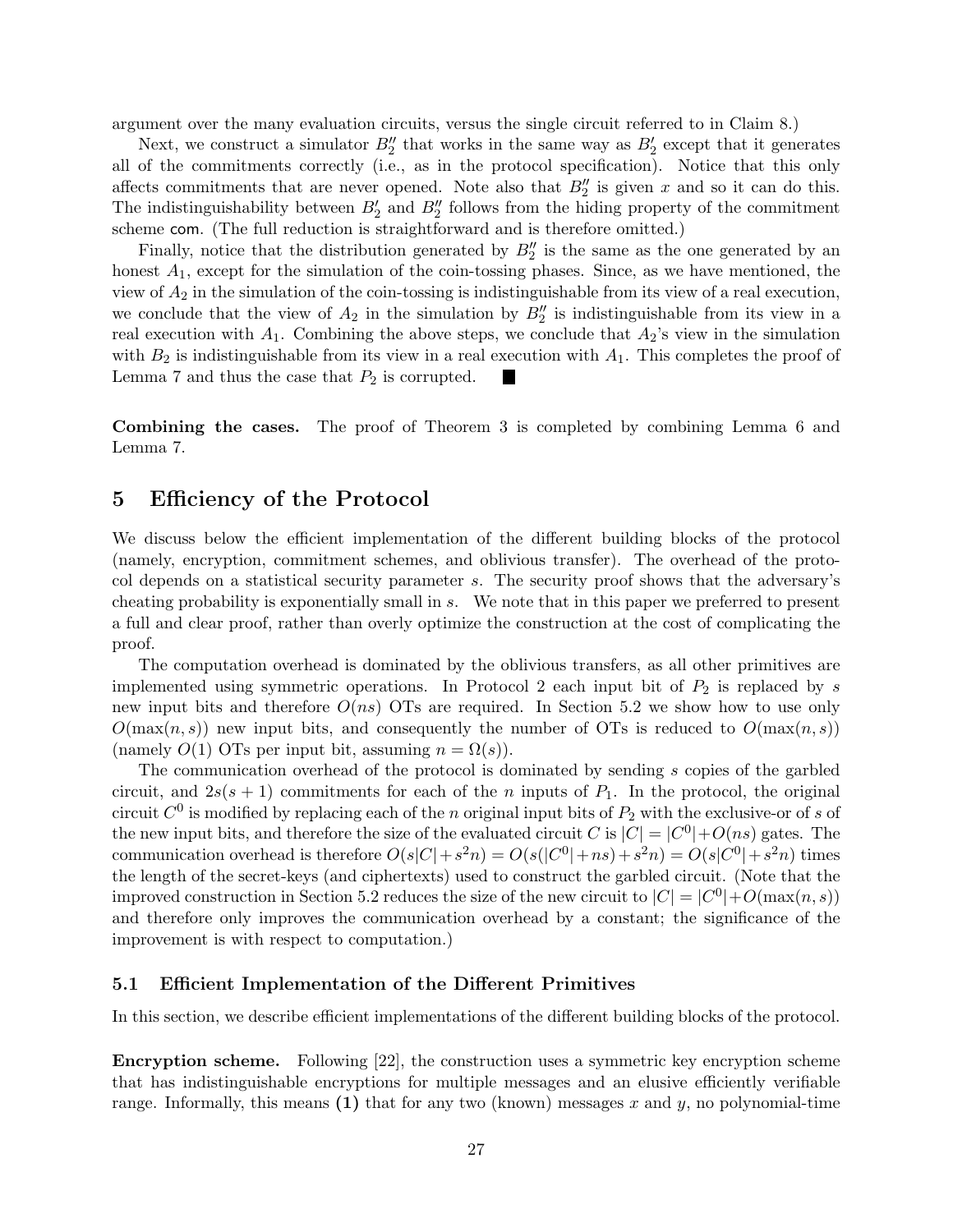argument over the many evaluation circuits, versus the single circuit referred to in Claim 8.)

Next, we construct a simulator  $B_2''$  that works in the same way as  $B_2'$  except that it generates all of the commitments correctly (i.e., as in the protocol specification). Notice that this only affects commitments that are never opened. Note also that  $B_2''$  is given x and so it can do this. The indistinguishability between  $B_2'$  and  $B_2''$  follows from the hiding property of the commitment scheme com. (The full reduction is straightforward and is therefore omitted.)

Finally, notice that the distribution generated by  $B_2''$  is the same as the one generated by an honest  $A_1$ , except for the simulation of the coin-tossing phases. Since, as we have mentioned, the view of  $A_2$  in the simulation of the coin-tossing is indistinguishable from its view of a real execution, we conclude that the view of  $A_2$  in the simulation by  $B_2''$  is indistinguishable from its view in a real execution with  $A_1$ . Combining the above steps, we conclude that  $A_2$ 's view in the simulation with  $B_2$  is indistinguishable from its view in a real execution with  $A_1$ . This completes the proof of Lemma 7 and thus the case that  $P_2$  is corrupted. **The Second Service** 

Combining the cases. The proof of Theorem 3 is completed by combining Lemma 6 and Lemma 7.

### 5 Efficiency of the Protocol

We discuss below the efficient implementation of the different building blocks of the protocol (namely, encryption, commitment schemes, and oblivious transfer). The overhead of the protocol depends on a statistical security parameter s. The security proof shows that the adversary's cheating probability is exponentially small in s. We note that in this paper we preferred to present a full and clear proof, rather than overly optimize the construction at the cost of complicating the proof.

The computation overhead is dominated by the oblivious transfers, as all other primitives are implemented using symmetric operations. In Protocol 2 each input bit of  $P_2$  is replaced by s new input bits and therefore  $O(ns)$  OTs are required. In Section 5.2 we show how to use only  $O(\max(n, s))$  new input bits, and consequently the number of OTs is reduced to  $O(\max(n, s))$ (namely  $O(1)$  OTs per input bit, assuming  $n = \Omega(s)$ ).

The communication overhead of the protocol is dominated by sending s copies of the garbled circuit, and  $2s(s + 1)$  commitments for each of the n inputs of  $P_1$ . In the protocol, the original circuit  $C^0$  is modified by replacing each of the n original input bits of  $P_2$  with the exclusive-or of s of the new input bits, and therefore the size of the evaluated circuit C is  $|C| = |C^0| + O(ns)$  gates. The communication overhead is therefore  $O(s|C|+s^2n) = O(s(|C^0|+ns)+s^2n) = O(s|C^0|+s^2n)$  times the length of the secret-keys (and ciphertexts) used to construct the garbled circuit. (Note that the improved construction in Section 5.2 reduces the size of the new circuit to  $|C| = |C^0| + O(\max(n, s))$ and therefore only improves the communication overhead by a constant; the significance of the improvement is with respect to computation.)

#### 5.1 Efficient Implementation of the Different Primitives

In this section, we describe efficient implementations of the different building blocks of the protocol.

Encryption scheme. Following [22], the construction uses a symmetric key encryption scheme that has indistinguishable encryptions for multiple messages and an elusive efficiently verifiable range. Informally, this means  $(1)$  that for any two (known) messages x and y, no polynomial-time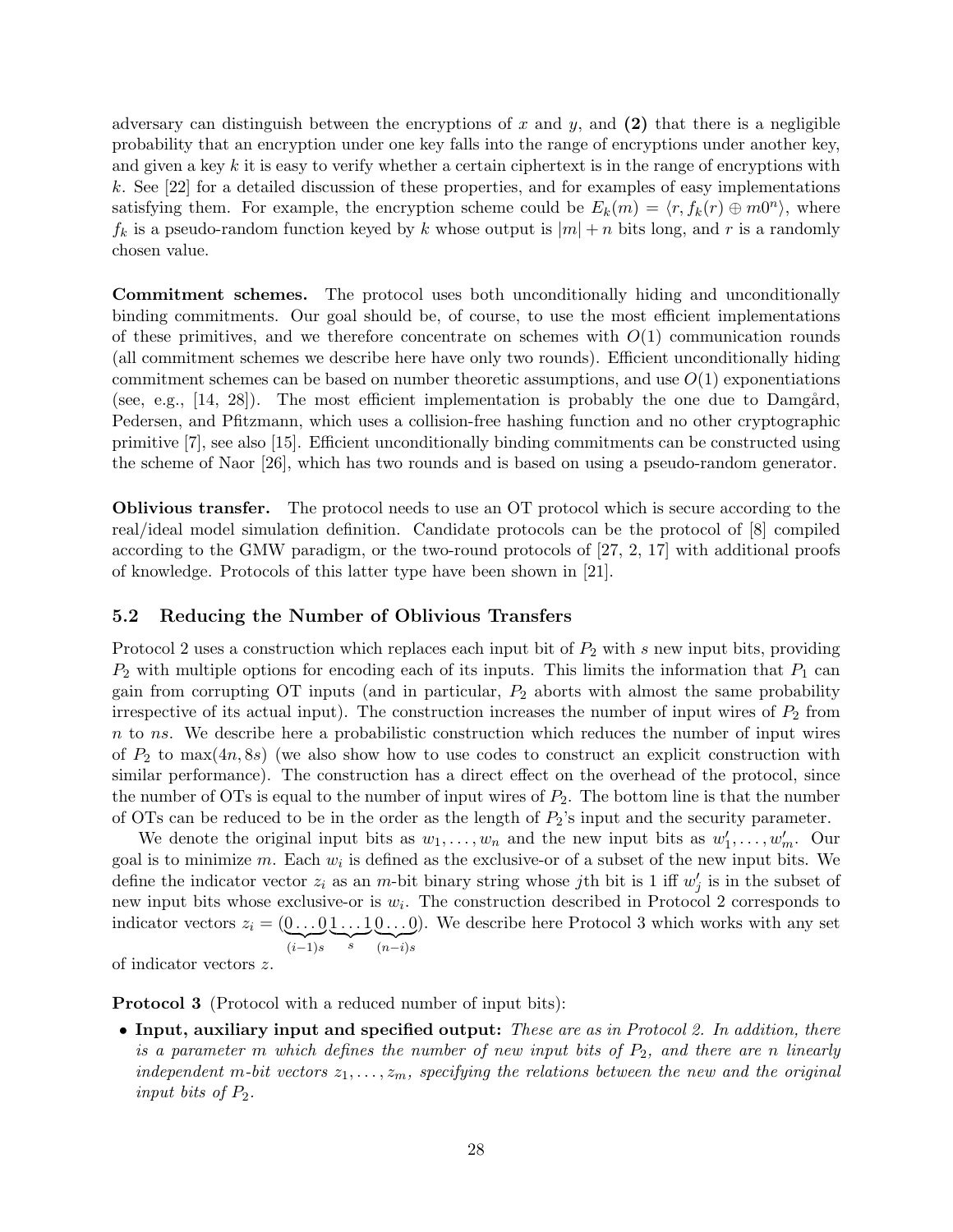adversary can distinguish between the encryptions of x and y, and  $(2)$  that there is a negligible probability that an encryption under one key falls into the range of encryptions under another key, and given a key  $k$  it is easy to verify whether a certain ciphertext is in the range of encryptions with k. See [22] for a detailed discussion of these properties, and for examples of easy implementations satisfying them. For example, the encryption scheme could be  $E_k(m) = \langle r, f_k(r) \oplus m0^n \rangle$ , where  $f_k$  is a pseudo-random function keyed by k whose output is  $|m| + n$  bits long, and r is a randomly chosen value.

Commitment schemes. The protocol uses both unconditionally hiding and unconditionally binding commitments. Our goal should be, of course, to use the most efficient implementations of these primitives, and we therefore concentrate on schemes with  $O(1)$  communication rounds (all commitment schemes we describe here have only two rounds). Efficient unconditionally hiding commitment schemes can be based on number theoretic assumptions, and use  $O(1)$  exponentiations (see, e.g.,  $[14, 28]$ ). The most efficient implementation is probably the one due to Damgård, Pedersen, and Pfitzmann, which uses a collision-free hashing function and no other cryptographic primitive [7], see also [15]. Efficient unconditionally binding commitments can be constructed using the scheme of Naor [26], which has two rounds and is based on using a pseudo-random generator.

Oblivious transfer. The protocol needs to use an OT protocol which is secure according to the real/ideal model simulation definition. Candidate protocols can be the protocol of [8] compiled according to the GMW paradigm, or the two-round protocols of [27, 2, 17] with additional proofs of knowledge. Protocols of this latter type have been shown in [21].

#### 5.2 Reducing the Number of Oblivious Transfers

Protocol 2 uses a construction which replaces each input bit of  $P_2$  with s new input bits, providing  $P_2$  with multiple options for encoding each of its inputs. This limits the information that  $P_1$  can gain from corrupting OT inputs (and in particular,  $P_2$  aborts with almost the same probability irrespective of its actual input). The construction increases the number of input wires of  $P_2$  from n to ns. We describe here a probabilistic construction which reduces the number of input wires of  $P_2$  to max $(4n, 8s)$  (we also show how to use codes to construct an explicit construction with similar performance). The construction has a direct effect on the overhead of the protocol, since the number of OTs is equal to the number of input wires of  $P_2$ . The bottom line is that the number of OTs can be reduced to be in the order as the length of  $P_2$ 's input and the security parameter.

We denote the original input bits as  $w_1, \ldots, w_n$  and the new input bits as  $w'_1, \ldots, w'_m$ . Our goal is to minimize m. Each  $w_i$  is defined as the exclusive-or of a subset of the new input bits. We define the indicator vector  $z_i$  as an m-bit binary string whose jth bit is 1 iff  $w'_j$  is in the subset of new input bits whose exclusive-or is  $w_i$ . The construction described in Protocol 2 corresponds to indicator vectors  $z_i = (\underbrace{0 \dots 0}$  $\sum_{(i-1)s}$  $1 \dots 1$  $\overline{\phantom{a}}_s$  $[0 \dots 0]$  $\sum_{(n-i)s}$ ). We describe here Protocol 3 which works with any set

of indicator vectors z.

**Protocol 3** (Protocol with a reduced number of input bits):

• Input, auxiliary input and specified output: These are as in Protocol 2. In addition, there is a parameter m which defines the number of new input bits of  $P_2$ , and there are n linearly independent m-bit vectors  $z_1, \ldots, z_m$ , specifying the relations between the new and the original input bits of  $P_2$ .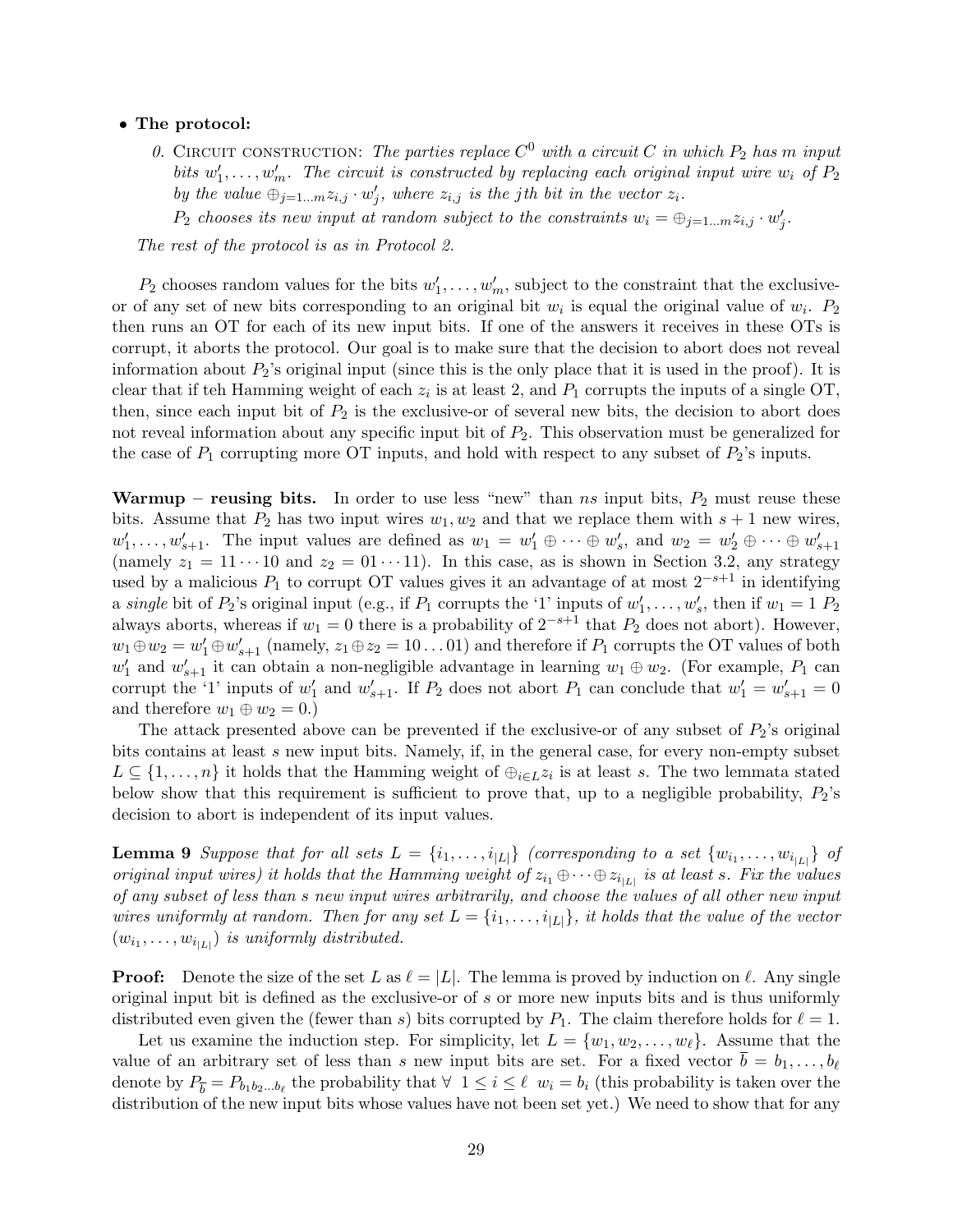#### • The protocol:

- 0. CIRCUIT CONSTRUCTION: The parties replace  $C^0$  with a circuit C in which  $P_2$  has m input bits  $w'_1, \ldots, w'_m$ . The circuit is constructed by replacing each original input wire  $w_i$  of  $P_2$ by the value  $\oplus_{j=1...m} z_{i,j} \cdot w'_j$ , where  $z_{i,j}$  is the jth bit in the vector  $z_i$ .
	- $P_2$  chooses its new input at random subject to the constraints  $w_i = \bigoplus_{j=1...m} z_{i,j} \cdot w'_j$ .

The rest of the protocol is as in Protocol 2.

 $P_2$  chooses random values for the bits  $w'_1, \ldots, w'_m$ , subject to the constraint that the exclusiveor of any set of new bits corresponding to an original bit  $w_i$  is equal the original value of  $w_i$ .  $P_2$ then runs an OT for each of its new input bits. If one of the answers it receives in these OTs is corrupt, it aborts the protocol. Our goal is to make sure that the decision to abort does not reveal information about  $P_2$ 's original input (since this is the only place that it is used in the proof). It is clear that if teh Hamming weight of each  $z_i$  is at least 2, and  $P_1$  corrupts the inputs of a single OT, then, since each input bit of  $P_2$  is the exclusive-or of several new bits, the decision to abort does not reveal information about any specific input bit of  $P_2$ . This observation must be generalized for the case of  $P_1$  corrupting more OT inputs, and hold with respect to any subset of  $P_2$ 's inputs.

**Warmup** – reusing bits. In order to use less "new" than ns input bits,  $P_2$  must reuse these bits. Assume that  $P_2$  has two input wires  $w_1, w_2$  and that we replace them with  $s + 1$  new wires,  $w'_1,\ldots,w'_{s+1}$ . The input values are defined as  $w_1 = w'_1 \oplus \cdots \oplus w'_s$ , and  $w_2 = w'_2 \oplus \cdots \oplus w'_{s+1}$ (namely  $z_1 = 11 \cdots 10$  and  $z_2 = 01 \cdots 11$ ). In this case, as is shown in Section 3.2, any strategy used by a malicious  $P_1$  to corrupt OT values gives it an advantage of at most  $2^{-s+1}$  in identifying a single bit of  $P_2$ 's original input (e.g., if  $P_1$  corrupts the '1' inputs of  $w'_1, \ldots, w'_s$ , then if  $w_1 = 1$   $P_2$ always aborts, whereas if  $w_1 = 0$  there is a probability of  $2^{-s+1}$  that  $P_2$  does not abort). However,  $w_1 \oplus w_2 = w'_1 \oplus w'_{s+1}$  (namely,  $z_1 \oplus z_2 = 10 \ldots 01$ ) and therefore if  $P_1$  corrupts the OT values of both  $w'_1$  and  $w'_{s+1}$  it can obtain a non-negligible advantage in learning  $w_1 \oplus w_2$ . (For example,  $P_1$  can corrupt the '1' inputs of  $w'_1$  and  $w'_{s+1}$ . If  $P_2$  does not abort  $P_1$  can conclude that  $w'_1 = w'_{s+1} = 0$ and therefore  $w_1 \oplus w_2 = 0.$ 

The attack presented above can be prevented if the exclusive-or of any subset of  $P_2$ 's original bits contains at least s new input bits. Namely, if, in the general case, for every non-empty subset  $L \subseteq \{1, \ldots, n\}$  it holds that the Hamming weight of  $\bigoplus_{i \in L} z_i$  is at least s. The two lemmata stated below show that this requirement is sufficient to prove that, up to a negligible probability,  $P_2$ 's decision to abort is independent of its input values.

**Lemma 9** Suppose that for all sets  $L = \{i_1, \ldots, i_{|L|}\}$  (corresponding to a set  $\{w_{i_1}, \ldots, w_{i_{|L|}}\}$  of original input wires) it holds that the Hamming weight of  $z_{i_1} \oplus \cdots \oplus z_{i_{|L|}}$  is at least s. Fix the values of any subset of less than s new input wires arbitrarily, and choose the values of all other new input wires uniformly at random. Then for any set  $L = \{i_1, \ldots, i_{|L|}\}\$ , it holds that the value of the vector  $(w_{i_1}, \ldots, w_{i_{|L|}})$  is uniformly distributed.

**Proof:** Denote the size of the set L as  $\ell = |L|$ . The lemma is proved by induction on  $\ell$ . Any single original input bit is defined as the exclusive-or of s or more new inputs bits and is thus uniformly distributed even given the (fewer than s) bits corrupted by  $P_1$ . The claim therefore holds for  $\ell = 1$ .

Let us examine the induction step. For simplicity, let  $L = \{w_1, w_2, \ldots, w_\ell\}$ . Assume that the value of an arbitrary set of less than s new input bits are set. For a fixed vector  $\bar{b} = b_1, \ldots, b_\ell$ denote by  $P_{\overline{b}} = P_{b_1b_2...b_\ell}$  the probability that  $\forall 1 \leq i \leq \ell \ w_i = b_i$  (this probability is taken over the distribution of the new input bits whose values have not been set yet.) We need to show that for any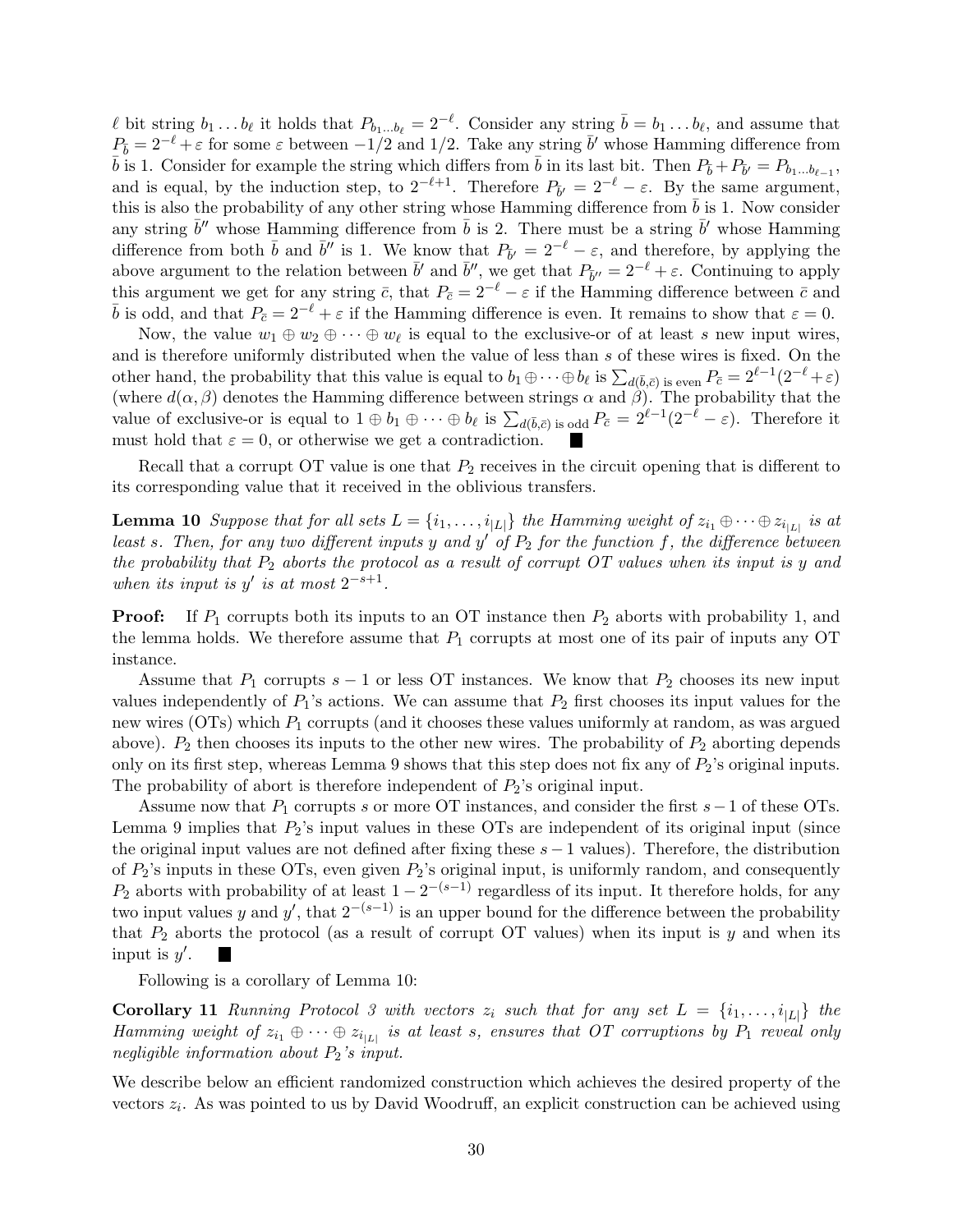$\ell$  bit string  $b_1 \ldots b_\ell$  it holds that  $P_{b_1 \ldots b_\ell} = 2^{-\ell}$ . Consider any string  $\bar{b} = b_1 \ldots b_\ell$ , and assume that  $P_{\bar{b}} = 2^{-\ell} + \varepsilon$  for some  $\varepsilon$  between  $-1/2$  and  $1/2$ . Take any string  $\bar{b}'$  whose Hamming difference from  $\bar{b}$  is 1. Consider for example the string which differs from  $\bar{b}$  in its last bit. Then  $P_{\bar{b}} + P_{\bar{b}'} = P_{b_1...b_{\ell-1}}$ , and is equal, by the induction step, to  $2^{-\ell+1}$ . Therefore  $P_{\bar{b}'} = 2^{-\ell} - \varepsilon$ . By the same argument, this is also the probability of any other string whose Hamming difference from  $b$  is 1. Now consider any string  $\bar{b}''$  whose Hamming difference from  $\bar{b}$  is 2. There must be a string  $\bar{b}'$  whose Hamming difference from both  $\bar{b}$  and  $\bar{b}''$  is 1. We know that  $P_{\bar{b}'} = 2^{-\ell} - \varepsilon$ , and therefore, by applying the above argument to the relation between  $\bar{b}'$  and  $\bar{b}''$ , we get that  $P_{\bar{b}''}=2^{-\ell}+\varepsilon$ . Continuing to apply this argument we get for any string  $\bar{c}$ , that  $P_{\bar{c}} = 2^{-\ell} - \varepsilon$  if the Hamming difference between  $\bar{c}$  and  $\bar{b}$  is odd, and that  $P_{\bar{c}} = 2^{-\ell} + \varepsilon$  if the Hamming difference is even. It remains to show that  $\varepsilon = 0$ .

Now, the value  $w_1 \oplus w_2 \oplus \cdots \oplus w_\ell$  is equal to the exclusive-or of at least s new input wires, and is therefore uniformly distributed when the value of less than s of these wires is fixed. On the other hand, the probability that this value is equal to  $b_1 \oplus \cdots \oplus b_\ell$  is  $\sum_{d(\bar{b}, \bar{c})}$  is even  $P_{\bar{c}} = 2^{\ell-1}(2^{-\ell} + \varepsilon)$ (where  $d(\alpha, \beta)$  denotes the Hamming difference between strings  $\alpha$  and  $\beta$ ). The probability that the value of exclusive-or is equal to  $1 \oplus b_1 \oplus \cdots \oplus b_\ell$  is  $\sum_{d(\bar{b},\bar{c})}$  is odd  $P_{\bar{c}} = 2^{\ell-1}(2^{-\ell} - \varepsilon)$ . Therefore it must hold that  $\varepsilon = 0$ , or otherwise we get a contradiction.

Recall that a corrupt OT value is one that  $P_2$  receives in the circuit opening that is different to its corresponding value that it received in the oblivious transfers.

**Lemma 10** Suppose that for all sets  $L = \{i_1, \ldots, i_{|L|}\}$  the Hamming weight of  $z_{i_1} \oplus \cdots \oplus z_{i_{|L|}}$  is at least s. Then, for any two different inputs y and  $y'$  of  $P_2$  for the function f, the difference between the probability that  $P_2$  aborts the protocol as a result of corrupt OT values when its input is y and when its input is y' is at most  $2^{-s+1}$ .

**Proof:** If  $P_1$  corrupts both its inputs to an OT instance then  $P_2$  aborts with probability 1, and the lemma holds. We therefore assume that  $P_1$  corrupts at most one of its pair of inputs any OT instance.

Assume that  $P_1$  corrupts  $s - 1$  or less OT instances. We know that  $P_2$  chooses its new input values independently of  $P_1$ 's actions. We can assume that  $P_2$  first chooses its input values for the new wires (OTs) which  $P_1$  corrupts (and it chooses these values uniformly at random, as was argued above).  $P_2$  then chooses its inputs to the other new wires. The probability of  $P_2$  aborting depends only on its first step, whereas Lemma 9 shows that this step does not fix any of  $P_2$ 's original inputs. The probability of abort is therefore independent of  $P_2$ 's original input.

Assume now that  $P_1$  corrupts s or more OT instances, and consider the first s – 1 of these OTs. Lemma 9 implies that  $P_2$ 's input values in these OTs are independent of its original input (since the original input values are not defined after fixing these  $s-1$  values). Therefore, the distribution of  $P_2$ 's inputs in these OTs, even given  $P_2$ 's original input, is uniformly random, and consequently  $P_2$  aborts with probability of at least  $1 - 2^{-(s-1)}$  regardless of its input. It therefore holds, for any two input values y and y', that  $2^{-(s-1)}$  is an upper bound for the difference between the probability that  $P_2$  aborts the protocol (as a result of corrupt OT values) when its input is y and when its input is  $y'$ . L.

Following is a corollary of Lemma 10:

**Corollary 11** Running Protocol 3 with vectors  $z_i$  such that for any set  $L = \{i_1, \ldots, i_{|L|}\}\$  the Hamming weight of  $z_{i_1} \oplus \cdots \oplus z_{i_{|L|}}$  is at least s, ensures that OT corruptions by  $P_1$  reveal only negligible information about  $P_2$ 's input.

We describe below an efficient randomized construction which achieves the desired property of the vectors  $z_i$ . As was pointed to us by David Woodruff, an explicit construction can be achieved using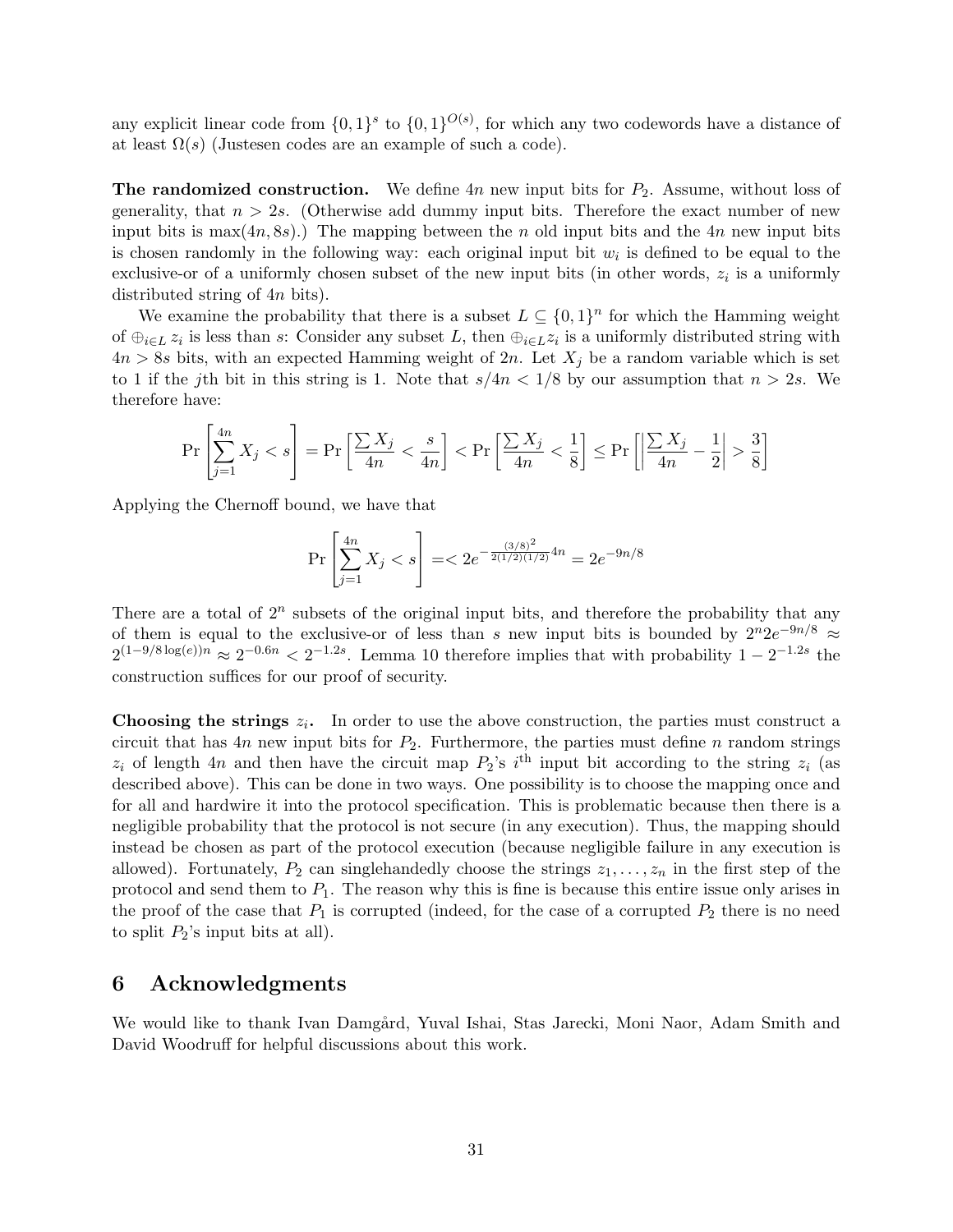any explicit linear code from  $\{0,1\}^s$  to  $\{0,1\}^{O(s)}$ , for which any two codewords have a distance of at least  $\Omega(s)$  (Justesen codes are an example of such a code).

**The randomized construction.** We define 4n new input bits for  $P_2$ . Assume, without loss of generality, that  $n > 2s$ . (Otherwise add dummy input bits. Therefore the exact number of new input bits is max $(4n, 8s)$ .) The mapping between the n old input bits and the 4n new input bits is chosen randomly in the following way: each original input bit  $w_i$  is defined to be equal to the exclusive-or of a uniformly chosen subset of the new input bits (in other words,  $z_i$  is a uniformly distributed string of 4n bits).

We examine the probability that there is a subset  $L \subseteq \{0,1\}^n$  for which the Hamming weight of  $\oplus_{i\in L} z_i$  is less than s: Consider any subset L, then  $\oplus_{i\in L} z_i$  is a uniformly distributed string with  $4n > 8s$  bits, with an expected Hamming weight of  $2n$ . Let  $X_j$  be a random variable which is set to 1 if the jth bit in this string is 1. Note that  $s/4n < 1/8$  by our assumption that  $n > 2s$ . We therefore have:

$$
\Pr\left[\sum_{j=1}^{4n} X_j < s\right] = \Pr\left[\frac{\sum X_j}{4n} < \frac{s}{4n}\right] < \Pr\left[\frac{\sum X_j}{4n} < \frac{1}{8}\right] \le \Pr\left[\left|\frac{\sum X_j}{4n} - \frac{1}{2}\right| > \frac{3}{8}\right]
$$

Applying the Chernoff bound, we have that

$$
\Pr\left[\sum_{j=1}^{4n} X_j < s\right] = < 2e^{-\frac{(3/8)^2}{2(1/2)(1/2)}4n} = 2e^{-9n/8}
$$

There are a total of  $2^n$  subsets of the original input bits, and therefore the probability that any of them is equal to the exclusive-or of less than s new input bits is bounded by  $2^n 2e^{-9n/8} \approx$  $2^{(1-9/8 \log(e))n} \approx 2^{-0.6n} < 2^{-1.2s}$ . Lemma 10 therefore implies that with probability  $1-2^{-1.2s}$  the construction suffices for our proof of security.

Choosing the strings  $z_i$ . In order to use the above construction, the parties must construct a circuit that has  $4n$  new input bits for  $P_2$ . Furthermore, the parties must define n random strings  $z_i$  of length 4n and then have the circuit map  $P_2$ 's i<sup>th</sup> input bit according to the string  $z_i$  (as described above). This can be done in two ways. One possibility is to choose the mapping once and for all and hardwire it into the protocol specification. This is problematic because then there is a negligible probability that the protocol is not secure (in any execution). Thus, the mapping should instead be chosen as part of the protocol execution (because negligible failure in any execution is allowed). Fortunately,  $P_2$  can singlehandedly choose the strings  $z_1, \ldots, z_n$  in the first step of the protocol and send them to  $P_1$ . The reason why this is fine is because this entire issue only arises in the proof of the case that  $P_1$  is corrupted (indeed, for the case of a corrupted  $P_2$  there is no need to split  $P_2$ 's input bits at all).

### 6 Acknowledgments

We would like to thank Ivan Damgård, Yuval Ishai, Stas Jarecki, Moni Naor, Adam Smith and David Woodruff for helpful discussions about this work.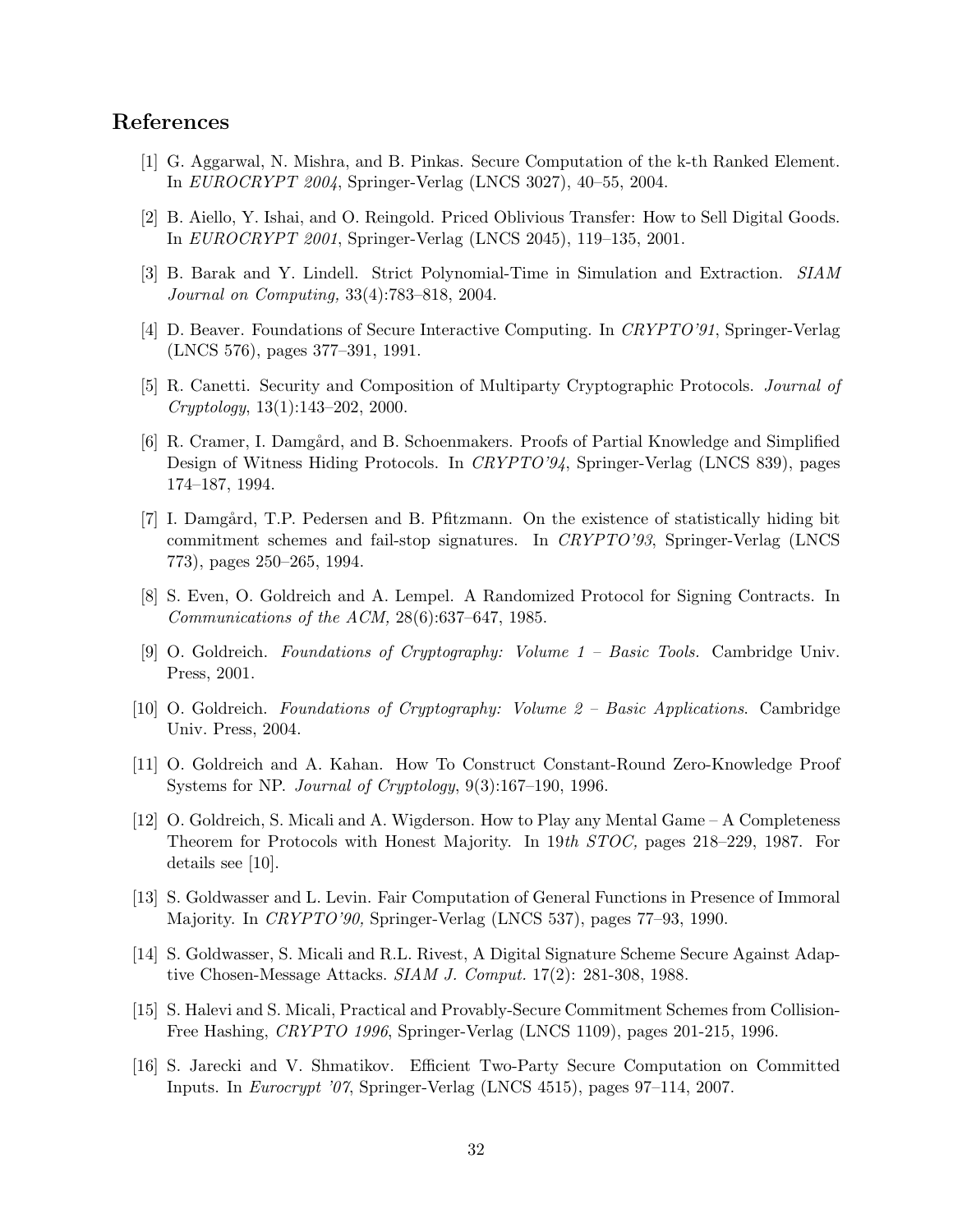### References

- [1] G. Aggarwal, N. Mishra, and B. Pinkas. Secure Computation of the k-th Ranked Element. In EUROCRYPT 2004, Springer-Verlag (LNCS 3027), 40–55, 2004.
- [2] B. Aiello, Y. Ishai, and O. Reingold. Priced Oblivious Transfer: How to Sell Digital Goods. In EUROCRYPT 2001, Springer-Verlag (LNCS 2045), 119–135, 2001.
- [3] B. Barak and Y. Lindell. Strict Polynomial-Time in Simulation and Extraction. SIAM Journal on Computing, 33(4):783–818, 2004.
- [4] D. Beaver. Foundations of Secure Interactive Computing. In CRYPTO'91, Springer-Verlag (LNCS 576), pages 377–391, 1991.
- [5] R. Canetti. Security and Composition of Multiparty Cryptographic Protocols. Journal of Cryptology, 13(1):143–202, 2000.
- [6] R. Cramer, I. Damgård, and B. Schoenmakers. Proofs of Partial Knowledge and Simplified Design of Witness Hiding Protocols. In CRYPTO'94, Springer-Verlag (LNCS 839), pages 174–187, 1994.
- [7] I. Damgård, T.P. Pedersen and B. Pfitzmann. On the existence of statistically hiding bit commitment schemes and fail-stop signatures. In CRYPTO'93, Springer-Verlag (LNCS 773), pages 250–265, 1994.
- [8] S. Even, O. Goldreich and A. Lempel. A Randomized Protocol for Signing Contracts. In Communications of the ACM, 28(6):637–647, 1985.
- [9] O. Goldreich. Foundations of Cryptography: Volume 1 Basic Tools. Cambridge Univ. Press, 2001.
- [10] O. Goldreich. Foundations of Cryptography: Volume 2 Basic Applications. Cambridge Univ. Press, 2004.
- [11] O. Goldreich and A. Kahan. How To Construct Constant-Round Zero-Knowledge Proof Systems for NP. Journal of Cryptology, 9(3):167–190, 1996.
- [12] O. Goldreich, S. Micali and A. Wigderson. How to Play any Mental Game A Completeness Theorem for Protocols with Honest Majority. In 19th STOC, pages 218–229, 1987. For details see [10].
- [13] S. Goldwasser and L. Levin. Fair Computation of General Functions in Presence of Immoral Majority. In CRYPTO'90, Springer-Verlag (LNCS 537), pages 77–93, 1990.
- [14] S. Goldwasser, S. Micali and R.L. Rivest, A Digital Signature Scheme Secure Against Adaptive Chosen-Message Attacks. SIAM J. Comput. 17(2): 281-308, 1988.
- [15] S. Halevi and S. Micali, Practical and Provably-Secure Commitment Schemes from Collision-Free Hashing, CRYPTO 1996, Springer-Verlag (LNCS 1109), pages 201-215, 1996.
- [16] S. Jarecki and V. Shmatikov. Efficient Two-Party Secure Computation on Committed Inputs. In Eurocrypt '07, Springer-Verlag (LNCS 4515), pages 97–114, 2007.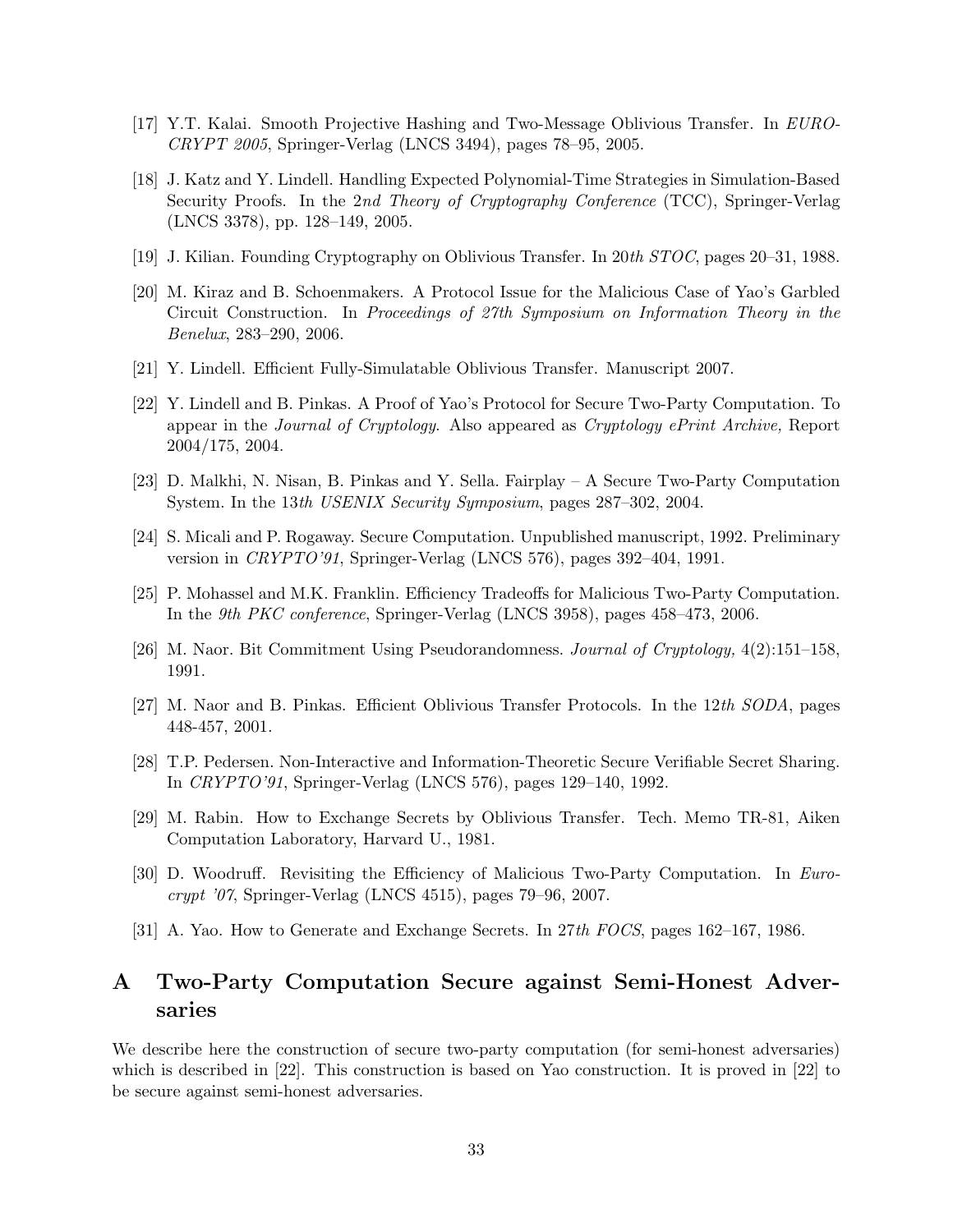- [17] Y.T. Kalai. Smooth Projective Hashing and Two-Message Oblivious Transfer. In EURO-CRYPT 2005, Springer-Verlag (LNCS 3494), pages 78–95, 2005.
- [18] J. Katz and Y. Lindell. Handling Expected Polynomial-Time Strategies in Simulation-Based Security Proofs. In the 2nd Theory of Cryptography Conference (TCC), Springer-Verlag (LNCS 3378), pp. 128–149, 2005.
- [19] J. Kilian. Founding Cryptography on Oblivious Transfer. In 20th STOC, pages 20–31, 1988.
- [20] M. Kiraz and B. Schoenmakers. A Protocol Issue for the Malicious Case of Yao's Garbled Circuit Construction. In Proceedings of 27th Symposium on Information Theory in the Benelux, 283–290, 2006.
- [21] Y. Lindell. Efficient Fully-Simulatable Oblivious Transfer. Manuscript 2007.
- [22] Y. Lindell and B. Pinkas. A Proof of Yao's Protocol for Secure Two-Party Computation. To appear in the *Journal of Cryptology*. Also appeared as *Cryptology ePrint Archive*, Report 2004/175, 2004.
- [23] D. Malkhi, N. Nisan, B. Pinkas and Y. Sella. Fairplay A Secure Two-Party Computation System. In the 13th USENIX Security Symposium, pages 287–302, 2004.
- [24] S. Micali and P. Rogaway. Secure Computation. Unpublished manuscript, 1992. Preliminary version in CRYPTO'91, Springer-Verlag (LNCS 576), pages 392–404, 1991.
- [25] P. Mohassel and M.K. Franklin. Efficiency Tradeoffs for Malicious Two-Party Computation. In the 9th PKC conference, Springer-Verlag (LNCS 3958), pages 458–473, 2006.
- [26] M. Naor. Bit Commitment Using Pseudorandomness. Journal of Cryptology, 4(2):151–158, 1991.
- [27] M. Naor and B. Pinkas. Efficient Oblivious Transfer Protocols. In the 12th SODA, pages 448-457, 2001.
- [28] T.P. Pedersen. Non-Interactive and Information-Theoretic Secure Verifiable Secret Sharing. In CRYPTO'91, Springer-Verlag (LNCS 576), pages 129–140, 1992.
- [29] M. Rabin. How to Exchange Secrets by Oblivious Transfer. Tech. Memo TR-81, Aiken Computation Laboratory, Harvard U., 1981.
- [30] D. Woodruff. Revisiting the Efficiency of Malicious Two-Party Computation. In Eurocrypt '07, Springer-Verlag (LNCS 4515), pages 79–96, 2007.
- [31] A. Yao. How to Generate and Exchange Secrets. In 27th FOCS, pages 162–167, 1986.

## A Two-Party Computation Secure against Semi-Honest Adversaries

We describe here the construction of secure two-party computation (for semi-honest adversaries) which is described in [22]. This construction is based on Yao construction. It is proved in [22] to be secure against semi-honest adversaries.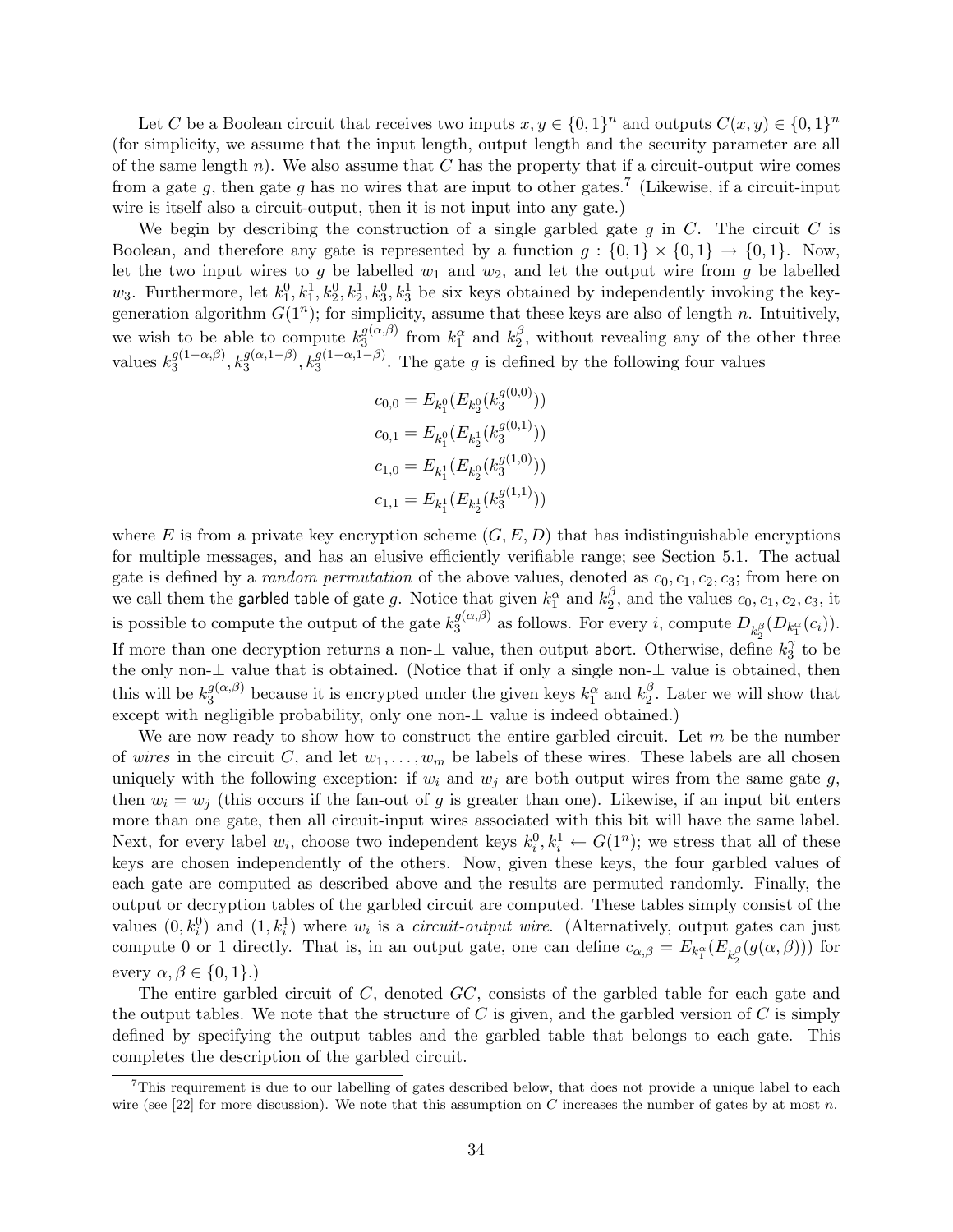Let C be a Boolean circuit that receives two inputs  $x, y \in \{0, 1\}^n$  and outputs  $C(x, y) \in \{0, 1\}^n$ (for simplicity, we assume that the input length, output length and the security parameter are all of the same length  $n$ ). We also assume that C has the property that if a circuit-output wire comes from a gate g, then gate g has no wires that are input to other gates.<sup>7</sup> (Likewise, if a circuit-input wire is itself also a circuit-output, then it is not input into any gate.)

We begin by describing the construction of a single garbled gate  $g$  in  $C$ . The circuit  $C$  is Boolean, and therefore any gate is represented by a function  $g : \{0,1\} \times \{0,1\} \rightarrow \{0,1\}$ . Now, let the two input wires to g be labelled  $w_1$  and  $w_2$ , and let the output wire from g be labelled  $w_3$ . Furthermore, let  $k_1^0, k_1^1, k_2^0, k_3^1, k_3^0, k_3^1$  be six keys obtained by independently invoking the keygeneration algorithm  $G(1^n)$ ; for simplicity, assume that these keys are also of length n. Intuitively, we wish to be able to compute  $k_3^{g(\alpha,\beta)}$  $s_3^{g(\alpha,\beta)}$  from  $k_1^{\alpha}$  and  $k_2^{\beta}$  $2^{\rho}$ , without revealing any of the other three values  $k_3^{g(1-\alpha,\beta)}$  $s_3^{(1-\alpha,\beta)}, k_3^{g(\alpha,1-\beta)}, k_3^{g(1-\alpha,1-\beta)}$ . The gate g is defined by the following four values

$$
c_{0,0} = E_{k_1^0}(E_{k_2^0}(k_3^{g(0,0)}))
$$
  
\n
$$
c_{0,1} = E_{k_1^0}(E_{k_2^1}(k_3^{g(0,1)}))
$$
  
\n
$$
c_{1,0} = E_{k_1^1}(E_{k_2^0}(k_3^{g(1,0)}))
$$
  
\n
$$
c_{1,1} = E_{k_1^1}(E_{k_2^1}(k_3^{g(1,1)}))
$$

where E is from a private key encryption scheme  $(G, E, D)$  that has indistinguishable encryptions for multiple messages, and has an elusive efficiently verifiable range; see Section 5.1. The actual gate is defined by a *random permutation* of the above values, denoted as  $c_0, c_1, c_2, c_3$ ; from here on we call them the garbled table of gate g. Notice that given  $k_1^{\alpha}$  and  $k_2^{\beta}$  $2^{\rho}$ , and the values  $c_0, c_1, c_2, c_3$ , it is possible to compute the output of the gate  $k_3^{g(\alpha,\beta)}$  $B_3^{(\alpha,\beta)}$  as follows. For every *i*, compute  $D_{k_2^{\beta}}(D_{k_1^{\alpha}}(c_i))$ . If more than one decryption returns a non- $\perp$  value, then output abort. Otherwise, define  $k_3^{\gamma}$  $\frac{\gamma}{3}$  to be the only non-⊥ value that is obtained. (Notice that if only a single non-⊥ value is obtained, then this will be  $k_3^{g(\alpha,\beta)}$  because it is encrypted under the given keys  $k_1^{\alpha}$  and  $k_2^{\beta}$  $2^{\circ}$ . Later we will show that except with negligible probability, only one non- $\perp$  value is indeed obtained.)

We are now ready to show how to construct the entire garbled circuit. Let  $m$  be the number of wires in the circuit C, and let  $w_1, \ldots, w_m$  be labels of these wires. These labels are all chosen uniquely with the following exception: if  $w_i$  and  $w_j$  are both output wires from the same gate  $g$ , then  $w_i = w_j$  (this occurs if the fan-out of g is greater than one). Likewise, if an input bit enters more than one gate, then all circuit-input wires associated with this bit will have the same label. Next, for every label  $w_i$ , choose two independent keys  $k_i^0, k_i^1 \leftarrow G(1^n)$ ; we stress that all of these keys are chosen independently of the others. Now, given these keys, the four garbled values of each gate are computed as described above and the results are permuted randomly. Finally, the output or decryption tables of the garbled circuit are computed. These tables simply consist of the values  $(0, k_i^0)$  and  $(1, k_i^1)$  where  $w_i$  is a *circuit-output wire*. (Alternatively, output gates can just compute 0 or 1 directly. That is, in an output gate, one can define  $c_{\alpha,\beta} = E_{k_1^{\alpha}}(E_{k_2^{\beta}}(g(\alpha,\beta)))$  for every  $\alpha, \beta \in \{0, 1\}$ .)

The entire garbled circuit of C, denoted GC, consists of the garbled table for each gate and the output tables. We note that the structure of  $C$  is given, and the garbled version of  $C$  is simply defined by specifying the output tables and the garbled table that belongs to each gate. This completes the description of the garbled circuit.

 $7$ This requirement is due to our labelling of gates described below, that does not provide a unique label to each wire (see [22] for more discussion). We note that this assumption on C increases the number of gates by at most n.